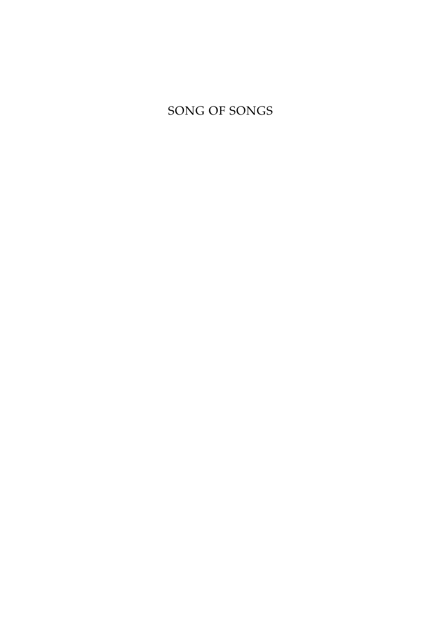## SONG OF SONGS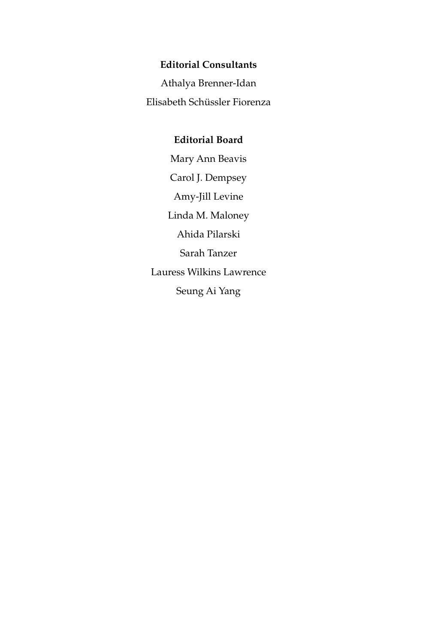### **Editorial Consultants**

Athalya Brenner-Idan Elisabeth Schüssler Fiorenza

#### **Editorial Board**

Mary Ann Beavis Carol J. Dempsey Amy-Jill Levine Linda M. Maloney Ahida Pilarski Sarah Tanzer Lauress Wilkins Lawrence Seung Ai Yang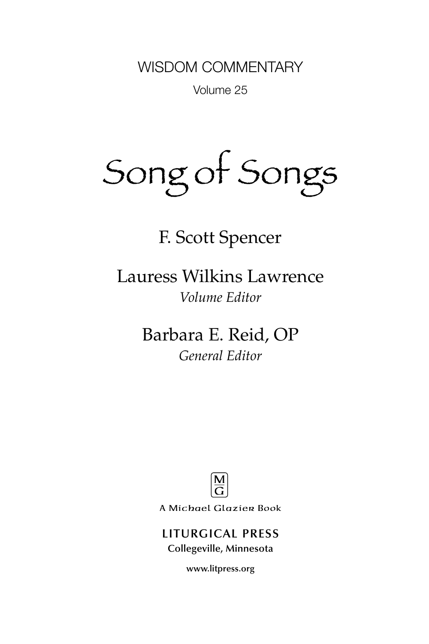WISDOM COMMENTARY

Volume 25



F. Scott Spencer

Lauress Wilkins Lawrence *Volume Editor*

> Barbara E. Reid, OP *General Editor*



A Michael Glazier Book

**LITURGICAL PRESS Collegeville, Minnesota**

**www.litpress.org**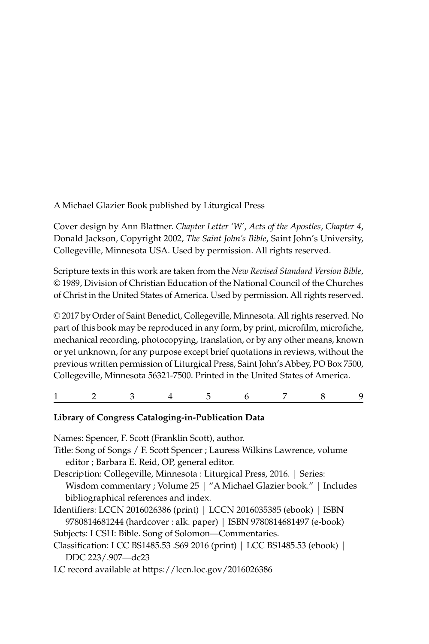A Michael Glazier Book published by Liturgical Press

Cover design by Ann Blattner. *Chapter Letter 'W'*, *Acts of the Apostles*, *Chapter 4*, Donald Jackson, Copyright 2002, *The Saint John's Bible*, Saint John's University, Collegeville, Minnesota USA. Used by permission. All rights reserved.

Scripture texts in this work are taken from the *New Revised Standard Version Bible*, © 1989, Division of Christian Education of the National Council of the Churches of Christ in the United States of America. Used by permission. All rights reserved.

© 2017 by Order of Saint Benedict, Collegeville, Minnesota. All rights reserved. No part of this book may be reproduced in any form, by print, microfilm, microfiche, mechanical recording, photocopying, translation, or by any other means, known or yet unknown, for any purpose except brief quotations in reviews, without the previous written permission of Liturgical Press, Saint John's Abbey, PO Box 7500, Collegeville, Minnesota 56321-7500. Printed in the United States of America.

|  |  |  | $\begin{array}{cccccccccccccccccc} 1 & 2 & 3 & 4 & 5 & 6 & 7 & 8 & 9 \end{array}$ |  |
|--|--|--|-----------------------------------------------------------------------------------|--|
|  |  |  |                                                                                   |  |

#### **Library of Congress Cataloging-in-Publication Data**

Names: Spencer, F. Scott (Franklin Scott), author. Title: Song of Songs / F. Scott Spencer ; Lauress Wilkins Lawrence, volume editor ; Barbara E. Reid, OP, general editor. Description: Collegeville, Minnesota : Liturgical Press, 2016. | Series: Wisdom commentary ; Volume 25 | "A Michael Glazier book." | Includes bibliographical references and index. Identifiers: LCCN 2016026386 (print) | LCCN 2016035385 (ebook) | ISBN 9780814681244 (hardcover : alk. paper) | ISBN 9780814681497 (e-book) Subjects: LCSH: Bible. Song of Solomon—Commentaries. Classification: LCC BS1485.53 .S69 2016 (print) | LCC BS1485.53 (ebook) | DDC 223/.907—dc23

LC record available at https://lccn.loc.gov/2016026386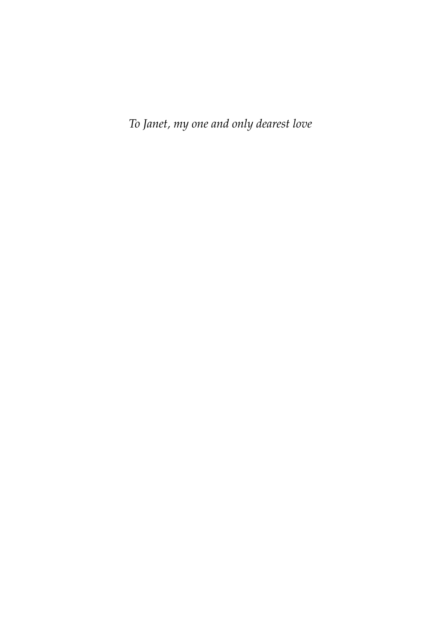*To Janet, my one and only dearest love*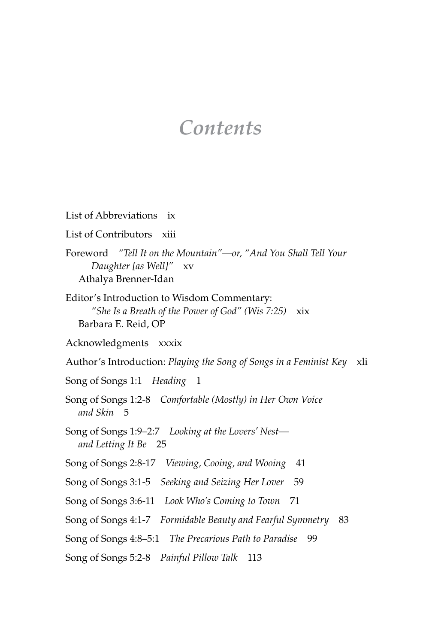# *Contents*

List of Abbreviations ix List of Contributors xiii Foreword *"Tell It on the Mountain"—or, "And You Shall Tell Your Daughter [as Well]"* xv Athalya Brenner-Idan Editor's Introduction to Wisdom Commentary: *"She Is a Breath of the Power of God" (Wis 7:25)* xix Barbara E. Reid, OP Acknowledgments xxxix Author's Introduction: *Playing the Song of Songs in a Feminist Key* xli Song of Songs 1:1 *Heading* 1 Song of Songs 1:2-8 *Comfortable (Mostly) in Her Own Voice and Skin* 5 Song of Songs 1:9–2:7 *Looking at the Lovers' Nest and Letting It Be* 25 Song of Songs 2:8-17 *Viewing, Cooing, and Wooing* 41 Song of Songs 3:1-5 *Seeking and Seizing Her Lover* 59 Song of Songs 3:6-11 *Look Who's Coming to Town* 71 Song of Songs 4:1-7 *Formidable Beauty and Fearful Symmetry* 83 Song of Songs 4:8–5:1 *The Precarious Path to Paradise* 99 Song of Songs 5:2-8 *Painful Pillow Talk* 113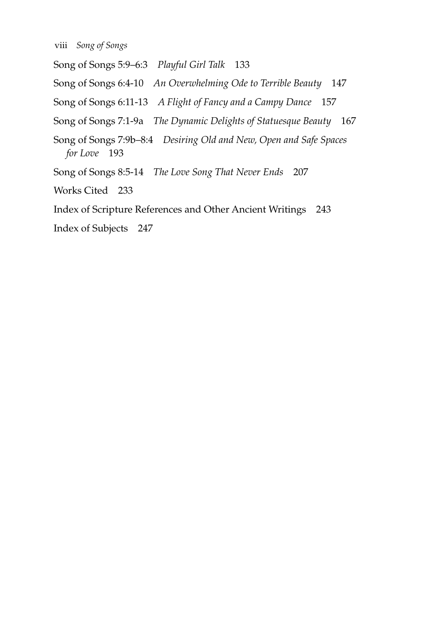viii *Song of Songs*

Song of Songs 5:9–6:3 *Playful Girl Talk* 133

Song of Songs 6:4-10 *An Overwhelming Ode to Terrible Beauty* 147

Song of Songs 6:11-13 *A Flight of Fancy and a Campy Dance* 157

Song of Songs 7:1-9a *The Dynamic Delights of Statuesque Beauty* 167

Song of Songs 7:9b–8:4 *Desiring Old and New, Open and Safe Spaces for Love* 193

Song of Songs 8:5-14 *The Love Song That Never Ends* 207

Works Cited 233

Index of Scripture References and Other Ancient Writings 243

Index of Subjects 247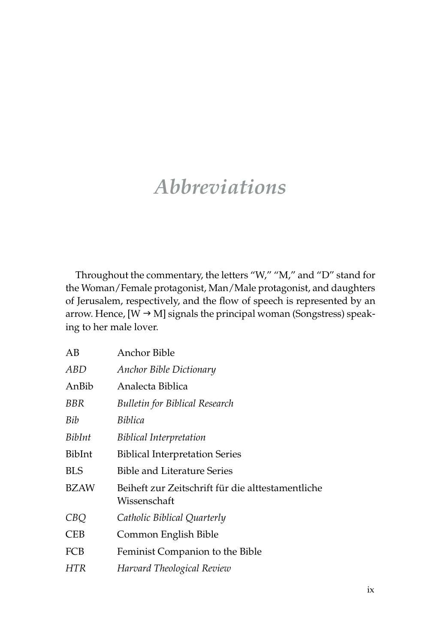# *Abbreviations*

Throughout the commentary, the letters "W," "M," and "D" stand for the Woman/Female protagonist, Man/Male protagonist, and daughters of Jerusalem, respectively, and the flow of speech is represented by an arrow. Hence,  $[W \rightarrow M]$  signals the principal woman (Songstress) speaking to her male lover.

| AB          | Anchor Bible                                                      |
|-------------|-------------------------------------------------------------------|
| ABD         | <b>Anchor Bible Dictionary</b>                                    |
| AnBib       | Analecta Biblica                                                  |
| BBR         | <b>Bulletin for Biblical Research</b>                             |
| Bib         | <i>Biblica</i>                                                    |
| BibInt      | <b>Biblical Interpretation</b>                                    |
| BibInt      | <b>Biblical Interpretation Series</b>                             |
| BLS         | Bible and Literature Series                                       |
| <b>BZAW</b> | Beiheft zur Zeitschrift für die alttestamentliche<br>Wissenschaft |
| CBQ         | Catholic Biblical Quarterly                                       |
| <b>CEB</b>  | Common English Bible                                              |
| FCB         | Feminist Companion to the Bible                                   |
| HTR         | Harvard Theological Review                                        |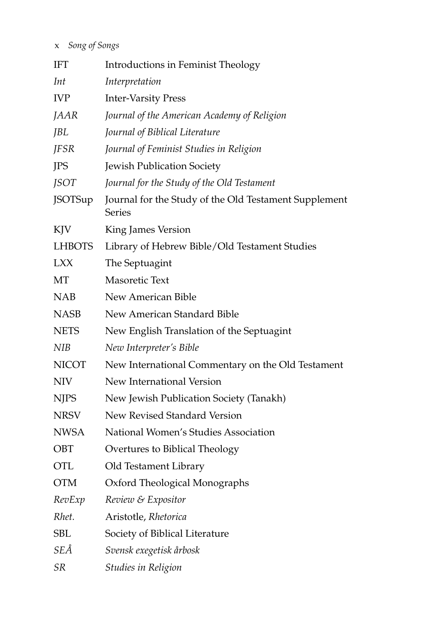### x *Song of Songs*

| IFT            | Introductions in Feminist Theology                              |
|----------------|-----------------------------------------------------------------|
| Int            | Interpretation                                                  |
| IVP            | <b>Inter-Varsity Press</b>                                      |
| JAAR           | Journal of the American Academy of Religion                     |
| <b>JBL</b>     | Journal of Biblical Literature                                  |
| <b>JFSR</b>    | Journal of Feminist Studies in Religion                         |
| JPS            | Jewish Publication Society                                      |
| <b>JSOT</b>    | Journal for the Study of the Old Testament                      |
| <b>JSOTSup</b> | Journal for the Study of the Old Testament Supplement<br>Series |
| KJV            | King James Version                                              |
| LHBOTS         | Library of Hebrew Bible/Old Testament Studies                   |
| LXX            | The Septuagint                                                  |
| МT             | <b>Masoretic Text</b>                                           |
| <b>NAB</b>     | New American Bible                                              |
| NASB           | New American Standard Bible                                     |
| <b>NETS</b>    | New English Translation of the Septuagint                       |
| NIB            | New Interpreter's Bible                                         |
| <b>NICOT</b>   | New International Commentary on the Old Testament               |
| NIV            | New International Version                                       |
| <b>NJPS</b>    | New Jewish Publication Society (Tanakh)                         |
| NRSV           | New Revised Standard Version                                    |
| NWSA           | National Women's Studies Association                            |
| OBT            | Overtures to Biblical Theology                                  |
| OTL            | Old Testament Library                                           |
| OTM            | Oxford Theological Monographs                                   |
| RevExp         | Review & Expositor                                              |
| Rhet.          | Aristotle, Rhetorica                                            |
| SBL            | Society of Biblical Literature                                  |
| SEÅ            | Svensk exegetisk årbosk                                         |
| SR             | Studies in Religion                                             |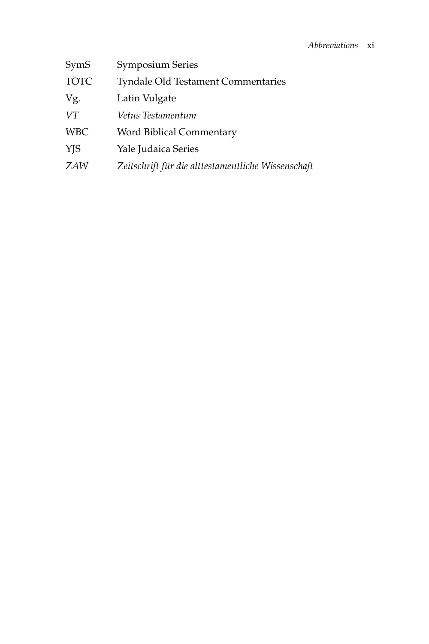| SymS        | <b>Symposium Series</b>                            |
|-------------|----------------------------------------------------|
| <b>TOTC</b> | Tyndale Old Testament Commentaries                 |
| Vg.         | Latin Vulgate                                      |
| VT          | Vetus Testamentum                                  |
| <b>WBC</b>  | Word Biblical Commentary                           |
| YJS         | Yale Judaica Series                                |
| ZAW         | Zeitschrift für die alttestamentliche Wissenschaft |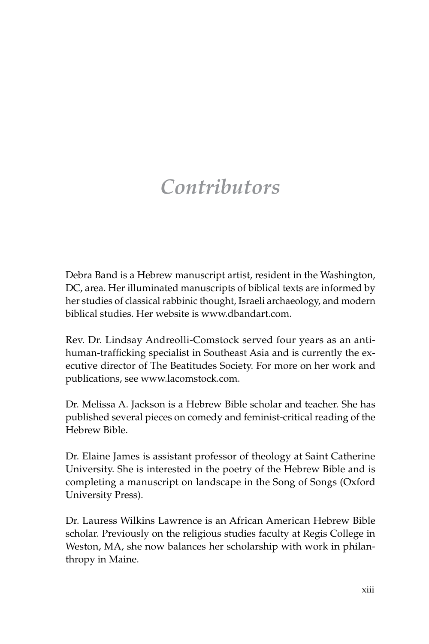# *Contributors*

Debra Band is a Hebrew manuscript artist, resident in the Washington, DC, area. Her illuminated manuscripts of biblical texts are informed by her studies of classical rabbinic thought, Israeli archaeology, and modern biblical studies. Her website is www.dbandart.com.

Rev. Dr. Lindsay Andreolli-Comstock served four years as an antihuman-trafficking specialist in Southeast Asia and is currently the executive director of The Beatitudes Society. For more on her work and publications, see www.lacomstock.com.

Dr. Melissa A. Jackson is a Hebrew Bible scholar and teacher. She has published several pieces on comedy and feminist-critical reading of the Hebrew Bible.

Dr. Elaine James is assistant professor of theology at Saint Catherine University. She is interested in the poetry of the Hebrew Bible and is completing a manuscript on landscape in the Song of Songs (Oxford University Press).

Dr. Lauress Wilkins Lawrence is an African American Hebrew Bible scholar. Previously on the religious studies faculty at Regis College in Weston, MA, she now balances her scholarship with work in philanthropy in Maine.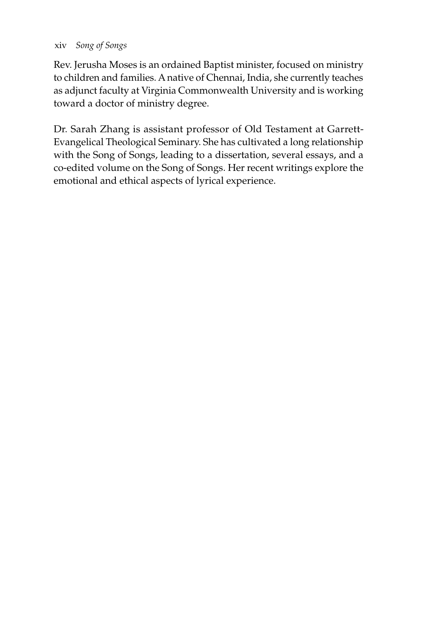#### xiv *Song of Songs*

Rev. Jerusha Moses is an ordained Baptist minister, focused on ministry to children and families. A native of Chennai, India, she currently teaches as adjunct faculty at Virginia Commonwealth University and is working toward a doctor of ministry degree.

Dr. Sarah Zhang is assistant professor of Old Testament at Garrett-Evangelical Theological Seminary. She has cultivated a long relationship with the Song of Songs, leading to a dissertation, several essays, and a co-edited volume on the Song of Songs. Her recent writings explore the emotional and ethical aspects of lyrical experience.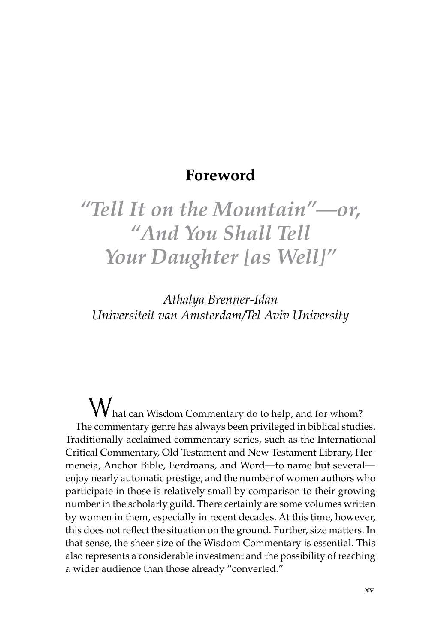## **Foreword**

*"Tell It on the Mountain"—or, "And You Shall Tell Your Daughter [as Well]"*

*Athalya Brenner-Idan Universiteit van Amsterdam/Tel Aviv University*

W<sub>hat can</sub> Wisdom Commentary do to help, and for whom? The commentary genre has always been privileged in biblical studies. Traditionally acclaimed commentary series, such as the International Critical Commentary, Old Testament and New Testament Library, Hermeneia, Anchor Bible, Eerdmans, and Word—to name but several enjoy nearly automatic prestige; and the number of women authors who participate in those is relatively small by comparison to their growing number in the scholarly guild. There certainly are some volumes written by women in them, especially in recent decades. At this time, however, this does not reflect the situation on the ground. Further, size matters. In that sense, the sheer size of the Wisdom Commentary is essential. This also represents a considerable investment and the possibility of reaching a wider audience than those already "converted."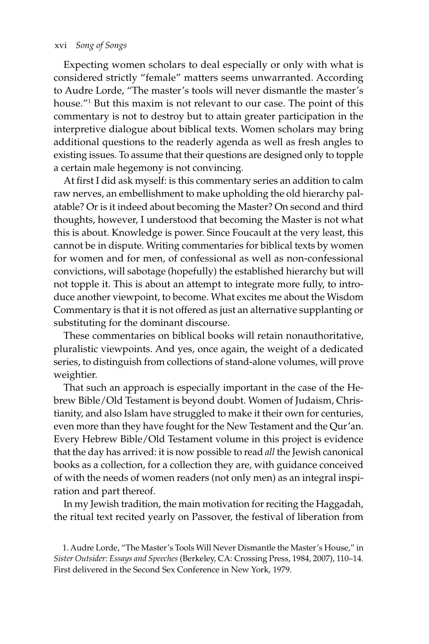Expecting women scholars to deal especially or only with what is considered strictly "female" matters seems unwarranted. According to Audre Lorde, "The master's tools will never dismantle the master's house."1 But this maxim is not relevant to our case. The point of this commentary is not to destroy but to attain greater participation in the interpretive dialogue about biblical texts. Women scholars may bring additional questions to the readerly agenda as well as fresh angles to existing issues. To assume that their questions are designed only to topple a certain male hegemony is not convincing.

At first I did ask myself: is this commentary series an addition to calm raw nerves, an embellishment to make upholding the old hierarchy palatable? Or is it indeed about becoming the Master? On second and third thoughts, however, I understood that becoming the Master is not what this is about. Knowledge is power. Since Foucault at the very least, this cannot be in dispute. Writing commentaries for biblical texts by women for women and for men, of confessional as well as non-confessional convictions, will sabotage (hopefully) the established hierarchy but will not topple it. This is about an attempt to integrate more fully, to introduce another viewpoint, to become. What excites me about the Wisdom Commentary is that it is not offered as just an alternative supplanting or substituting for the dominant discourse.

These commentaries on biblical books will retain nonauthoritative, pluralistic viewpoints. And yes, once again, the weight of a dedicated series, to distinguish from collections of stand-alone volumes, will prove weightier.

That such an approach is especially important in the case of the Hebrew Bible/Old Testament is beyond doubt. Women of Judaism, Christianity, and also Islam have struggled to make it their own for centuries, even more than they have fought for the New Testament and the Qur'an. Every Hebrew Bible/Old Testament volume in this project is evidence that the day has arrived: it is now possible to read *all* the Jewish canonical books as a collection, for a collection they are, with guidance conceived of with the needs of women readers (not only men) as an integral inspiration and part thereof.

In my Jewish tradition, the main motivation for reciting the Haggadah, the ritual text recited yearly on Passover, the festival of liberation from

1. Audre Lorde, "The Master's Tools Will Never Dismantle the Master's House," in *Sister Outsider: Essays and Speeches* (Berkeley, CA: Crossing Press, 1984, 2007), 110–14. First delivered in the Second Sex Conference in New York, 1979.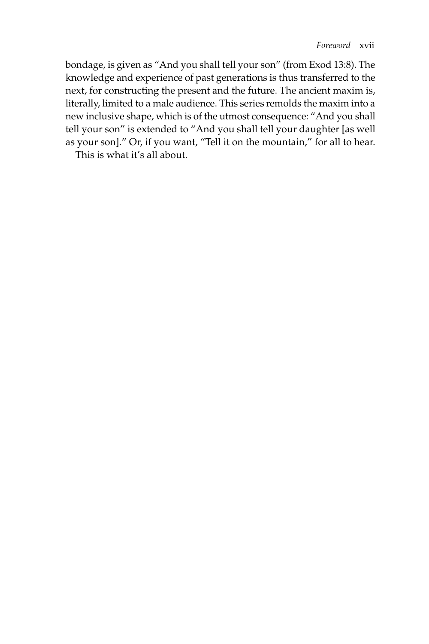bondage, is given as "And you shall tell your son" (from Exod 13:8). The knowledge and experience of past generations is thus transferred to the next, for constructing the present and the future. The ancient maxim is, literally, limited to a male audience. This series remolds the maxim into a new inclusive shape, which is of the utmost consequence: "And you shall tell your son" is extended to "And you shall tell your daughter [as well as your son]." Or, if you want, "Tell it on the mountain," for all to hear.

This is what it's all about.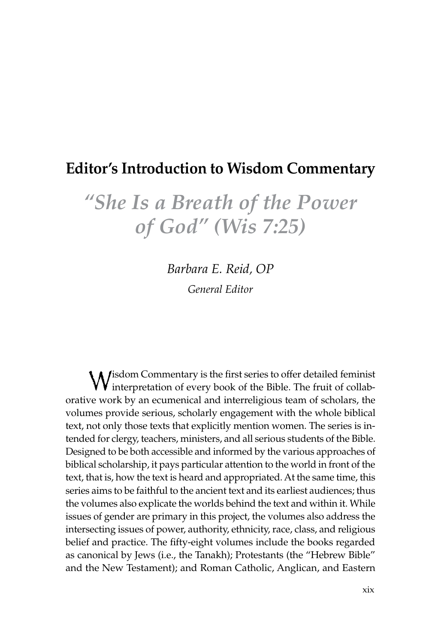## **Editor's Introduction to Wisdom Commentary**

*"She Is a Breath of the Power of God" (Wis 7:25)*

> *Barbara E. Reid, OP General Editor*

Wisdom Commentary is the first series to offer detailed feminist<br>interpretation of every book of the Bible. The fruit of collab-<br>to work by an equipmised and intervalisies team of sebelars, the orative work by an ecumenical and interreligious team of scholars, the volumes provide serious, scholarly engagement with the whole biblical text, not only those texts that explicitly mention women. The series is intended for clergy, teachers, ministers, and all serious students of the Bible. Designed to be both accessible and informed by the various approaches of biblical scholarship, it pays particular attention to the world in front of the text, that is, how the text is heard and appropriated. At the same time, this series aims to be faithful to the ancient text and its earliest audiences; thus the volumes also explicate the worlds behind the text and within it. While issues of gender are primary in this project, the volumes also address the intersecting issues of power, authority, ethnicity, race, class, and religious belief and practice. The fifty-eight volumes include the books regarded as canonical by Jews (i.e., the Tanakh); Protestants (the "Hebrew Bible" and the New Testament); and Roman Catholic, Anglican, and Eastern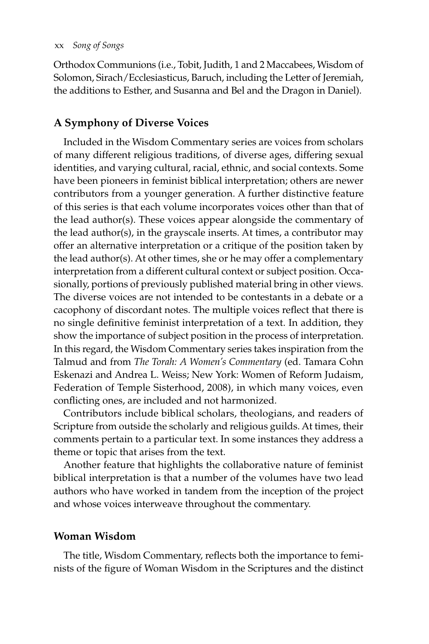Orthodox Communions (i.e., Tobit, Judith, 1 and 2 Maccabees, Wisdom of Solomon, Sirach/Ecclesiasticus, Baruch, including the Letter of Jeremiah, the additions to Esther, and Susanna and Bel and the Dragon in Daniel).

### **A Symphony of Diverse Voices**

Included in the Wisdom Commentary series are voices from scholars of many different religious traditions, of diverse ages, differing sexual identities, and varying cultural, racial, ethnic, and social contexts. Some have been pioneers in feminist biblical interpretation; others are newer contributors from a younger generation. A further distinctive feature of this series is that each volume incorporates voices other than that of the lead author(s). These voices appear alongside the commentary of the lead author(s), in the grayscale inserts. At times, a contributor may offer an alternative interpretation or a critique of the position taken by the lead author(s). At other times, she or he may offer a complementary interpretation from a different cultural context or subject position. Occasionally, portions of previously published material bring in other views. The diverse voices are not intended to be contestants in a debate or a cacophony of discordant notes. The multiple voices reflect that there is no single definitive feminist interpretation of a text. In addition, they show the importance of subject position in the process of interpretation. In this regard, the Wisdom Commentary series takes inspiration from the Talmud and from *The Torah: A Women's Commentary* (ed. Tamara Cohn Eskenazi and Andrea L. Weiss; New York: Women of Reform Judaism, Federation of Temple Sisterhood, 2008), in which many voices, even conflicting ones, are included and not harmonized.

Contributors include biblical scholars, theologians, and readers of Scripture from outside the scholarly and religious guilds. At times, their comments pertain to a particular text. In some instances they address a theme or topic that arises from the text.

Another feature that highlights the collaborative nature of feminist biblical interpretation is that a number of the volumes have two lead authors who have worked in tandem from the inception of the project and whose voices interweave throughout the commentary.

#### **Woman Wisdom**

The title, Wisdom Commentary, reflects both the importance to feminists of the figure of Woman Wisdom in the Scriptures and the distinct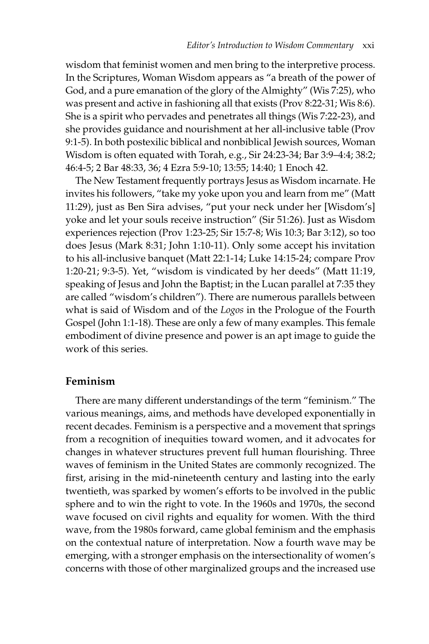wisdom that feminist women and men bring to the interpretive process. In the Scriptures, Woman Wisdom appears as "a breath of the power of God, and a pure emanation of the glory of the Almighty" (Wis 7:25), who was present and active in fashioning all that exists (Prov 8:22-31; Wis 8:6). She is a spirit who pervades and penetrates all things (Wis 7:22-23), and she provides guidance and nourishment at her all-inclusive table (Prov 9:1-5). In both postexilic biblical and nonbiblical Jewish sources, Woman Wisdom is often equated with Torah, e.g., Sir 24:23-34; Bar 3:9–4:4; 38:2; 46:4-5; 2 Bar 48:33, 36; 4 Ezra 5:9-10; 13:55; 14:40; 1 Enoch 42.

The New Testament frequently portrays Jesus as Wisdom incarnate. He invites his followers, "take my yoke upon you and learn from me" (Matt 11:29), just as Ben Sira advises, "put your neck under her [Wisdom's] yoke and let your souls receive instruction" (Sir 51:26). Just as Wisdom experiences rejection (Prov 1:23-25; Sir 15:7-8; Wis 10:3; Bar 3:12), so too does Jesus (Mark 8:31; John 1:10-11). Only some accept his invitation to his all-inclusive banquet (Matt 22:1-14; Luke 14:15-24; compare Prov 1:20-21; 9:3-5). Yet, "wisdom is vindicated by her deeds" (Matt 11:19, speaking of Jesus and John the Baptist; in the Lucan parallel at 7:35 they are called "wisdom's children"). There are numerous parallels between what is said of Wisdom and of the *Logos* in the Prologue of the Fourth Gospel (John 1:1-18). These are only a few of many examples. This female embodiment of divine presence and power is an apt image to guide the work of this series.

#### **Feminism**

There are many different understandings of the term "feminism." The various meanings, aims, and methods have developed exponentially in recent decades. Feminism is a perspective and a movement that springs from a recognition of inequities toward women, and it advocates for changes in whatever structures prevent full human flourishing. Three waves of feminism in the United States are commonly recognized. The first, arising in the mid-nineteenth century and lasting into the early twentieth, was sparked by women's efforts to be involved in the public sphere and to win the right to vote. In the 1960s and 1970s, the second wave focused on civil rights and equality for women. With the third wave, from the 1980s forward, came global feminism and the emphasis on the contextual nature of interpretation. Now a fourth wave may be emerging, with a stronger emphasis on the intersectionality of women's concerns with those of other marginalized groups and the increased use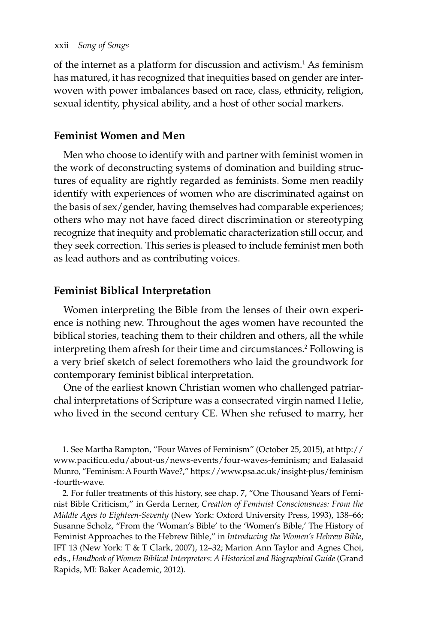of the internet as a platform for discussion and activism.<sup>1</sup> As feminism has matured, it has recognized that inequities based on gender are interwoven with power imbalances based on race, class, ethnicity, religion, sexual identity, physical ability, and a host of other social markers.

#### **Feminist Women and Men**

Men who choose to identify with and partner with feminist women in the work of deconstructing systems of domination and building structures of equality are rightly regarded as feminists. Some men readily identify with experiences of women who are discriminated against on the basis of sex/gender, having themselves had comparable experiences; others who may not have faced direct discrimination or stereotyping recognize that inequity and problematic characterization still occur, and they seek correction. This series is pleased to include feminist men both as lead authors and as contributing voices.

#### **Feminist Biblical Interpretation**

Women interpreting the Bible from the lenses of their own experience is nothing new. Throughout the ages women have recounted the biblical stories, teaching them to their children and others, all the while interpreting them afresh for their time and circumstances.2 Following is a very brief sketch of select foremothers who laid the groundwork for contemporary feminist biblical interpretation.

One of the earliest known Christian women who challenged patriarchal interpretations of Scripture was a consecrated virgin named Helie, who lived in the second century CE. When she refused to marry, her

1. See Martha Rampton, "Four Waves of Feminism" (October 25, 2015), at http:// www.pacificu.edu/about-us/news-events/four-waves-feminism; and Ealasaid Munro, "Feminism: A Fourth Wave?," https://www.psa.ac.uk/insight-plus/feminism -fourth-wave.

2. For fuller treatments of this history, see chap. 7, "One Thousand Years of Feminist Bible Criticism," in Gerda Lerner, *Creation of Feminist Consciousness: From the Middle Ages to Eighteen-Seventy* (New York: Oxford University Press, 1993), 138–66; Susanne Scholz, "From the 'Woman's Bible' to the 'Women's Bible,' The History of Feminist Approaches to the Hebrew Bible," in *Introducing the Women's Hebrew Bible*, IFT 13 (New York: T & T Clark, 2007), 12–32; Marion Ann Taylor and Agnes Choi, eds., *Handbook of Women Biblical Interpreters*: *A Historical and Biographical Guide* (Grand Rapids, MI: Baker Academic, 2012).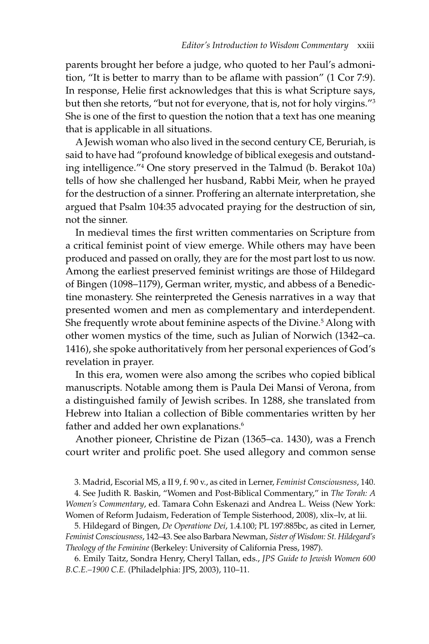parents brought her before a judge, who quoted to her Paul's admonition, "It is better to marry than to be aflame with passion" (1 Cor 7:9). In response, Helie first acknowledges that this is what Scripture says, but then she retorts, "but not for everyone, that is, not for holy virgins."3 She is one of the first to question the notion that a text has one meaning that is applicable in all situations.

A Jewish woman who also lived in the second century CE, Beruriah, is said to have had "profound knowledge of biblical exegesis and outstanding intelligence."4 One story preserved in the Talmud (b. Berakot 10a) tells of how she challenged her husband, Rabbi Meir, when he prayed for the destruction of a sinner. Proffering an alternate interpretation, she argued that Psalm 104:35 advocated praying for the destruction of sin, not the sinner.

In medieval times the first written commentaries on Scripture from a critical feminist point of view emerge. While others may have been produced and passed on orally, they are for the most part lost to us now. Among the earliest preserved feminist writings are those of Hildegard of Bingen (1098–1179), German writer, mystic, and abbess of a Benedictine monastery. She reinterpreted the Genesis narratives in a way that presented women and men as complementary and interdependent. She frequently wrote about feminine aspects of the Divine.<sup>5</sup> Along with other women mystics of the time, such as Julian of Norwich (1342–ca. 1416), she spoke authoritatively from her personal experiences of God's revelation in prayer.

In this era, women were also among the scribes who copied biblical manuscripts. Notable among them is Paula Dei Mansi of Verona, from a distinguished family of Jewish scribes. In 1288, she translated from Hebrew into Italian a collection of Bible commentaries written by her father and added her own explanations.<sup>6</sup>

Another pioneer, Christine de Pizan (1365–ca. 1430), was a French court writer and prolific poet. She used allegory and common sense

3. Madrid, Escorial MS, a II 9, f. 90 v., as cited in Lerner, *Feminist Consciousness*, 140.

4. See Judith R. Baskin, "Women and Post-Biblical Commentary," in *The Torah: A Women's Commentary*, ed. Tamara Cohn Eskenazi and Andrea L. Weiss (New York: Women of Reform Judaism, Federation of Temple Sisterhood, 2008), xlix–lv, at lii.

5. Hildegard of Bingen, *De Operatione Dei*, 1.4.100; PL 197:885bc, as cited in Lerner, *Feminist Consciousness*, 142–43. See also Barbara Newman, *Sister of Wisdom: St. Hildegard's Theology of the Feminine* (Berkeley: University of California Press, 1987).

6. Emily Taitz, Sondra Henry, Cheryl Tallan, eds., *JPS Guide to Jewish Women 600 B.C.E.–1900 C.E.* (Philadelphia: JPS, 2003), 110–11.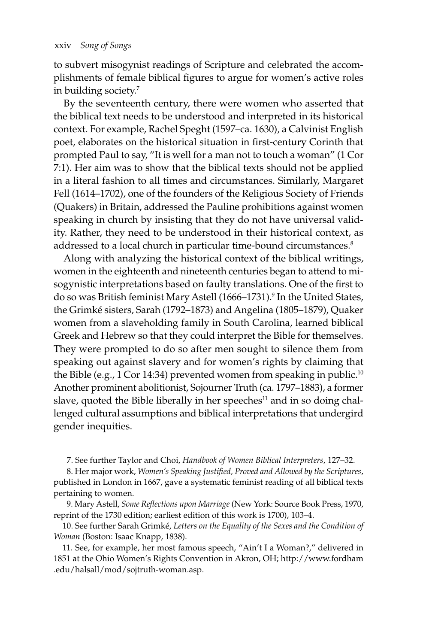to subvert misogynist readings of Scripture and celebrated the accomplishments of female biblical figures to argue for women's active roles in building society.7

By the seventeenth century, there were women who asserted that the biblical text needs to be understood and interpreted in its historical context. For example, Rachel Speght (1597–ca. 1630), a Calvinist English poet, elaborates on the historical situation in first-century Corinth that prompted Paul to say, "It is well for a man not to touch a woman" (1 Cor 7:1). Her aim was to show that the biblical texts should not be applied in a literal fashion to all times and circumstances. Similarly, Margaret Fell (1614–1702), one of the founders of the Religious Society of Friends (Quakers) in Britain, addressed the Pauline prohibitions against women speaking in church by insisting that they do not have universal validity. Rather, they need to be understood in their historical context, as addressed to a local church in particular time-bound circumstances.<sup>8</sup>

Along with analyzing the historical context of the biblical writings, women in the eighteenth and nineteenth centuries began to attend to misogynistic interpretations based on faulty translations. One of the first to do so was British feminist Mary Astell (1666–1731).<sup>9</sup> In the United States, the Grimké sisters, Sarah (1792–1873) and Angelina (1805–1879), Quaker women from a slaveholding family in South Carolina, learned biblical Greek and Hebrew so that they could interpret the Bible for themselves. They were prompted to do so after men sought to silence them from speaking out against slavery and for women's rights by claiming that the Bible (e.g., 1 Cor 14:34) prevented women from speaking in public.<sup>10</sup> Another prominent abolitionist, Sojourner Truth (ca. 1797–1883), a former slave, quoted the Bible liberally in her speeches<sup>11</sup> and in so doing challenged cultural assumptions and biblical interpretations that undergird gender inequities.

7. See further Taylor and Choi, *Handbook of Women Biblical Interpreters*, 127–32.

8. Her major work, *Women's Speaking Justified, Proved and Allowed by the Scriptures*, published in London in 1667, gave a systematic feminist reading of all biblical texts pertaining to women.

9. Mary Astell, *Some Reflections upon Marriage* (New York: Source Book Press, 1970, reprint of the 1730 edition; earliest edition of this work is 1700), 103–4.

10. See further Sarah Grimké, *Letters on the Equality of the Sexes and the Condition of Woman* (Boston: Isaac Knapp, 1838).

11. See, for example, her most famous speech, "Ain't I a Woman?," delivered in 1851 at the Ohio Women's Rights Convention in Akron, OH; http://www.fordham .edu/halsall/mod/sojtruth-woman.asp.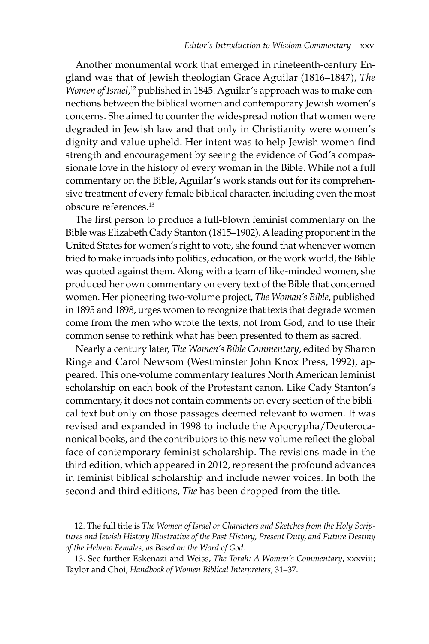Another monumental work that emerged in nineteenth-century England was that of Jewish theologian Grace Aguilar (1816–1847), *The*  Women of Israel,<sup>12</sup> published in 1845. Aguilar's approach was to make connections between the biblical women and contemporary Jewish women's concerns. She aimed to counter the widespread notion that women were degraded in Jewish law and that only in Christianity were women's dignity and value upheld. Her intent was to help Jewish women find strength and encouragement by seeing the evidence of God's compassionate love in the history of every woman in the Bible. While not a full commentary on the Bible, Aguilar's work stands out for its comprehensive treatment of every female biblical character, including even the most obscure references.13

The first person to produce a full-blown feminist commentary on the Bible was Elizabeth Cady Stanton (1815–1902). A leading proponent in the United States for women's right to vote, she found that whenever women tried to make inroads into politics, education, or the work world, the Bible was quoted against them. Along with a team of like-minded women, she produced her own commentary on every text of the Bible that concerned women. Her pioneering two-volume project, *The Woman's Bible*, published in 1895 and 1898, urges women to recognize that texts that degrade women come from the men who wrote the texts, not from God, and to use their common sense to rethink what has been presented to them as sacred.

Nearly a century later, *The Women's Bible Commentary*, edited by Sharon Ringe and Carol Newsom (Westminster John Knox Press, 1992), appeared. This one-volume commentary features North American feminist scholarship on each book of the Protestant canon. Like Cady Stanton's commentary, it does not contain comments on every section of the biblical text but only on those passages deemed relevant to women. It was revised and expanded in 1998 to include the Apocrypha/Deuterocanonical books, and the contributors to this new volume reflect the global face of contemporary feminist scholarship. The revisions made in the third edition, which appeared in 2012, represent the profound advances in feminist biblical scholarship and include newer voices. In both the second and third editions, *The* has been dropped from the title.

12. The full title is *The Women of Israel or Characters and Sketches from the Holy Scriptures and Jewish History Illustrative of the Past History, Present Duty, and Future Destiny of the Hebrew Females, as Based on the Word of God.*

13. See further Eskenazi and Weiss, *The Torah: A Women's Commentary*, xxxviii; Taylor and Choi, *Handbook of Women Biblical Interpreters*, 31–37.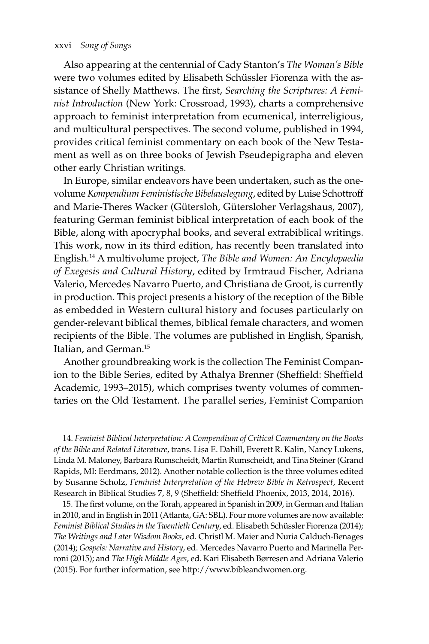Also appearing at the centennial of Cady Stanton's *The Woman's Bible* were two volumes edited by Elisabeth Schüssler Fiorenza with the assistance of Shelly Matthews. The first, *Searching the Scriptures: A Feminist Introduction* (New York: Crossroad, 1993), charts a comprehensive approach to feminist interpretation from ecumenical, interreligious, and multicultural perspectives. The second volume, published in 1994, provides critical feminist commentary on each book of the New Testament as well as on three books of Jewish Pseudepigrapha and eleven other early Christian writings.

In Europe, similar endeavors have been undertaken, such as the onevolume *Kompendium Feministische Bibelauslegung*, edited by Luise Schottroff and Marie-Theres Wacker (Gütersloh, Gütersloher Verlagshaus, 2007), featuring German feminist biblical interpretation of each book of the Bible, along with apocryphal books, and several extrabiblical writings. This work, now in its third edition, has recently been translated into English.14 A multivolume project, *The Bible and Women: An Encylopaedia of Exegesis and Cultural History*, edited by Irmtraud Fischer, Adriana Valerio, Mercedes Navarro Puerto, and Christiana de Groot, is currently in production. This project presents a history of the reception of the Bible as embedded in Western cultural history and focuses particularly on gender-relevant biblical themes, biblical female characters, and women recipients of the Bible. The volumes are published in English, Spanish, Italian, and German.<sup>15</sup>

Another groundbreaking work is the collection The Feminist Companion to the Bible Series, edited by Athalya Brenner (Sheffield: Sheffield Academic, 1993–2015), which comprises twenty volumes of commentaries on the Old Testament. The parallel series, Feminist Companion

14. *Feminist Biblical Interpretation: A Compendium of Critical Commentary on the Books of the Bible and Related Literature*, trans. Lisa E. Dahill, Everett R. Kalin, Nancy Lukens, Linda M. Maloney, Barbara Rumscheidt, Martin Rumscheidt, and Tina Steiner (Grand Rapids, MI: Eerdmans, 2012). Another notable collection is the three volumes edited by Susanne Scholz, *Feminist Interpretation of the Hebrew Bible in Retrospect*, Recent Research in Biblical Studies 7, 8, 9 (Sheffield: Sheffield Phoenix, 2013, 2014, 2016).

15. The first volume, on the Torah, appeared in Spanish in 2009, in German and Italian in 2010, and in English in 2011 (Atlanta, GA: SBL). Four more volumes are now available: *Feminist Biblical Studies in the Twentieth Century*, ed. Elisabeth Schüssler Fiorenza (2014); *The Writings and Later Wisdom Books*, ed. Christl M. Maier and Nuria Calduch-Benages (2014); *Gospels: Narrative and History*, ed. Mercedes Navarro Puerto and Marinella Perroni (2015); and *The High Middle Ages*, ed. Kari Elisabeth Børresen and Adriana Valerio (2015). For further information, see http://www.bibleandwomen.org.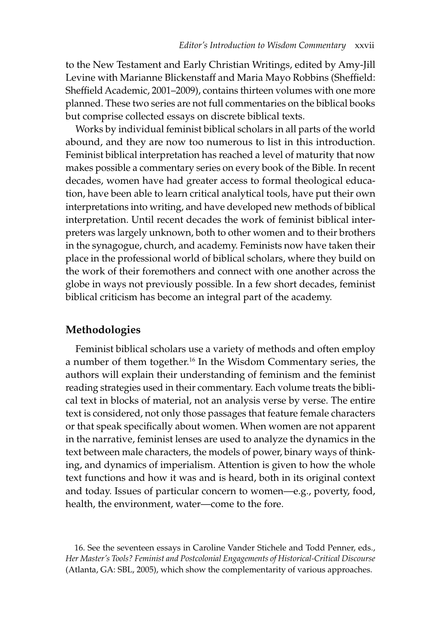to the New Testament and Early Christian Writings, edited by Amy-Jill Levine with Marianne Blickenstaff and Maria Mayo Robbins (Sheffield: Sheffield Academic, 2001–2009), contains thirteen volumes with one more planned. These two series are not full commentaries on the biblical books but comprise collected essays on discrete biblical texts.

Works by individual feminist biblical scholars in all parts of the world abound, and they are now too numerous to list in this introduction. Feminist biblical interpretation has reached a level of maturity that now makes possible a commentary series on every book of the Bible. In recent decades, women have had greater access to formal theological education, have been able to learn critical analytical tools, have put their own interpretations into writing, and have developed new methods of biblical interpretation. Until recent decades the work of feminist biblical interpreters was largely unknown, both to other women and to their brothers in the synagogue, church, and academy. Feminists now have taken their place in the professional world of biblical scholars, where they build on the work of their foremothers and connect with one another across the globe in ways not previously possible. In a few short decades, feminist biblical criticism has become an integral part of the academy.

#### **Methodologies**

Feminist biblical scholars use a variety of methods and often employ a number of them together.<sup>16</sup> In the Wisdom Commentary series, the authors will explain their understanding of feminism and the feminist reading strategies used in their commentary. Each volume treats the biblical text in blocks of material, not an analysis verse by verse. The entire text is considered, not only those passages that feature female characters or that speak specifically about women. When women are not apparent in the narrative, feminist lenses are used to analyze the dynamics in the text between male characters, the models of power, binary ways of thinking, and dynamics of imperialism. Attention is given to how the whole text functions and how it was and is heard, both in its original context and today. Issues of particular concern to women—e.g., poverty, food, health, the environment, water—come to the fore.

16. See the seventeen essays in Caroline Vander Stichele and Todd Penner, eds., *Her Master's Tools? Feminist and Postcolonial Engagements of Historical-Critical Discourse* (Atlanta, GA: SBL, 2005), which show the complementarity of various approaches.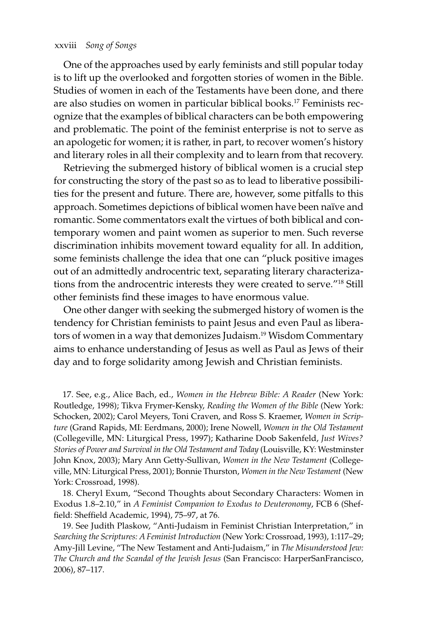One of the approaches used by early feminists and still popular today is to lift up the overlooked and forgotten stories of women in the Bible. Studies of women in each of the Testaments have been done, and there are also studies on women in particular biblical books.17 Feminists recognize that the examples of biblical characters can be both empowering and problematic. The point of the feminist enterprise is not to serve as an apologetic for women; it is rather, in part, to recover women's history and literary roles in all their complexity and to learn from that recovery.

Retrieving the submerged history of biblical women is a crucial step for constructing the story of the past so as to lead to liberative possibilities for the present and future. There are, however, some pitfalls to this approach. Sometimes depictions of biblical women have been naïve and romantic. Some commentators exalt the virtues of both biblical and contemporary women and paint women as superior to men. Such reverse discrimination inhibits movement toward equality for all. In addition, some feminists challenge the idea that one can "pluck positive images out of an admittedly androcentric text, separating literary characterizations from the androcentric interests they were created to serve."18 Still other feminists find these images to have enormous value.

One other danger with seeking the submerged history of women is the tendency for Christian feminists to paint Jesus and even Paul as liberators of women in a way that demonizes Judaism.<sup>19</sup> Wisdom Commentary aims to enhance understanding of Jesus as well as Paul as Jews of their day and to forge solidarity among Jewish and Christian feminists.

17. See, e.g., Alice Bach, ed., *Women in the Hebrew Bible: A Reader* (New York: Routledge, 1998); Tikva Frymer-Kensky, *Reading the Women of the Bible* (New York: Schocken, 2002); Carol Meyers, Toni Craven, and Ross S. Kraemer, *Women in Scripture* (Grand Rapids, MI: Eerdmans, 2000); Irene Nowell, *Women in the Old Testament* (Collegeville, MN: Liturgical Press, 1997); Katharine Doob Sakenfeld, *Just Wives? Stories of Power and Survival in the Old Testament and Today* (Louisville, KY: Westminster John Knox, 2003); Mary Ann Getty-Sullivan, *Women in the New Testament* (Collegeville, MN: Liturgical Press, 2001); Bonnie Thurston, *Women in the New Testament* (New York: Crossroad, 1998).

18. Cheryl Exum, "Second Thoughts about Secondary Characters: Women in Exodus 1.8–2.10," in *A Feminist Companion to Exodus to Deuteronomy*, FCB 6 (Sheffield: Sheffield Academic, 1994), 75–97, at 76.

19. See Judith Plaskow, "Anti-Judaism in Feminist Christian Interpretation," in *Searching the Scriptures: A Feminist Introduction* (New York: Crossroad, 1993), 1:117–29; Amy-Jill Levine, "The New Testament and Anti-Judaism," in *The Misunderstood Jew: The Church and the Scandal of the Jewish Jesus* (San Francisco: HarperSanFrancisco, 2006), 87–117.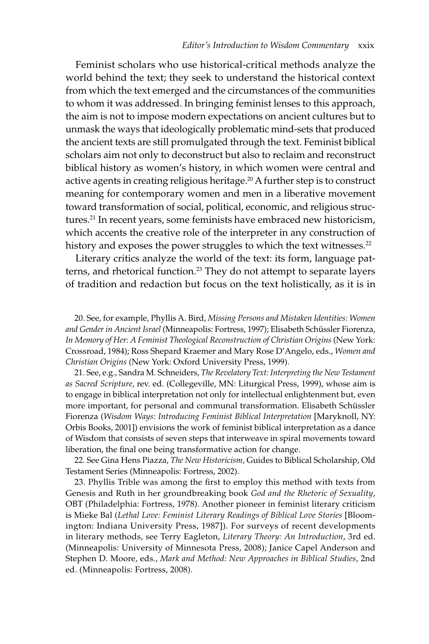Feminist scholars who use historical-critical methods analyze the world behind the text; they seek to understand the historical context from which the text emerged and the circumstances of the communities to whom it was addressed. In bringing feminist lenses to this approach, the aim is not to impose modern expectations on ancient cultures but to unmask the ways that ideologically problematic mind-sets that produced the ancient texts are still promulgated through the text. Feminist biblical scholars aim not only to deconstruct but also to reclaim and reconstruct biblical history as women's history, in which women were central and active agents in creating religious heritage.<sup>20</sup> A further step is to construct meaning for contemporary women and men in a liberative movement toward transformation of social, political, economic, and religious structures.21 In recent years, some feminists have embraced new historicism, which accents the creative role of the interpreter in any construction of history and exposes the power struggles to which the text witnesses.<sup>22</sup>

Literary critics analyze the world of the text: its form, language patterns, and rhetorical function.<sup>23</sup> They do not attempt to separate layers of tradition and redaction but focus on the text holistically, as it is in

20. See, for example, Phyllis A. Bird, *Missing Persons and Mistaken Identities: Women and Gender in Ancient Israel* (Minneapolis: Fortress, 1997); Elisabeth Schüssler Fiorenza, *In Memory of Her: A Feminist Theological Reconstruction of Christian Origins* (New York: Crossroad, 1984); Ross Shepard Kraemer and Mary Rose D'Angelo, eds., *Women and Christian Origins* (New York: Oxford University Press, 1999).

21. See, e.g., Sandra M. Schneiders, *The Revelatory Text: Interpreting the New Testament as Sacred Scripture*, rev. ed. (Collegeville, MN: Liturgical Press, 1999), whose aim is to engage in biblical interpretation not only for intellectual enlightenment but, even more important, for personal and communal transformation. Elisabeth Schüssler Fiorenza (*Wisdom Ways: Introducing Feminist Biblical Interpretation* [Maryknoll, NY: Orbis Books, 2001]) envisions the work of feminist biblical interpretation as a dance of Wisdom that consists of seven steps that interweave in spiral movements toward liberation, the final one being transformative action for change.

22. See Gina Hens Piazza, *The New Historicism*, Guides to Biblical Scholarship, Old Testament Series (Minneapolis: Fortress, 2002).

23. Phyllis Trible was among the first to employ this method with texts from Genesis and Ruth in her groundbreaking book *God and the Rhetoric of Sexuality*, OBT (Philadelphia: Fortress, 1978). Another pioneer in feminist literary criticism is Mieke Bal (*Lethal Love: Feminist Literary Readings of Biblical Love Stories* [Bloomington: Indiana University Press, 1987]). For surveys of recent developments in literary methods, see Terry Eagleton, *Literary Theory: An Introduction*, 3rd ed. (Minneapolis: University of Minnesota Press, 2008); Janice Capel Anderson and Stephen D. Moore, eds., *Mark and Method: New Approaches in Biblical Studies*, 2nd ed. (Minneapolis: Fortress, 2008).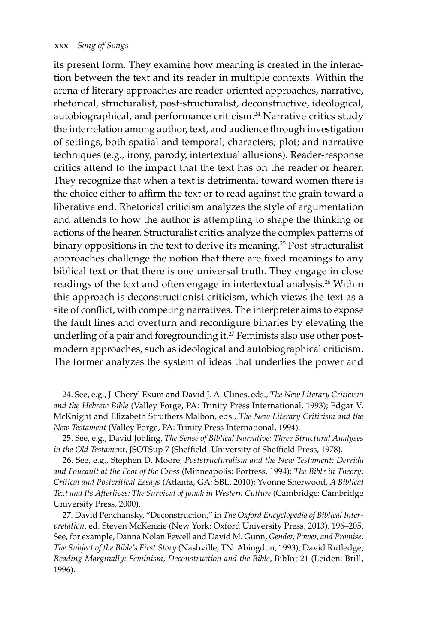its present form. They examine how meaning is created in the interaction between the text and its reader in multiple contexts. Within the arena of literary approaches are reader-oriented approaches, narrative, rhetorical, structuralist, post-structuralist, deconstructive, ideological, autobiographical, and performance criticism.24 Narrative critics study the interrelation among author, text, and audience through investigation of settings, both spatial and temporal; characters; plot; and narrative techniques (e.g., irony, parody, intertextual allusions). Reader-response critics attend to the impact that the text has on the reader or hearer. They recognize that when a text is detrimental toward women there is the choice either to affirm the text or to read against the grain toward a liberative end. Rhetorical criticism analyzes the style of argumentation and attends to how the author is attempting to shape the thinking or actions of the hearer. Structuralist critics analyze the complex patterns of binary oppositions in the text to derive its meaning.<sup>25</sup> Post-structuralist approaches challenge the notion that there are fixed meanings to any biblical text or that there is one universal truth. They engage in close readings of the text and often engage in intertextual analysis.<sup>26</sup> Within this approach is deconstructionist criticism, which views the text as a site of conflict, with competing narratives. The interpreter aims to expose the fault lines and overturn and reconfigure binaries by elevating the underling of a pair and foregrounding it.<sup>27</sup> Feminists also use other postmodern approaches, such as ideological and autobiographical criticism. The former analyzes the system of ideas that underlies the power and

24. See, e.g., J. Cheryl Exum and David J. A. Clines, eds., *The New Literary Criticism and the Hebrew Bible* (Valley Forge, PA: Trinity Press International, 1993); Edgar V. McKnight and Elizabeth Struthers Malbon, eds., *The New Literary Criticism and the New Testament* (Valley Forge, PA: Trinity Press International, 1994).

25. See, e.g., David Jobling, *The Sense of Biblical Narrative: Three Structural Analyses in the Old Testament*, JSOTSup 7 (Sheffield: University of Sheffield Press, 1978).

26. See, e.g., Stephen D. Moore, *Poststructuralism and the New Testament: Derrida and Foucault at the Foot of the Cross* (Minneapolis: Fortress, 1994); *The Bible in Theory: Critical and Postcritical Essays* (Atlanta, GA: SBL, 2010); Yvonne Sherwood, *A Biblical Text and Its Afterlives: The Survival of Jonah in Western Culture* (Cambridge: Cambridge University Press, 2000).

27. David Penchansky, "Deconstruction," in *The Oxford Encyclopedia of Biblical Interpretation*, ed. Steven McKenzie (New York: Oxford University Press, 2013), 196–205. See, for example, Danna Nolan Fewell and David M. Gunn, *Gender, Power, and Promise: The Subject of the Bible's First Story* (Nashville, TN: Abingdon, 1993); David Rutledge, *Reading Marginally: Feminism, Deconstruction and the Bible*, BibInt 21 (Leiden: Brill, 1996).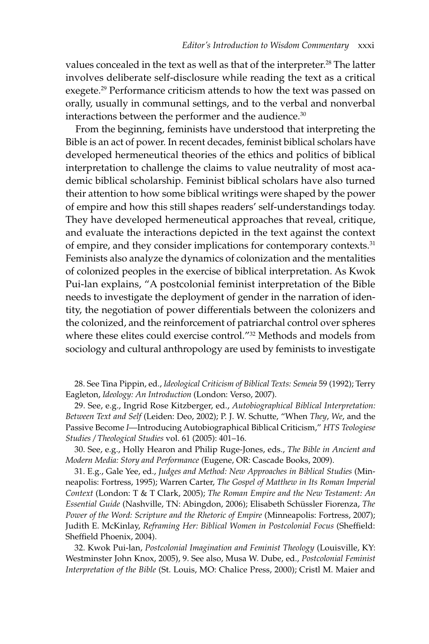values concealed in the text as well as that of the interpreter.<sup>28</sup> The latter involves deliberate self-disclosure while reading the text as a critical exegete.<sup>29</sup> Performance criticism attends to how the text was passed on orally, usually in communal settings, and to the verbal and nonverbal interactions between the performer and the audience.<sup>30</sup>

From the beginning, feminists have understood that interpreting the Bible is an act of power. In recent decades, feminist biblical scholars have developed hermeneutical theories of the ethics and politics of biblical interpretation to challenge the claims to value neutrality of most academic biblical scholarship. Feminist biblical scholars have also turned their attention to how some biblical writings were shaped by the power of empire and how this still shapes readers' self-understandings today. They have developed hermeneutical approaches that reveal, critique, and evaluate the interactions depicted in the text against the context of empire, and they consider implications for contemporary contexts.<sup>31</sup> Feminists also analyze the dynamics of colonization and the mentalities of colonized peoples in the exercise of biblical interpretation. As Kwok Pui-lan explains, "A postcolonial feminist interpretation of the Bible needs to investigate the deployment of gender in the narration of identity, the negotiation of power differentials between the colonizers and the colonized, and the reinforcement of patriarchal control over spheres where these elites could exercise control."<sup>32</sup> Methods and models from sociology and cultural anthropology are used by feminists to investigate

28. See Tina Pippin, ed., *Ideological Criticism of Biblical Texts: Semeia* 59 (1992); Terry Eagleton, *Ideology: An Introduction* (London: Verso, 2007).

29. See, e.g., Ingrid Rose Kitzberger, ed., *Autobiographical Biblical Interpretation: Between Text and Self* (Leiden: Deo, 2002); P. J. W. Schutte, "When *They*, *We*, and the Passive Become *I*—Introducing Autobiographical Biblical Criticism," *HTS Teologiese Studies / Theological Studies* vol. 61 (2005): 401–16.

30. See, e.g., Holly Hearon and Philip Ruge-Jones, eds., *The Bible in Ancient and Modern Media: Story and Performance* (Eugene, OR: Cascade Books, 2009).

31. E.g., Gale Yee, ed., *Judges and Method: New Approaches in Biblical Studies* (Minneapolis: Fortress, 1995); Warren Carter, *The Gospel of Matthew in Its Roman Imperial Context* (London: T & T Clark, 2005); *The Roman Empire and the New Testament: An Essential Guide* (Nashville, TN: Abingdon, 2006); Elisabeth Schüssler Fiorenza, *The Power of the Word: Scripture and the Rhetoric of Empire* (Minneapolis: Fortress, 2007); Judith E. McKinlay, *Reframing Her: Biblical Women in Postcolonial Focus* (Sheffield: Sheffield Phoenix, 2004).

32. Kwok Pui-lan, *Postcolonial Imagination and Feminist Theology* (Louisville, KY: Westminster John Knox, 2005), 9. See also, Musa W. Dube, ed., *Postcolonial Feminist Interpretation of the Bible* (St. Louis, MO: Chalice Press, 2000); Cristl M. Maier and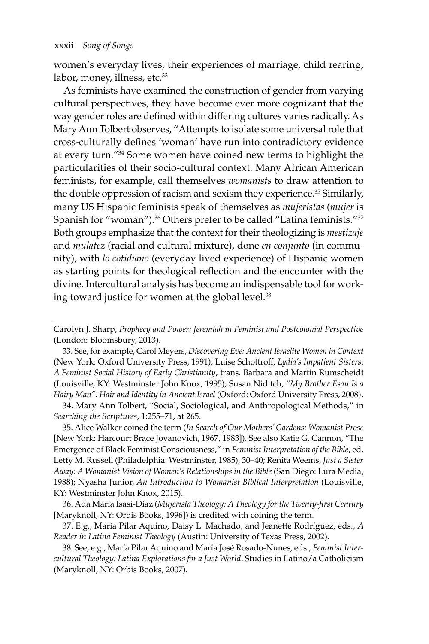women's everyday lives, their experiences of marriage, child rearing, labor, money, illness, etc.<sup>33</sup>

As feminists have examined the construction of gender from varying cultural perspectives, they have become ever more cognizant that the way gender roles are defined within differing cultures varies radically. As Mary Ann Tolbert observes, "Attempts to isolate some universal role that cross-culturally defines 'woman' have run into contradictory evidence at every turn."34 Some women have coined new terms to highlight the particularities of their socio-cultural context. Many African American feminists, for example, call themselves *womanists* to draw attention to the double oppression of racism and sexism they experience.35 Similarly, many US Hispanic feminists speak of themselves as *mujeristas* (*mujer* is Spanish for "woman").<sup>36</sup> Others prefer to be called "Latina feminists."<sup>37</sup> Both groups emphasize that the context for their theologizing is *mestizaje* and *mulatez* (racial and cultural mixture), done *en conjunto* (in community), with *lo cotidiano* (everyday lived experience) of Hispanic women as starting points for theological reflection and the encounter with the divine. Intercultural analysis has become an indispensable tool for working toward justice for women at the global level.<sup>38</sup>

35. Alice Walker coined the term (*In Search of Our Mothers' Gardens: Womanist Prose* [New York: Harcourt Brace Jovanovich, 1967, 1983]). See also Katie G. Cannon, "The Emergence of Black Feminist Consciousness," in *Feminist Interpretation of the Bible*, ed. Letty M. Russell (Philadelphia: Westminster, 1985), 30–40; Renita Weems, *Just a Sister Away: A Womanist Vision of Women's Relationships in the Bible* (San Diego: Lura Media, 1988); Nyasha Junior, *An Introduction to Womanist Biblical Interpretation* (Louisville, KY: Westminster John Knox, 2015).

36. Ada María Isasi-Díaz (*Mujerista Theology: A Theology for the Twenty-first Century* [Maryknoll, NY: Orbis Books, 1996]) is credited with coining the term.

37. E.g., María Pilar Aquino, Daisy L. Machado, and Jeanette Rodríguez, eds., *A Reader in Latina Feminist Theology* (Austin: University of Texas Press, 2002).

38. See, e.g., María Pilar Aquino and María José Rosado-Nunes, eds., *Feminist Intercultural Theology: Latina Explorations for a Just World*, Studies in Latino/a Catholicism (Maryknoll, NY: Orbis Books, 2007).

Carolyn J. Sharp, *Prophecy and Power: Jeremiah in Feminist and Postcolonial Perspective* (London: Bloomsbury, 2013).

<sup>33.</sup> See, for example, Carol Meyers, *Discovering Eve: Ancient Israelite Women in Context* (New York: Oxford University Press, 1991); Luise Schottroff, *Lydia's Impatient Sisters: A Feminist Social History of Early Christianity*, trans. Barbara and Martin Rumscheidt (Louisville, KY: Westminster John Knox, 1995); Susan Niditch, *"My Brother Esau Is a Hairy Man": Hair and Identity in Ancient Israel* (Oxford: Oxford University Press, 2008).

<sup>34.</sup> Mary Ann Tolbert, "Social, Sociological, and Anthropological Methods," in *Searching the Scriptures*, 1:255–71, at 265.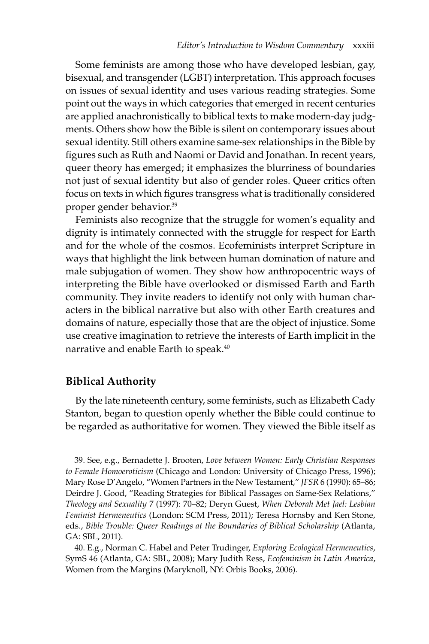Some feminists are among those who have developed lesbian, gay, bisexual, and transgender (LGBT) interpretation. This approach focuses on issues of sexual identity and uses various reading strategies. Some point out the ways in which categories that emerged in recent centuries are applied anachronistically to biblical texts to make modern-day judgments. Others show how the Bible is silent on contemporary issues about sexual identity. Still others examine same-sex relationships in the Bible by figures such as Ruth and Naomi or David and Jonathan. In recent years, queer theory has emerged; it emphasizes the blurriness of boundaries not just of sexual identity but also of gender roles. Queer critics often focus on texts in which figures transgress what is traditionally considered proper gender behavior.39

Feminists also recognize that the struggle for women's equality and dignity is intimately connected with the struggle for respect for Earth and for the whole of the cosmos. Ecofeminists interpret Scripture in ways that highlight the link between human domination of nature and male subjugation of women. They show how anthropocentric ways of interpreting the Bible have overlooked or dismissed Earth and Earth community. They invite readers to identify not only with human characters in the biblical narrative but also with other Earth creatures and domains of nature, especially those that are the object of injustice. Some use creative imagination to retrieve the interests of Earth implicit in the narrative and enable Earth to speak.<sup>40</sup>

#### **Biblical Authority**

By the late nineteenth century, some feminists, such as Elizabeth Cady Stanton, began to question openly whether the Bible could continue to be regarded as authoritative for women. They viewed the Bible itself as

39. See, e.g., Bernadette J. Brooten, *Love between Women: Early Christian Responses to Female Homoeroticism* (Chicago and London: University of Chicago Press, 1996); Mary Rose D'Angelo, "Women Partners in the New Testament," *JFSR* 6 (1990): 65–86; Deirdre J. Good, "Reading Strategies for Biblical Passages on Same-Sex Relations," *Theology and Sexuality* 7 (1997): 70–82; Deryn Guest, *When Deborah Met Jael: Lesbian Feminist Hermeneutics* (London: SCM Press, 2011); Teresa Hornsby and Ken Stone, eds., *Bible Trouble: Queer Readings at the Boundaries of Biblical Scholarship* (Atlanta, GA: SBL, 2011).

40. E.g., Norman C. Habel and Peter Trudinger, *Exploring Ecological Hermeneutics*, SymS 46 (Atlanta, GA: SBL, 2008); Mary Judith Ress, *Ecofeminism in Latin America*, Women from the Margins (Maryknoll, NY: Orbis Books, 2006).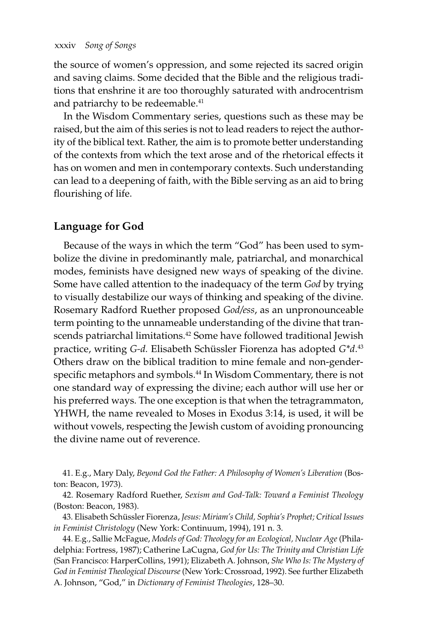the source of women's oppression, and some rejected its sacred origin and saving claims. Some decided that the Bible and the religious traditions that enshrine it are too thoroughly saturated with androcentrism and patriarchy to be redeemable.<sup>41</sup>

In the Wisdom Commentary series, questions such as these may be raised, but the aim of this series is not to lead readers to reject the authority of the biblical text. Rather, the aim is to promote better understanding of the contexts from which the text arose and of the rhetorical effects it has on women and men in contemporary contexts. Such understanding can lead to a deepening of faith, with the Bible serving as an aid to bring flourishing of life.

#### **Language for God**

Because of the ways in which the term "God" has been used to symbolize the divine in predominantly male, patriarchal, and monarchical modes, feminists have designed new ways of speaking of the divine. Some have called attention to the inadequacy of the term *God* by trying to visually destabilize our ways of thinking and speaking of the divine. Rosemary Radford Ruether proposed *God/ess*, as an unpronounceable term pointing to the unnameable understanding of the divine that transcends patriarchal limitations.<sup>42</sup> Some have followed traditional Jewish practice, writing *G-d.* Elisabeth Schüssler Fiorenza has adopted *G\*d*. 43 Others draw on the biblical tradition to mine female and non-genderspecific metaphors and symbols.<sup>44</sup> In Wisdom Commentary, there is not one standard way of expressing the divine; each author will use her or his preferred ways. The one exception is that when the tetragrammaton, YHWH, the name revealed to Moses in Exodus 3:14, is used, it will be without vowels, respecting the Jewish custom of avoiding pronouncing the divine name out of reverence.

41. E.g., Mary Daly, *Beyond God the Father: A Philosophy of Women's Liberation* (Boston: Beacon, 1973).

42. Rosemary Radford Ruether, *Sexism and God-Talk: Toward a Feminist Theology* (Boston: Beacon, 1983).

43. Elisabeth Schüssler Fiorenza, *Jesus: Miriam's Child, Sophia's Prophet; Critical Issues in Feminist Christology* (New York: Continuum, 1994), 191 n. 3.

44. E.g., Sallie McFague, *Models of God: Theology for an Ecological, Nuclear Age* (Philadelphia: Fortress, 1987); Catherine LaCugna, *God for Us: The Trinity and Christian Life* (San Francisco: HarperCollins, 1991); Elizabeth A. Johnson, *She Who Is: The Mystery of God in Feminist Theological Discourse* (New York: Crossroad, 1992). See further Elizabeth A. Johnson, "God," in *Dictionary of Feminist Theologies*, 128–30.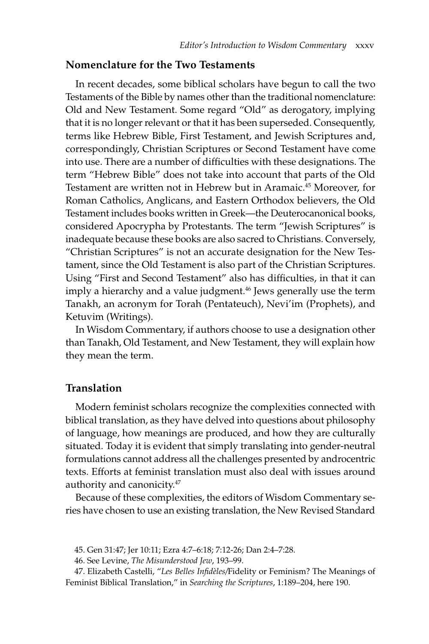#### **Nomenclature for the Two Testaments**

In recent decades, some biblical scholars have begun to call the two Testaments of the Bible by names other than the traditional nomenclature: Old and New Testament. Some regard "Old" as derogatory, implying that it is no longer relevant or that it has been superseded. Consequently, terms like Hebrew Bible, First Testament, and Jewish Scriptures and, correspondingly, Christian Scriptures or Second Testament have come into use. There are a number of difficulties with these designations. The term "Hebrew Bible" does not take into account that parts of the Old Testament are written not in Hebrew but in Aramaic.<sup>45</sup> Moreover, for Roman Catholics, Anglicans, and Eastern Orthodox believers, the Old Testament includes books written in Greek—the Deuterocanonical books, considered Apocrypha by Protestants. The term "Jewish Scriptures" is inadequate because these books are also sacred to Christians. Conversely, "Christian Scriptures" is not an accurate designation for the New Testament, since the Old Testament is also part of the Christian Scriptures. Using "First and Second Testament" also has difficulties, in that it can imply a hierarchy and a value judgment.<sup>46</sup> Jews generally use the term Tanakh, an acronym for Torah (Pentateuch), Nevi'im (Prophets), and Ketuvim (Writings).

In Wisdom Commentary, if authors choose to use a designation other than Tanakh, Old Testament, and New Testament, they will explain how they mean the term.

#### **Translation**

Modern feminist scholars recognize the complexities connected with biblical translation, as they have delved into questions about philosophy of language, how meanings are produced, and how they are culturally situated. Today it is evident that simply translating into gender-neutral formulations cannot address all the challenges presented by androcentric texts. Efforts at feminist translation must also deal with issues around authority and canonicity.<sup>47</sup>

Because of these complexities, the editors of Wisdom Commentary series have chosen to use an existing translation, the New Revised Standard

<sup>45.</sup> Gen 31:47; Jer 10:11; Ezra 4:7–6:18; 7:12-26; Dan 2:4–7:28.

<sup>46.</sup> See Levine, *The Misunderstood Jew*, 193–99.

<sup>47.</sup> Elizabeth Castelli, "*Les Belles Infidèles/*Fidelity or Feminism? The Meanings of Feminist Biblical Translation," in *Searching the Scriptures*, 1:189–204, here 190.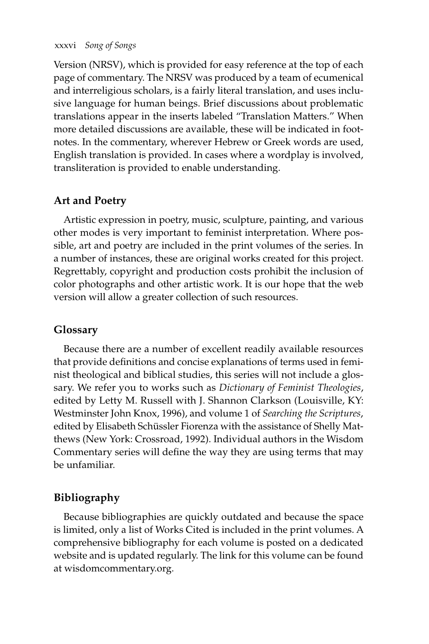Version (NRSV), which is provided for easy reference at the top of each page of commentary. The NRSV was produced by a team of ecumenical and interreligious scholars, is a fairly literal translation, and uses inclusive language for human beings. Brief discussions about problematic translations appear in the inserts labeled "Translation Matters." When more detailed discussions are available, these will be indicated in footnotes. In the commentary, wherever Hebrew or Greek words are used, English translation is provided. In cases where a wordplay is involved, transliteration is provided to enable understanding.

#### **Art and Poetry**

Artistic expression in poetry, music, sculpture, painting, and various other modes is very important to feminist interpretation. Where possible, art and poetry are included in the print volumes of the series. In a number of instances, these are original works created for this project. Regrettably, copyright and production costs prohibit the inclusion of color photographs and other artistic work. It is our hope that the web version will allow a greater collection of such resources.

#### **Glossary**

Because there are a number of excellent readily available resources that provide definitions and concise explanations of terms used in feminist theological and biblical studies, this series will not include a glossary. We refer you to works such as *Dictionary of Feminist Theologies*, edited by Letty M. Russell with J. Shannon Clarkson (Louisville, KY: Westminster John Knox, 1996), and volume 1 of *Searching the Scriptures*, edited by Elisabeth Schüssler Fiorenza with the assistance of Shelly Matthews (New York: Crossroad, 1992). Individual authors in the Wisdom Commentary series will define the way they are using terms that may be unfamiliar.

#### **Bibliography**

Because bibliographies are quickly outdated and because the space is limited, only a list of Works Cited is included in the print volumes. A comprehensive bibliography for each volume is posted on a dedicated website and is updated regularly. The link for this volume can be found at wisdomcommentary.org.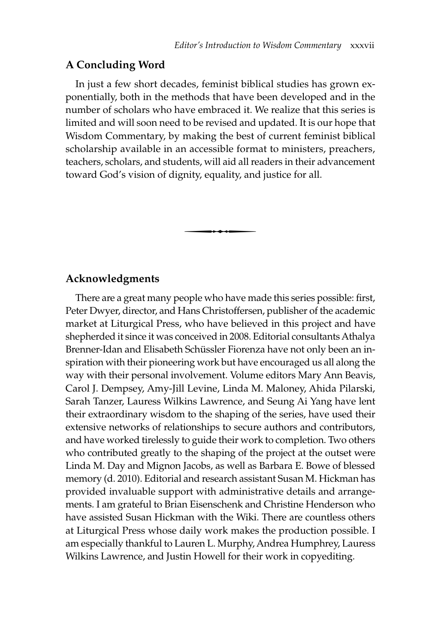## **A Concluding Word**

In just a few short decades, feminist biblical studies has grown exponentially, both in the methods that have been developed and in the number of scholars who have embraced it. We realize that this series is limited and will soon need to be revised and updated. It is our hope that Wisdom Commentary, by making the best of current feminist biblical scholarship available in an accessible format to ministers, preachers, teachers, scholars, and students, will aid all readers in their advancement toward God's vision of dignity, equality, and justice for all.

 $\overline{\phantom{a}}$ 

#### **Acknowledgments**

There are a great many people who have made this series possible: first, Peter Dwyer, director, and Hans Christoffersen, publisher of the academic market at Liturgical Press, who have believed in this project and have shepherded it since it was conceived in 2008. Editorial consultants Athalya Brenner-Idan and Elisabeth Schüssler Fiorenza have not only been an inspiration with their pioneering work but have encouraged us all along the way with their personal involvement. Volume editors Mary Ann Beavis, Carol J. Dempsey, Amy-Jill Levine, Linda M. Maloney, Ahida Pilarski, Sarah Tanzer, Lauress Wilkins Lawrence, and Seung Ai Yang have lent their extraordinary wisdom to the shaping of the series, have used their extensive networks of relationships to secure authors and contributors, and have worked tirelessly to guide their work to completion. Two others who contributed greatly to the shaping of the project at the outset were Linda M. Day and Mignon Jacobs, as well as Barbara E. Bowe of blessed memory (d. 2010). Editorial and research assistant Susan M. Hickman has provided invaluable support with administrative details and arrangements. I am grateful to Brian Eisenschenk and Christine Henderson who have assisted Susan Hickman with the Wiki. There are countless others at Liturgical Press whose daily work makes the production possible. I am especially thankful to Lauren L. Murphy, Andrea Humphrey, Lauress Wilkins Lawrence, and Justin Howell for their work in copyediting.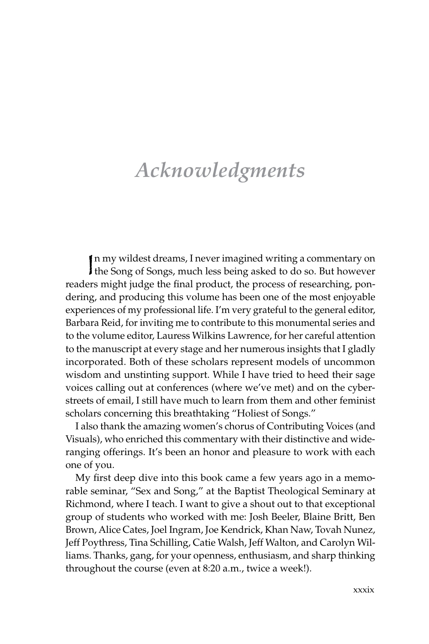# *Acknowledgments*

In my wildest dreams, I never imagined writing a commentary on<br>the Song of Songs, much less being asked to do so. But however<br>pre-might judge the final product, the precess of receptably a pen n my wildest dreams, I never imagined writing a commentary on readers might judge the final product, the process of researching, pondering, and producing this volume has been one of the most enjoyable experiences of my professional life. I'm very grateful to the general editor, Barbara Reid, for inviting me to contribute to this monumental series and to the volume editor, Lauress Wilkins Lawrence, for her careful attention to the manuscript at every stage and her numerous insights that I gladly incorporated. Both of these scholars represent models of uncommon wisdom and unstinting support. While I have tried to heed their sage voices calling out at conferences (where we've met) and on the cyberstreets of email, I still have much to learn from them and other feminist scholars concerning this breathtaking "Holiest of Songs."

I also thank the amazing women's chorus of Contributing Voices (and Visuals), who enriched this commentary with their distinctive and wideranging offerings. It's been an honor and pleasure to work with each one of you.

My first deep dive into this book came a few years ago in a memorable seminar, "Sex and Song," at the Baptist Theological Seminary at Richmond, where I teach. I want to give a shout out to that exceptional group of students who worked with me: Josh Beeler, Blaine Britt, Ben Brown, Alice Cates, Joel Ingram, Joe Kendrick, Khan Naw, Tovah Nunez, Jeff Poythress, Tina Schilling, Catie Walsh, Jeff Walton, and Carolyn Williams. Thanks, gang, for your openness, enthusiasm, and sharp thinking throughout the course (even at 8:20 a.m., twice a week!).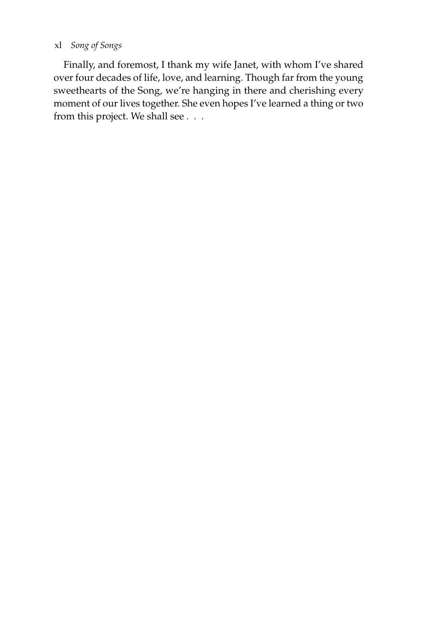## xl *Song of Songs*

Finally, and foremost, I thank my wife Janet, with whom I've shared over four decades of life, love, and learning. Though far from the young sweethearts of the Song, we're hanging in there and cherishing every moment of our lives together. She even hopes I've learned a thing or two from this project. We shall see . . .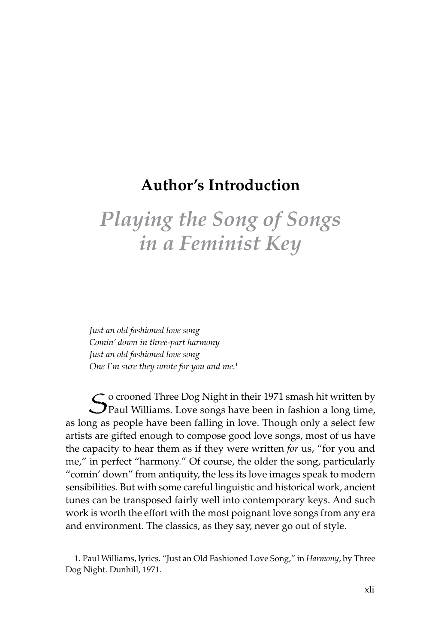# **Author's Introduction**

# *Playing the Song of Songs in a Feminist Key*

*Just an old fashioned love song Comin' down in three-part harmony Just an old fashioned love song One I'm sure they wrote for you and me.*<sup>1</sup>

So crooned Three Dog Night in their 1971 smash hit written by Paul Williams. Love songs have been in fashion a long time, as long as people have been falling in love. Though only a select few artists are gifted enough to compose good love songs, most of us have the capacity to hear them as if they were written *for* us, "for you and me," in perfect "harmony." Of course, the older the song, particularly "comin' down" from antiquity, the less its love images speak to modern sensibilities. But with some careful linguistic and historical work, ancient tunes can be transposed fairly well into contemporary keys. And such work is worth the effort with the most poignant love songs from any era and environment. The classics, as they say, never go out of style.

1. Paul Williams, lyrics. "Just an Old Fashioned Love Song," in *Harmony*, by Three Dog Night. Dunhill, 1971.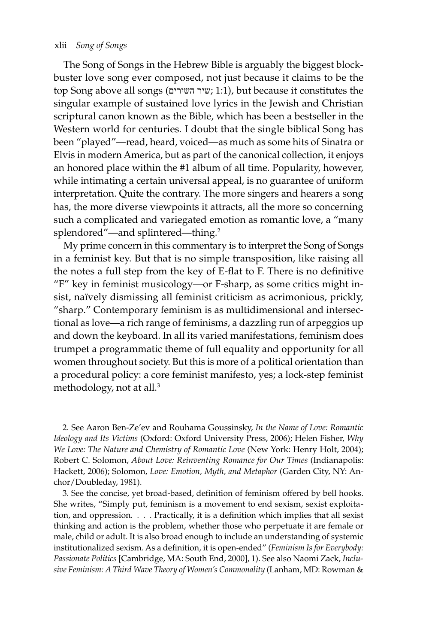The Song of Songs in the Hebrew Bible is arguably the biggest blockbuster love song ever composed, not just because it claims to be the top Song above all songs (שיר השירים; 1:1), but because it constitutes the singular example of sustained love lyrics in the Jewish and Christian scriptural canon known as the Bible, which has been a bestseller in the Western world for centuries. I doubt that the single biblical Song has been "played"—read, heard, voiced—as much as some hits of Sinatra or Elvis in modern America, but as part of the canonical collection, it enjoys an honored place within the #1 album of all time. Popularity, however, while intimating a certain universal appeal, is no guarantee of uniform interpretation. Quite the contrary. The more singers and hearers a song has, the more diverse viewpoints it attracts, all the more so concerning such a complicated and variegated emotion as romantic love, a "many splendored"—and splintered—thing.<sup>2</sup>

My prime concern in this commentary is to interpret the Song of Songs in a feminist key. But that is no simple transposition, like raising all the notes a full step from the key of E-flat to F. There is no definitive "F" key in feminist musicology—or F-sharp, as some critics might insist, naïvely dismissing all feminist criticism as acrimonious, prickly, "sharp." Contemporary feminism is as multidimensional and intersectional as love—a rich range of feminism*s*, a dazzling run of arpeggios up and down the keyboard. In all its varied manifestations, feminism does trumpet a programmatic theme of full equality and opportunity for all women throughout society. But this is more of a political orientation than a procedural policy: a core feminist manifesto, yes; a lock-step feminist methodology, not at all.<sup>3</sup>

2. See Aaron Ben-Ze'ev and Rouhama Goussinsky, *In the Name of Love: Romantic Ideology and Its Victims* (Oxford: Oxford University Press, 2006); Helen Fisher, *Why We Love: The Nature and Chemistry of Romantic Love* (New York: Henry Holt, 2004); Robert C. Solomon, *About Love: Reinventing Romance for Our Times* (Indianapolis: Hackett, 2006); Solomon, *Love: Emotion, Myth, and Metaphor* (Garden City, NY: Anchor/Doubleday, 1981).

3. See the concise, yet broad-based, definition of feminism offered by bell hooks. She writes, "Simply put, feminism is a movement to end sexism, sexist exploitation, and oppression. . . . Practically, it is a definition which implies that all sexist thinking and action is the problem, whether those who perpetuate it are female or male, child or adult. It is also broad enough to include an understanding of systemic institutionalized sexism. As a definition, it is open-ended" (*Feminism Is for Everybody: Passionate Politics* [Cambridge, MA: South End, 2000], 1). See also Naomi Zack, *Inclusive Feminism: A Third Wave Theory of Women's Commonality* (Lanham, MD: Rowman &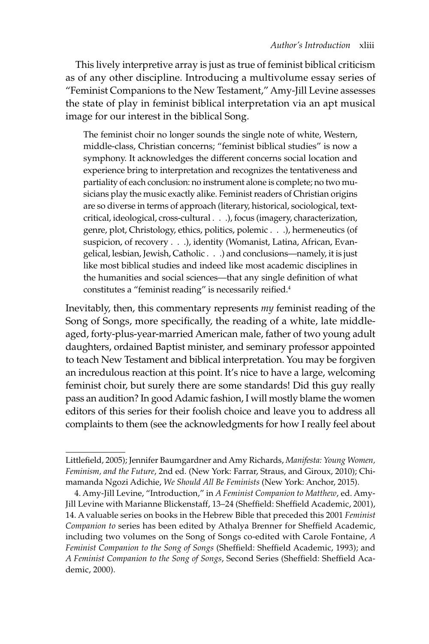This lively interpretive array is just as true of feminist biblical criticism as of any other discipline. Introducing a multivolume essay series of "Feminist Companions to the New Testament," Amy-Jill Levine assesses the state of play in feminist biblical interpretation via an apt musical image for our interest in the biblical Song.

The feminist choir no longer sounds the single note of white, Western, middle-class, Christian concerns; "feminist biblical studies" is now a symphony. It acknowledges the different concerns social location and experience bring to interpretation and recognizes the tentativeness and partiality of each conclusion: no instrument alone is complete; no two musicians play the music exactly alike. Feminist readers of Christian origins are so diverse in terms of approach (literary, historical, sociological, textcritical, ideological, cross-cultural . . .), focus (imagery, characterization, genre, plot, Christology, ethics, politics, polemic . . .), hermeneutics (of suspicion, of recovery . . .), identity (Womanist, Latina, African, Evangelical, lesbian, Jewish, Catholic . . .) and conclusions—namely, it is just like most biblical studies and indeed like most academic disciplines in the humanities and social sciences—that any single definition of what constitutes a "feminist reading" is necessarily reified.4

Inevitably, then, this commentary represents *my* feminist reading of the Song of Songs, more specifically, the reading of a white, late middleaged, forty-plus-year-married American male, father of two young adult daughters, ordained Baptist minister, and seminary professor appointed to teach New Testament and biblical interpretation. You may be forgiven an incredulous reaction at this point. It's nice to have a large, welcoming feminist choir, but surely there are some standards! Did this guy really pass an audition? In good Adamic fashion, I will mostly blame the women editors of this series for their foolish choice and leave you to address all complaints to them (see the acknowledgments for how I really feel about

Littlefield, 2005); Jennifer Baumgardner and Amy Richards, *Manifesta: Young Women, Feminism, and the Future*, 2nd ed. (New York: Farrar, Straus, and Giroux, 2010); Chimamanda Ngozi Adichie, *We Should All Be Feminists* (New York: Anchor, 2015).

<sup>4.</sup> Amy-Jill Levine, "Introduction," in *A Feminist Companion to Matthew*, ed. Amy-Jill Levine with Marianne Blickenstaff, 13–24 (Sheffield: Sheffield Academic, 2001), 14. A valuable series on books in the Hebrew Bible that preceded this 2001 *Feminist Companion to* series has been edited by Athalya Brenner for Sheffield Academic, including two volumes on the Song of Songs co-edited with Carole Fontaine, *A Feminist Companion to the Song of Songs* (Sheffield: Sheffield Academic, 1993); and *A Feminist Companion to the Song of Songs*, Second Series (Sheffield: Sheffield Academic, 2000).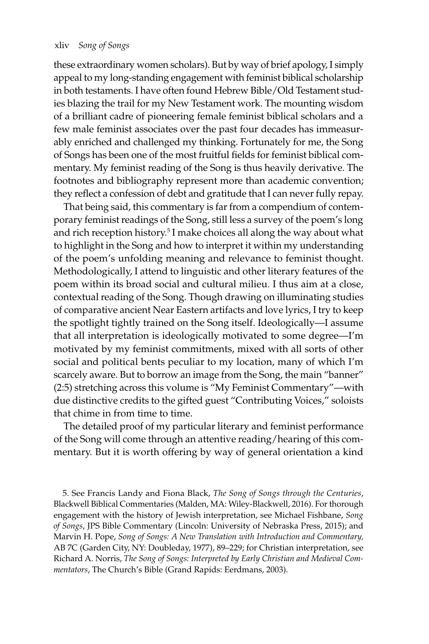these extraordinary women scholars). But by way of brief apology, I simply appeal to my long-standing engagement with feminist biblical scholarship in both testaments. I have often found Hebrew Bible/Old Testament studies blazing the trail for my New Testament work. The mounting wisdom of a brilliant cadre of pioneering female feminist biblical scholars and a few male feminist associates over the past four decades has immeasurably enriched and challenged my thinking. Fortunately for me, the Song of Songs has been one of the most fruitful fields for feminist biblical commentary. My feminist reading of the Song is thus heavily derivative. The footnotes and bibliography represent more than academic convention; they reflect a confession of debt and gratitude that I can never fully repay.

That being said, this commentary is far from a compendium of contemporary feminist readings of the Song, still less a survey of the poem's long and rich reception history.<sup>5</sup> I make choices all along the way about what to highlight in the Song and how to interpret it within my understanding of the poem's unfolding meaning and relevance to feminist thought. Methodologically, I attend to linguistic and other literary features of the poem within its broad social and cultural milieu. I thus aim at a close, contextual reading of the Song. Though drawing on illuminating studies of comparative ancient Near Eastern artifacts and love lyrics, I try to keep the spotlight tightly trained on the Song itself. Ideologically—I assume that all interpretation is ideologically motivated to some degree—I'm motivated by my feminist commitments, mixed with all sorts of other social and political bents peculiar to my location, many of which I'm scarcely aware. But to borrow an image from the Song, the main "banner" (2:5) stretching across this volume is "My Feminist Commentary"—with due distinctive credits to the gifted guest "Contributing Voices," soloists that chime in from time to time.

The detailed proof of my particular literary and feminist performance of the Song will come through an attentive reading/hearing of this commentary. But it is worth offering by way of general orientation a kind

5. See Francis Landy and Fiona Black, *The Song of Songs through the Centuries*, Blackwell Biblical Commentaries (Malden, MA: Wiley-Blackwell, 2016). For thorough engagement with the history of Jewish interpretation, see Michael Fishbane, *Song of Songs*, JPS Bible Commentary (Lincoln: University of Nebraska Press, 2015); and Marvin H. Pope, *Song of Songs: A New Translation with Introduction and Commentary,*  AB 7C (Garden City, NY: Doubleday, 1977), 89–229; for Christian interpretation, see Richard A. Norris, *The Song of Songs: Interpreted by Early Christian and Medieval Commentators*, The Church's Bible (Grand Rapids: Eerdmans, 2003).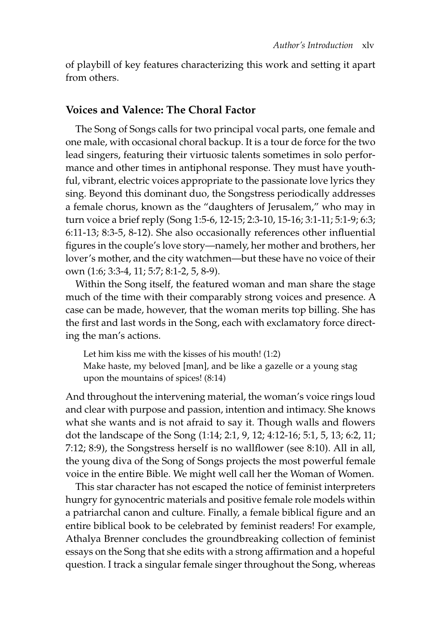of playbill of key features characterizing this work and setting it apart from others.

#### **Voices and Valence: The Choral Factor**

The Song of Songs calls for two principal vocal parts, one female and one male, with occasional choral backup. It is a tour de force for the two lead singers, featuring their virtuosic talents sometimes in solo performance and other times in antiphonal response. They must have youthful, vibrant, electric voices appropriate to the passionate love lyrics they sing. Beyond this dominant duo, the Songstress periodically addresses a female chorus, known as the "daughters of Jerusalem," who may in turn voice a brief reply (Song 1:5-6, 12-15; 2:3-10, 15-16; 3:1-11; 5:1-9; 6:3; 6:11-13; 8:3-5, 8-12). She also occasionally references other influential figures in the couple's love story—namely, her mother and brothers, her lover's mother, and the city watchmen—but these have no voice of their own (1:6; 3:3-4, 11; 5:7; 8:1-2, 5, 8-9).

Within the Song itself, the featured woman and man share the stage much of the time with their comparably strong voices and presence. A case can be made, however, that the woman merits top billing. She has the first and last words in the Song, each with exclamatory force directing the man's actions.

Let him kiss me with the kisses of his mouth! (1:2) Make haste, my beloved [man], and be like a gazelle or a young stag upon the mountains of spices! (8:14)

And throughout the intervening material, the woman's voice rings loud and clear with purpose and passion, intention and intimacy. She knows what she wants and is not afraid to say it. Though walls and flowers dot the landscape of the Song (1:14; 2:1, 9, 12; 4:12-16; 5:1, 5, 13; 6:2, 11; 7:12; 8:9), the Songstress herself is no wallflower (see 8:10). All in all, the young diva of the Song of Songs projects the most powerful female voice in the entire Bible. We might well call her the Woman of Women.

This star character has not escaped the notice of feminist interpreters hungry for gynocentric materials and positive female role models within a patriarchal canon and culture. Finally, a female biblical figure and an entire biblical book to be celebrated by feminist readers! For example, Athalya Brenner concludes the groundbreaking collection of feminist essays on the Song that she edits with a strong affirmation and a hopeful question. I track a singular female singer throughout the Song, whereas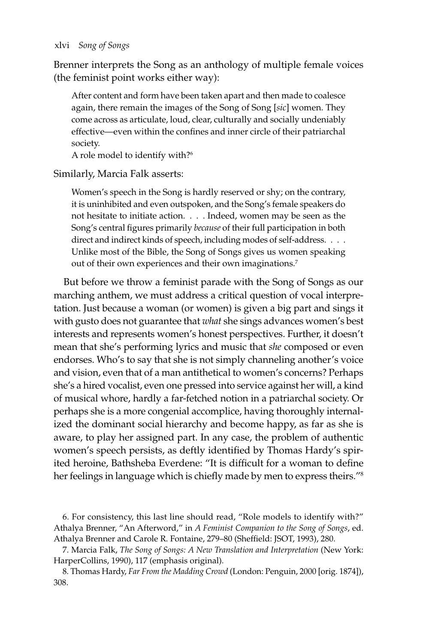Brenner interprets the Song as an anthology of multiple female voices (the feminist point works either way):

After content and form have been taken apart and then made to coalesce again, there remain the images of the Song of Song [*sic*] women. They come across as articulate, loud, clear, culturally and socially undeniably effective—even within the confines and inner circle of their patriarchal society.

A role model to identify with?6

#### Similarly, Marcia Falk asserts:

Women's speech in the Song is hardly reserved or shy; on the contrary, it is uninhibited and even outspoken, and the Song's female speakers do not hesitate to initiate action. . . . Indeed, women may be seen as the Song's central figures primarily *because* of their full participation in both direct and indirect kinds of speech, including modes of self-address. . . . Unlike most of the Bible, the Song of Songs gives us women speaking out of their own experiences and their own imaginations.<sup>7</sup>

But before we throw a feminist parade with the Song of Songs as our marching anthem, we must address a critical question of vocal interpretation. Just because a woman (or women) is given a big part and sings it with gusto does not guarantee that *what* she sings advances women's best interests and represents women's honest perspectives. Further, it doesn't mean that she's performing lyrics and music that *she* composed or even endorses. Who's to say that she is not simply channeling another's voice and vision, even that of a man antithetical to women's concerns? Perhaps she's a hired vocalist, even one pressed into service against her will, a kind of musical whore, hardly a far-fetched notion in a patriarchal society. Or perhaps she is a more congenial accomplice, having thoroughly internalized the dominant social hierarchy and become happy, as far as she is aware, to play her assigned part. In any case, the problem of authentic women's speech persists, as deftly identified by Thomas Hardy's spirited heroine, Bathsheba Everdene: "It is difficult for a woman to define her feelings in language which is chiefly made by men to express theirs."8

<sup>6.</sup> For consistency, this last line should read, "Role models to identify with?" Athalya Brenner, "An Afterword," in *A Feminist Companion to the Song of Songs*, ed. Athalya Brenner and Carole R. Fontaine, 279–80 (Sheffield: JSOT, 1993), 280.

<sup>7.</sup> Marcia Falk, *The Song of Songs: A New Translation and Interpretation* (New York: HarperCollins, 1990), 117 (emphasis original).

<sup>8.</sup> Thomas Hardy, *Far From the Madding Crowd* (London: Penguin, 2000 [orig. 1874]), 308.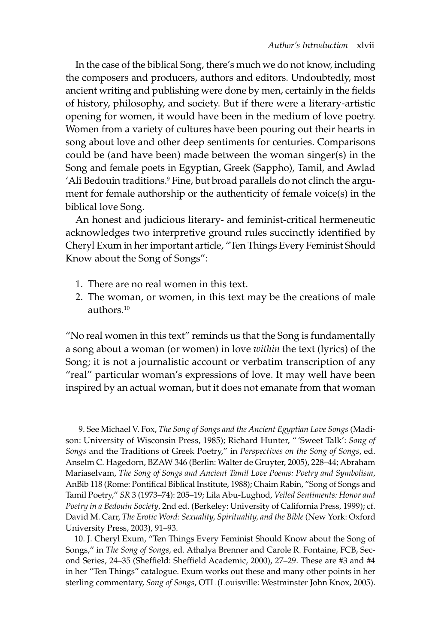In the case of the biblical Song, there's much we do not know, including the composers and producers, authors and editors. Undoubtedly, most ancient writing and publishing were done by men, certainly in the fields of history, philosophy, and society. But if there were a literary-artistic opening for women, it would have been in the medium of love poetry. Women from a variety of cultures have been pouring out their hearts in song about love and other deep sentiments for centuries. Comparisons could be (and have been) made between the woman singer(s) in the Song and female poets in Egyptian, Greek (Sappho), Tamil, and Awlad 'Ali Bedouin traditions.<sup>9</sup> Fine, but broad parallels do not clinch the argument for female authorship or the authenticity of female voice(s) in the biblical love Song.

An honest and judicious literary- and feminist-critical hermeneutic acknowledges two interpretive ground rules succinctly identified by Cheryl Exum in her important article, "Ten Things Every Feminist Should Know about the Song of Songs":

- 1. There are no real women in this text.
- 2. The woman, or women, in this text may be the creations of male authors.<sup>10</sup>

"No real women in this text" reminds us that the Song is fundamentally a song about a woman (or women) in love *within* the text (lyrics) of the Song; it is not a journalistic account or verbatim transcription of any "real" particular woman's expressions of love. It may well have been inspired by an actual woman, but it does not emanate from that woman

9. See Michael V. Fox, *The Song of Songs and the Ancient Egyptian Love Songs* (Madison: University of Wisconsin Press, 1985); Richard Hunter, " 'Sweet Talk': *Song of Songs* and the Traditions of Greek Poetry," in *Perspectives on the Song of Songs*, ed. Anselm C. Hagedorn, BZAW 346 (Berlin: Walter de Gruyter, 2005), 228–44; Abraham Mariaselvam, *The Song of Songs and Ancient Tamil Love Poems: Poetry and Symbolism*, AnBib 118 (Rome: Pontifical Biblical Institute, 1988); Chaim Rabin, "Song of Songs and Tamil Poetry," *SR* 3 (1973–74): 205–19; Lila Abu-Lughod, *Veiled Sentiments: Honor and Poetry in a Bedouin Society*, 2nd ed. (Berkeley: University of California Press, 1999); cf. David M. Carr, *The Erotic Word: Sexuality, Spirituality, and the Bible* (New York: Oxford University Press, 2003), 91–93.

10. J. Cheryl Exum, "Ten Things Every Feminist Should Know about the Song of Songs," in *The Song of Songs*, ed. Athalya Brenner and Carole R. Fontaine, FCB, Second Series, 24–35 (Sheffield: Sheffield Academic, 2000), 27–29. These are #3 and #4 in her "Ten Things" catalogue. Exum works out these and many other points in her sterling commentary, *Song of Songs*, OTL (Louisville: Westminster John Knox, 2005).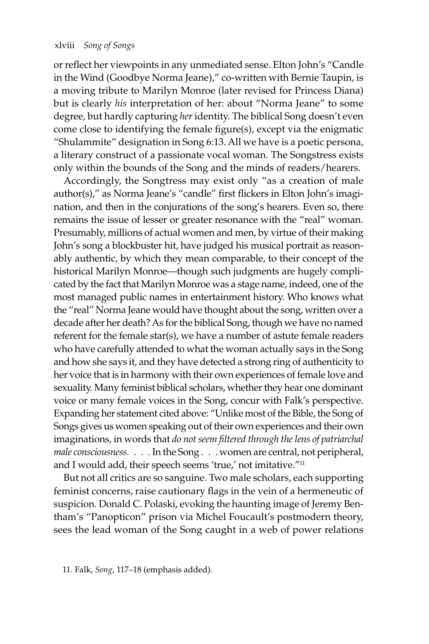or reflect her viewpoints in any unmediated sense. Elton John's "Candle in the Wind (Goodbye Norma Jeane)," co-written with Bernie Taupin, is a moving tribute to Marilyn Monroe (later revised for Princess Diana) but is clearly *his* interpretation of her: about "Norma Jeane" to some degree, but hardly capturing *her* identity. The biblical Song doesn't even come close to identifying the female figure(s), except via the enigmatic "Shulammite" designation in Song 6:13. All we have is a poetic persona, a literary construct of a passionate vocal woman. The Songstress exists only within the bounds of the Song and the minds of readers/hearers.

Accordingly, the Songtress may exist only "as a creation of male author(s)," as Norma Jeane's "candle" first flickers in Elton John's imagination, and then in the conjurations of the song's hearers. Even so, there remains the issue of lesser or greater resonance with the "real" woman. Presumably, millions of actual women and men, by virtue of their making John's song a blockbuster hit, have judged his musical portrait as reasonably authentic, by which they mean comparable, to their concept of the historical Marilyn Monroe—though such judgments are hugely complicated by the fact that Marilyn Monroe was a stage name, indeed, one of the most managed public names in entertainment history. Who knows what the "real" Norma Jeane would have thought about the song, written over a decade after her death? As for the biblical Song, though we have no named referent for the female star(s), we have a number of astute female readers who have carefully attended to what the woman actually says in the Song and how she says it, and they have detected a strong ring of authenticity to her voice that is in harmony with their own experiences of female love and sexuality. Many feminist biblical scholars, whether they hear one dominant voice or many female voices in the Song, concur with Falk's perspective. Expanding her statement cited above: "Unlike most of the Bible, the Song of Songs gives us women speaking out of their own experiences and their own imaginations, in words that *do not seem filtered through the lens of patriarchal male consciousness*. . . . In the Song . . . women are central, not peripheral, and I would add, their speech seems 'true,' not imitative."<sup>11</sup>

But not all critics are so sanguine. Two male scholars, each supporting feminist concerns, raise cautionary flags in the vein of a hermeneutic of suspicion. Donald C. Polaski, evoking the haunting image of Jeremy Bentham's "Panopticon" prison via Michel Foucault's postmodern theory, sees the lead woman of the Song caught in a web of power relations

<sup>11.</sup> Falk, *Song*, 117–18 (emphasis added).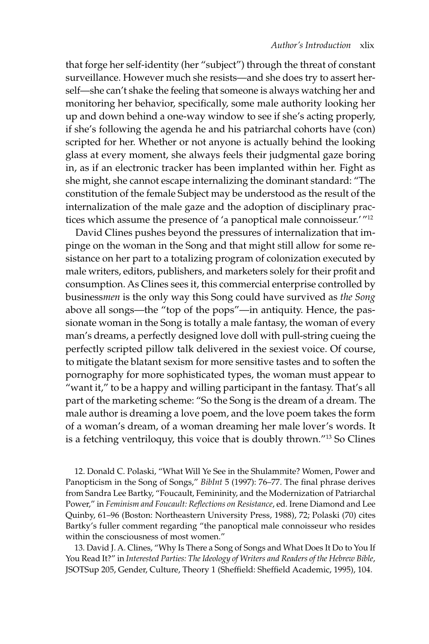that forge her self-identity (her "subject") through the threat of constant surveillance. However much she resists—and she does try to assert herself—she can't shake the feeling that someone is always watching her and monitoring her behavior, specifically, some male authority looking her up and down behind a one-way window to see if she's acting properly, if she's following the agenda he and his patriarchal cohorts have (con) scripted for her. Whether or not anyone is actually behind the looking glass at every moment, she always feels their judgmental gaze boring in, as if an electronic tracker has been implanted within her. Fight as she might, she cannot escape internalizing the dominant standard: "The constitution of the female Subject may be understood as the result of the internalization of the male gaze and the adoption of disciplinary practices which assume the presence of 'a panoptical male connoisseur.' "12

David Clines pushes beyond the pressures of internalization that impinge on the woman in the Song and that might still allow for some resistance on her part to a totalizing program of colonization executed by male writers, editors, publishers, and marketers solely for their profit and consumption. As Clines sees it, this commercial enterprise controlled by business*men* is the only way this Song could have survived as *the Song* above all songs—the "top of the pops"—in antiquity. Hence, the passionate woman in the Song is totally a male fantasy, the woman of every man's dreams, a perfectly designed love doll with pull-string cueing the perfectly scripted pillow talk delivered in the sexiest voice. Of course, to mitigate the blatant sexism for more sensitive tastes and to soften the pornography for more sophisticated types, the woman must appear to "want it," to be a happy and willing participant in the fantasy. That's all part of the marketing scheme: "So the Song is the dream of a dream. The male author is dreaming a love poem, and the love poem takes the form of a woman's dream, of a woman dreaming her male lover's words. It is a fetching ventriloquy, this voice that is doubly thrown."13 So Clines

12. Donald C. Polaski, "What Will Ye See in the Shulammite? Women, Power and Panopticism in the Song of Songs," *BibInt* 5 (1997): 76–77. The final phrase derives from Sandra Lee Bartky, "Foucault, Femininity, and the Modernization of Patriarchal Power," in *Feminism and Foucault: Reflections on Resistance*, ed. Irene Diamond and Lee Quinby, 61–96 (Boston: Northeastern University Press, 1988), 72; Polaski (70) cites Bartky's fuller comment regarding "the panoptical male connoisseur who resides within the consciousness of most women."

13. David J. A. Clines, "Why Is There a Song of Songs and What Does It Do to You If You Read It?" in *Interested Parties: The Ideology of Writers and Readers of the Hebrew Bible*, JSOTSup 205, Gender, Culture, Theory 1 (Sheffield: Sheffield Academic, 1995), 104.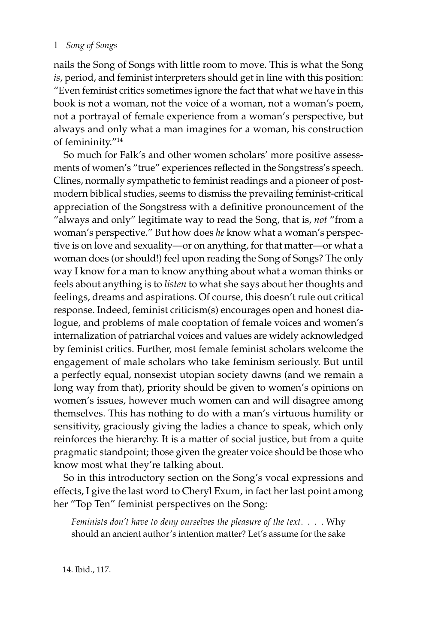#### l *Song of Songs*

nails the Song of Songs with little room to move. This is what the Song *is*, period, and feminist interpreters should get in line with this position: "Even feminist critics sometimes ignore the fact that what we have in this book is not a woman, not the voice of a woman, not a woman's poem, not a portrayal of female experience from a woman's perspective, but always and only what a man imagines for a woman, his construction of femininity."14

So much for Falk's and other women scholars' more positive assessments of women's "true" experiences reflected in the Songstress's speech. Clines, normally sympathetic to feminist readings and a pioneer of postmodern biblical studies, seems to dismiss the prevailing feminist-critical appreciation of the Songstress with a definitive pronouncement of the "always and only" legitimate way to read the Song, that is, *not* "from a woman's perspective." But how does *he* know what a woman's perspective is on love and sexuality—or on anything, for that matter—or what a woman does (or should!) feel upon reading the Song of Songs? The only way I know for a man to know anything about what a woman thinks or feels about anything is to *listen* to what she says about her thoughts and feelings, dreams and aspirations. Of course, this doesn't rule out critical response. Indeed, feminist criticism(s) encourages open and honest dialogue, and problems of male cooptation of female voices and women's internalization of patriarchal voices and values are widely acknowledged by feminist critics. Further, most female feminist scholars welcome the engagement of male scholars who take feminism seriously. But until a perfectly equal, nonsexist utopian society dawns (and we remain a long way from that), priority should be given to women's opinions on women's issues, however much women can and will disagree among themselves. This has nothing to do with a man's virtuous humility or sensitivity, graciously giving the ladies a chance to speak, which only reinforces the hierarchy. It is a matter of social justice, but from a quite pragmatic standpoint; those given the greater voice should be those who know most what they're talking about.

So in this introductory section on the Song's vocal expressions and effects, I give the last word to Cheryl Exum, in fact her last point among her "Top Ten" feminist perspectives on the Song:

*Feminists don't have to deny ourselves the pleasure of the text*. . . . Why should an ancient author's intention matter? Let's assume for the sake

14. Ibid., 117.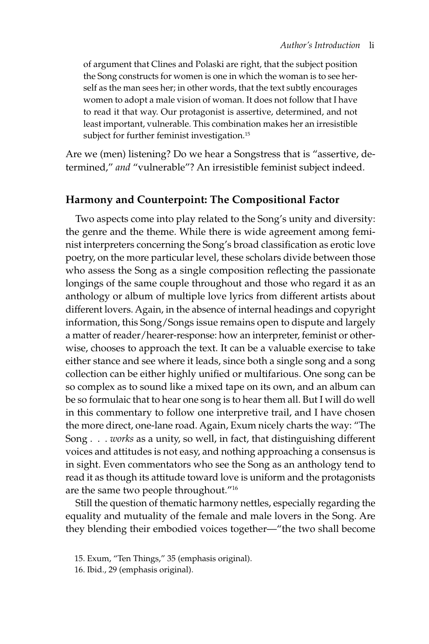of argument that Clines and Polaski are right, that the subject position the Song constructs for women is one in which the woman is to see herself as the man sees her; in other words, that the text subtly encourages women to adopt a male vision of woman. It does not follow that I have to read it that way. Our protagonist is assertive, determined, and not least important, vulnerable. This combination makes her an irresistible subject for further feminist investigation.<sup>15</sup>

Are we (men) listening? Do we hear a Songstress that is "assertive, determined," *and* "vulnerable"? An irresistible feminist subject indeed.

## **Harmony and Counterpoint: The Compositional Factor**

Two aspects come into play related to the Song's unity and diversity: the genre and the theme. While there is wide agreement among feminist interpreters concerning the Song's broad classification as erotic love poetry, on the more particular level, these scholars divide between those who assess the Song as a single composition reflecting the passionate longings of the same couple throughout and those who regard it as an anthology or album of multiple love lyrics from different artists about different lovers. Again, in the absence of internal headings and copyright information, this Song/Songs issue remains open to dispute and largely a matter of reader/hearer-response: how an interpreter, feminist or otherwise, chooses to approach the text. It can be a valuable exercise to take either stance and see where it leads, since both a single song and a song collection can be either highly unified or multifarious. One song can be so complex as to sound like a mixed tape on its own, and an album can be so formulaic that to hear one song is to hear them all. But I will do well in this commentary to follow one interpretive trail, and I have chosen the more direct, one-lane road. Again, Exum nicely charts the way: "The Song . . . *works* as a unity, so well, in fact, that distinguishing different voices and attitudes is not easy, and nothing approaching a consensus is in sight. Even commentators who see the Song as an anthology tend to read it as though its attitude toward love is uniform and the protagonists are the same two people throughout."16

Still the question of thematic harmony nettles, especially regarding the equality and mutuality of the female and male lovers in the Song. Are they blending their embodied voices together—"the two shall become

<sup>15.</sup> Exum, "Ten Things," 35 (emphasis original).

<sup>16.</sup> Ibid., 29 (emphasis original).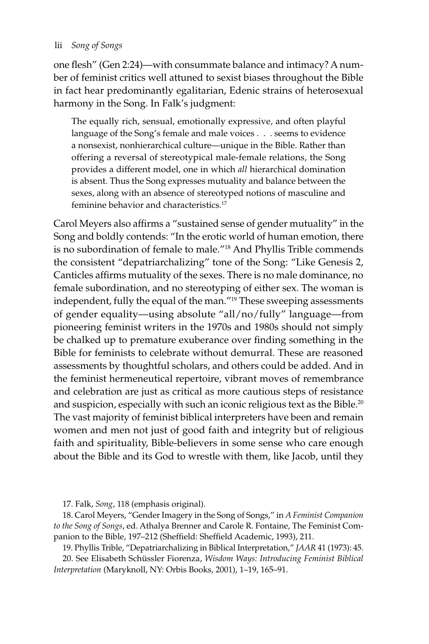#### lii *Song of Songs*

one flesh" (Gen 2:24)—with consummate balance and intimacy? A number of feminist critics well attuned to sexist biases throughout the Bible in fact hear predominantly egalitarian, Edenic strains of heterosexual harmony in the Song. In Falk's judgment:

The equally rich, sensual, emotionally expressive, and often playful language of the Song's female and male voices . . . seems to evidence a nonsexist, nonhierarchical culture—unique in the Bible. Rather than offering a reversal of stereotypical male-female relations, the Song provides a different model, one in which *all* hierarchical domination is absent. Thus the Song expresses mutuality and balance between the sexes, along with an absence of stereotyped notions of masculine and feminine behavior and characteristics.<sup>17</sup>

Carol Meyers also affirms a "sustained sense of gender mutuality" in the Song and boldly contends: "In the erotic world of human emotion, there is no subordination of female to male."18 And Phyllis Trible commends the consistent "depatriarchalizing" tone of the Song: "Like Genesis 2, Canticles affirms mutuality of the sexes. There is no male dominance, no female subordination, and no stereotyping of either sex. The woman is independent, fully the equal of the man."19 These sweeping assessments of gender equality—using absolute "all/no/fully" language—from pioneering feminist writers in the 1970s and 1980s should not simply be chalked up to premature exuberance over finding something in the Bible for feminists to celebrate without demurral. These are reasoned assessments by thoughtful scholars, and others could be added. And in the feminist hermeneutical repertoire, vibrant moves of remembrance and celebration are just as critical as more cautious steps of resistance and suspicion, especially with such an iconic religious text as the Bible.<sup>20</sup> The vast majority of feminist biblical interpreters have been and remain women and men not just of good faith and integrity but of religious faith and spirituality, Bible-believers in some sense who care enough about the Bible and its God to wrestle with them, like Jacob, until they

<sup>17.</sup> Falk, *Song*, 118 (emphasis original).

<sup>18.</sup> Carol Meyers, "Gender Imagery in the Song of Songs," in *A Feminist Companion to the Song of Songs*, ed. Athalya Brenner and Carole R. Fontaine, The Feminist Companion to the Bible, 197–212 (Sheffield: Sheffield Academic, 1993), 211.

<sup>19.</sup> Phyllis Trible, "Depatriarchalizing in Biblical Interpretation," *JAAR* 41 (1973): 45.

<sup>20.</sup> See Elisabeth Schüssler Fiorenza, *Wisdom Ways: Introducing Feminist Biblical Interpretation* (Maryknoll, NY: Orbis Books, 2001), 1–19, 165–91.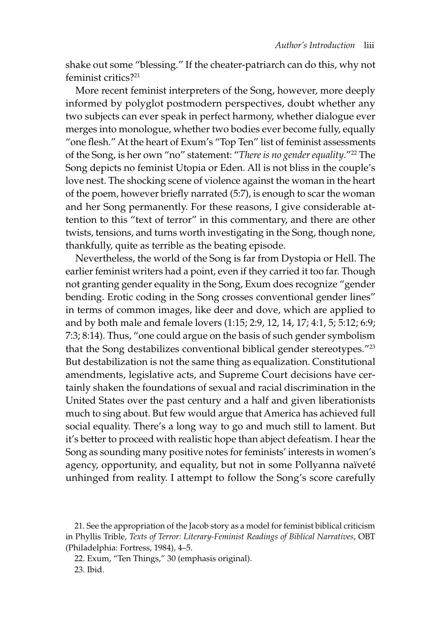shake out some "blessing." If the cheater-patriarch can do this, why not feminist critics?<sup>21</sup>

More recent feminist interpreters of the Song, however, more deeply informed by polyglot postmodern perspectives, doubt whether any two subjects can ever speak in perfect harmony, whether dialogue ever merges into monologue, whether two bodies ever become fully, equally "one flesh." At the heart of Exum's "Top Ten" list of feminist assessments of the Song, is her own "no" statement: "*There is no gender equality*."22 The Song depicts no feminist Utopia or Eden. All is not bliss in the couple's love nest. The shocking scene of violence against the woman in the heart of the poem, however briefly narrated (5:7), is enough to scar the woman and her Song permanently. For these reasons, I give considerable attention to this "text of terror" in this commentary, and there are other twists, tensions, and turns worth investigating in the Song, though none, thankfully, quite as terrible as the beating episode.

Nevertheless, the world of the Song is far from Dystopia or Hell. The earlier feminist writers had a point, even if they carried it too far. Though not granting gender equality in the Song, Exum does recognize "gender bending. Erotic coding in the Song crosses conventional gender lines" in terms of common images, like deer and dove, which are applied to and by both male and female lovers (1:15; 2:9, 12, 14, 17; 4:1, 5; 5:12; 6:9; 7:3; 8:14). Thus, "one could argue on the basis of such gender symbolism that the Song destabilizes conventional biblical gender stereotypes."<sup>23</sup> But destabilization is not the same thing as equalization. Constitutional amendments, legislative acts, and Supreme Court decisions have certainly shaken the foundations of sexual and racial discrimination in the United States over the past century and a half and given liberationists much to sing about. But few would argue that America has achieved full social equality. There's a long way to go and much still to lament. But it's better to proceed with realistic hope than abject defeatism. I hear the Song as sounding many positive notes for feminists' interests in women's agency, opportunity, and equality, but not in some Pollyanna naïveté unhinged from reality. I attempt to follow the Song's score carefully

<sup>21.</sup> See the appropriation of the Jacob story as a model for feminist biblical criticism in Phyllis Trible, *Texts of Terror: Literary-Feminist Readings of Biblical Narratives*, OBT (Philadelphia: Fortress, 1984), 4–5.

<sup>22.</sup> Exum, "Ten Things," 30 (emphasis original). 23. Ibid.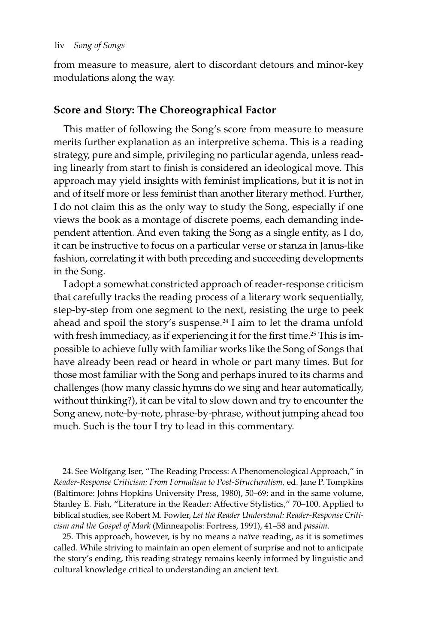from measure to measure, alert to discordant detours and minor-key modulations along the way.

## **Score and Story: The Choreographical Factor**

This matter of following the Song's score from measure to measure merits further explanation as an interpretive schema. This is a reading strategy, pure and simple, privileging no particular agenda, unless reading linearly from start to finish is considered an ideological move. This approach may yield insights with feminist implications, but it is not in and of itself more or less feminist than another literary method. Further, I do not claim this as the only way to study the Song, especially if one views the book as a montage of discrete poems, each demanding independent attention. And even taking the Song as a single entity, as I do, it can be instructive to focus on a particular verse or stanza in Janus-like fashion, correlating it with both preceding and succeeding developments in the Song.

I adopt a somewhat constricted approach of reader-response criticism that carefully tracks the reading process of a literary work sequentially, step-by-step from one segment to the next, resisting the urge to peek ahead and spoil the story's suspense.<sup>24</sup> I aim to let the drama unfold with fresh immediacy, as if experiencing it for the first time.<sup>25</sup> This is impossible to achieve fully with familiar works like the Song of Songs that have already been read or heard in whole or part many times. But for those most familiar with the Song and perhaps inured to its charms and challenges (how many classic hymns do we sing and hear automatically, without thinking?), it can be vital to slow down and try to encounter the Song anew, note-by-note, phrase-by-phrase, without jumping ahead too much. Such is the tour I try to lead in this commentary.

24. See Wolfgang Iser, "The Reading Process: A Phenomenological Approach," in *Reader-Response Criticism: From Formalism to Post-Structuralism,* ed. Jane P. Tompkins (Baltimore: Johns Hopkins University Press, 1980), 50–69; and in the same volume, Stanley E. Fish, "Literature in the Reader: Affective Stylistics," 70–100. Applied to biblical studies, see Robert M. Fowler, *Let the Reader Understand: Reader-Response Criticism and the Gospel of Mark* (Minneapolis: Fortress, 1991), 41–58 and *passim*.

25. This approach, however, is by no means a naïve reading, as it is sometimes called. While striving to maintain an open element of surprise and not to anticipate the story's ending, this reading strategy remains keenly informed by linguistic and cultural knowledge critical to understanding an ancient text.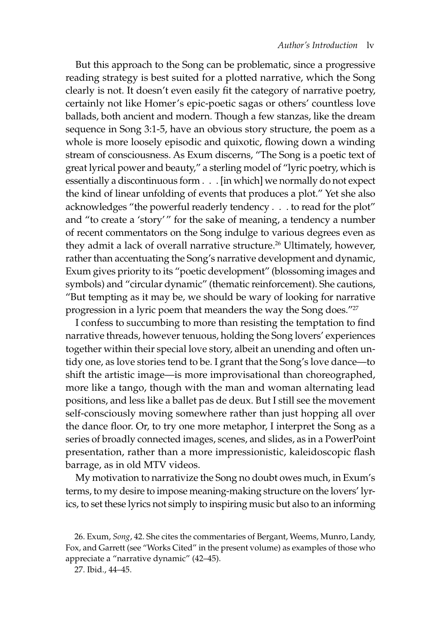But this approach to the Song can be problematic, since a progressive reading strategy is best suited for a plotted narrative, which the Song clearly is not. It doesn't even easily fit the category of narrative poetry, certainly not like Homer's epic-poetic sagas or others' countless love ballads, both ancient and modern. Though a few stanzas, like the dream sequence in Song 3:1-5, have an obvious story structure, the poem as a whole is more loosely episodic and quixotic, flowing down a winding stream of consciousness. As Exum discerns, "The Song is a poetic text of great lyrical power and beauty," a sterling model of "lyric poetry, which is essentially a discontinuous form . . . [in which] we normally do not expect the kind of linear unfolding of events that produces a plot." Yet she also acknowledges "the powerful readerly tendency . . . to read for the plot" and "to create a 'story'" for the sake of meaning, a tendency a number of recent commentators on the Song indulge to various degrees even as they admit a lack of overall narrative structure.<sup>26</sup> Ultimately, however, rather than accentuating the Song's narrative development and dynamic, Exum gives priority to its "poetic development" (blossoming images and symbols) and "circular dynamic" (thematic reinforcement). She cautions, "But tempting as it may be, we should be wary of looking for narrative progression in a lyric poem that meanders the way the Song does."<sup>27</sup>

I confess to succumbing to more than resisting the temptation to find narrative threads, however tenuous, holding the Song lovers' experiences together within their special love story, albeit an unending and often untidy one, as love stories tend to be. I grant that the Song's love dance—to shift the artistic image—is more improvisational than choreographed, more like a tango, though with the man and woman alternating lead positions, and less like a ballet pas de deux. But I still see the movement self-consciously moving somewhere rather than just hopping all over the dance floor. Or, to try one more metaphor, I interpret the Song as a series of broadly connected images, scenes, and slides, as in a PowerPoint presentation, rather than a more impressionistic, kaleidoscopic flash barrage, as in old MTV videos.

My motivation to narrativize the Song no doubt owes much, in Exum's terms, to my desire to impose meaning-making structure on the lovers' lyrics, to set these lyrics not simply to inspiring music but also to an informing

<sup>26.</sup> Exum, *Song*, 42. She cites the commentaries of Bergant, Weems, Munro, Landy, Fox, and Garrett (see "Works Cited" in the present volume) as examples of those who appreciate a "narrative dynamic" (42–45).

<sup>27.</sup> Ibid., 44–45.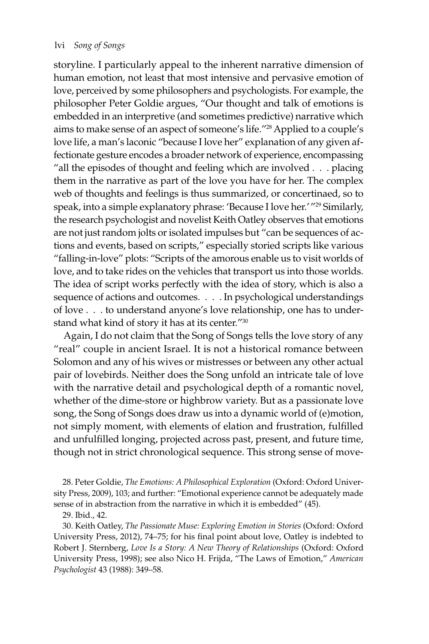storyline. I particularly appeal to the inherent narrative dimension of human emotion, not least that most intensive and pervasive emotion of love, perceived by some philosophers and psychologists. For example, the philosopher Peter Goldie argues, "Our thought and talk of emotions is embedded in an interpretive (and sometimes predictive) narrative which aims to make sense of an aspect of someone's life."28 Applied to a couple's love life, a man's laconic "because I love her" explanation of any given affectionate gesture encodes a broader network of experience, encompassing "all the episodes of thought and feeling which are involved . . . placing them in the narrative as part of the love you have for her. The complex web of thoughts and feelings is thus summarized, or concertinaed, so to speak, into a simple explanatory phrase: 'Because I love her.'"29 Similarly, the research psychologist and novelist Keith Oatley observes that emotions are not just random jolts or isolated impulses but "can be sequences of actions and events, based on scripts," especially storied scripts like various "falling-in-love" plots: "Scripts of the amorous enable us to visit worlds of love, and to take rides on the vehicles that transport us into those worlds. The idea of script works perfectly with the idea of story, which is also a sequence of actions and outcomes. . . . In psychological understandings of love . . . to understand anyone's love relationship, one has to understand what kind of story it has at its center."30

Again, I do not claim that the Song of Songs tells the love story of any "real" couple in ancient Israel. It is not a historical romance between Solomon and any of his wives or mistresses or between any other actual pair of lovebirds. Neither does the Song unfold an intricate tale of love with the narrative detail and psychological depth of a romantic novel, whether of the dime-store or highbrow variety. But as a passionate love song, the Song of Songs does draw us into a dynamic world of (e)motion, not simply moment, with elements of elation and frustration, fulfilled and unfulfilled longing, projected across past, present, and future time, though not in strict chronological sequence. This strong sense of move-

28. Peter Goldie, *The Emotions: A Philosophical Exploration* (Oxford: Oxford University Press, 2009), 103; and further: "Emotional experience cannot be adequately made sense of in abstraction from the narrative in which it is embedded" (45).

29. Ibid., 42.

30. Keith Oatley, *The Passionate Muse: Exploring Emotion in Stories* (Oxford: Oxford University Press, 2012), 74–75; for his final point about love, Oatley is indebted to Robert J. Sternberg, *Love Is a Story: A New Theory of Relationships* (Oxford: Oxford University Press, 1998); see also Nico H. Frijda, "The Laws of Emotion," *American Psychologist* 43 (1988): 349–58.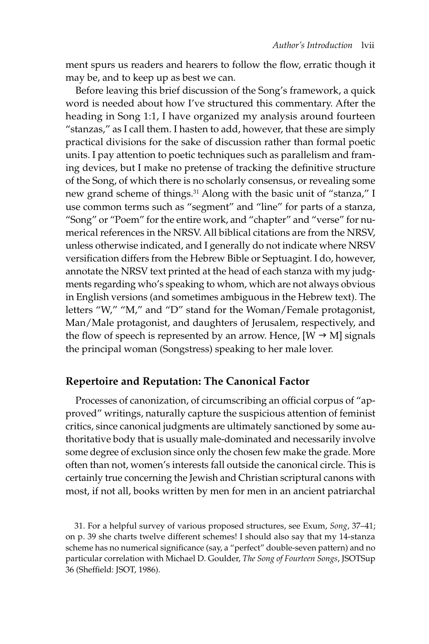ment spurs us readers and hearers to follow the flow, erratic though it may be, and to keep up as best we can.

Before leaving this brief discussion of the Song's framework, a quick word is needed about how I've structured this commentary. After the heading in Song 1:1, I have organized my analysis around fourteen "stanzas," as I call them. I hasten to add, however, that these are simply practical divisions for the sake of discussion rather than formal poetic units. I pay attention to poetic techniques such as parallelism and framing devices, but I make no pretense of tracking the definitive structure of the Song, of which there is no scholarly consensus, or revealing some new grand scheme of things.31 Along with the basic unit of "stanza," I use common terms such as "segment" and "line" for parts of a stanza, "Song" or "Poem" for the entire work, and "chapter" and "verse" for numerical references in the NRSV. All biblical citations are from the NRSV, unless otherwise indicated, and I generally do not indicate where NRSV versification differs from the Hebrew Bible or Septuagint. I do, however, annotate the NRSV text printed at the head of each stanza with my judgments regarding who's speaking to whom, which are not always obvious in English versions (and sometimes ambiguous in the Hebrew text). The letters "W," "M," and "D" stand for the Woman/Female protagonist, Man/Male protagonist, and daughters of Jerusalem, respectively, and the flow of speech is represented by an arrow. Hence,  $[W \rightarrow M]$  signals the principal woman (Songstress) speaking to her male lover.

### **Repertoire and Reputation: The Canonical Factor**

Processes of canonization, of circumscribing an official corpus of "approved" writings, naturally capture the suspicious attention of feminist critics, since canonical judgments are ultimately sanctioned by some authoritative body that is usually male-dominated and necessarily involve some degree of exclusion since only the chosen few make the grade. More often than not, women's interests fall outside the canonical circle. This is certainly true concerning the Jewish and Christian scriptural canons with most, if not all, books written by men for men in an ancient patriarchal

31. For a helpful survey of various proposed structures, see Exum, *Song*, 37–41; on p. 39 she charts twelve different schemes! I should also say that my 14-stanza scheme has no numerical significance (say, a "perfect" double-seven pattern) and no particular correlation with Michael D. Goulder, *The Song of Fourteen Songs*, JSOTSup 36 (Sheffield: JSOT, 1986).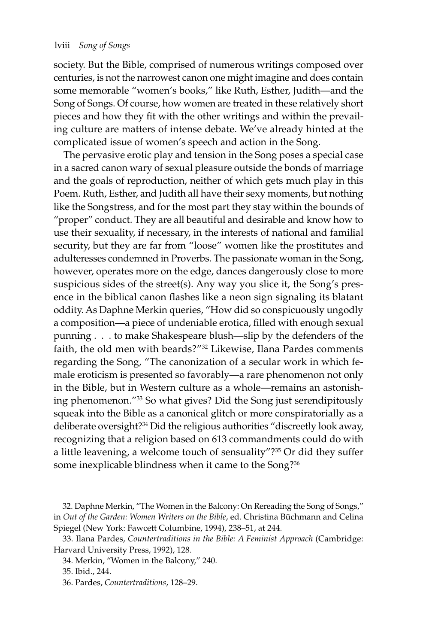society. But the Bible, comprised of numerous writings composed over centuries, is not the narrowest canon one might imagine and does contain some memorable "women's books," like Ruth, Esther, Judith—and the Song of Songs. Of course, how women are treated in these relatively short pieces and how they fit with the other writings and within the prevailing culture are matters of intense debate. We've already hinted at the complicated issue of women's speech and action in the Song.

The pervasive erotic play and tension in the Song poses a special case in a sacred canon wary of sexual pleasure outside the bonds of marriage and the goals of reproduction, neither of which gets much play in this Poem. Ruth, Esther, and Judith all have their sexy moments, but nothing like the Songstress, and for the most part they stay within the bounds of "proper" conduct. They are all beautiful and desirable and know how to use their sexuality, if necessary, in the interests of national and familial security, but they are far from "loose" women like the prostitutes and adulteresses condemned in Proverbs. The passionate woman in the Song, however, operates more on the edge, dances dangerously close to more suspicious sides of the street(s). Any way you slice it, the Song's presence in the biblical canon flashes like a neon sign signaling its blatant oddity. As Daphne Merkin queries, "How did so conspicuously ungodly a composition—a piece of undeniable erotica, filled with enough sexual punning . . . to make Shakespeare blush—slip by the defenders of the faith, the old men with beards?"32 Likewise, Ilana Pardes comments regarding the Song, "The canonization of a secular work in which female eroticism is presented so favorably—a rare phenomenon not only in the Bible, but in Western culture as a whole—remains an astonishing phenomenon."33 So what gives? Did the Song just serendipitously squeak into the Bible as a canonical glitch or more conspiratorially as a deliberate oversight?34 Did the religious authorities "discreetly look away, recognizing that a religion based on 613 commandments could do with a little leavening, a welcome touch of sensuality"?<sup>35</sup> Or did they suffer some inexplicable blindness when it came to the Song?<sup>36</sup>

<sup>32.</sup> Daphne Merkin, "The Women in the Balcony: On Rereading the Song of Songs," in *Out of the Garden: Women Writers on the Bible*, ed. Christina Büchmann and Celina Spiegel (New York: Fawcett Columbine, 1994), 238–51, at 244.

<sup>33.</sup> Ilana Pardes, *Countertraditions in the Bible: A Feminist Approach* (Cambridge: Harvard University Press, 1992), 128.

<sup>34.</sup> Merkin, "Women in the Balcony," 240.

<sup>35.</sup> Ibid., 244.

<sup>36.</sup> Pardes, *Countertraditions*, 128–29.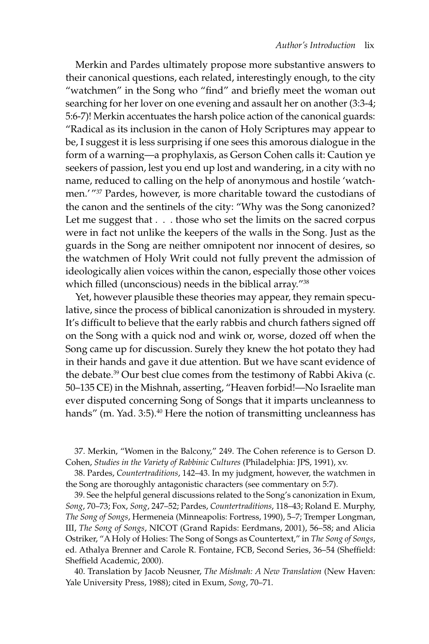Merkin and Pardes ultimately propose more substantive answers to their canonical questions, each related, interestingly enough, to the city "watchmen" in the Song who "find" and briefly meet the woman out searching for her lover on one evening and assault her on another (3:3-4; 5:6-7)! Merkin accentuates the harsh police action of the canonical guards: "Radical as its inclusion in the canon of Holy Scriptures may appear to be, I suggest it is less surprising if one sees this amorous dialogue in the form of a warning—a prophylaxis, as Gerson Cohen calls it: Caution ye seekers of passion, lest you end up lost and wandering, in a city with no name, reduced to calling on the help of anonymous and hostile 'watchmen.' "37 Pardes, however, is more charitable toward the custodians of the canon and the sentinels of the city: "Why was the Song canonized? Let me suggest that . . . those who set the limits on the sacred corpus were in fact not unlike the keepers of the walls in the Song. Just as the guards in the Song are neither omnipotent nor innocent of desires, so the watchmen of Holy Writ could not fully prevent the admission of ideologically alien voices within the canon, especially those other voices which filled (unconscious) needs in the biblical array."<sup>38</sup>

Yet, however plausible these theories may appear, they remain speculative, since the process of biblical canonization is shrouded in mystery. It's difficult to believe that the early rabbis and church fathers signed off on the Song with a quick nod and wink or, worse, dozed off when the Song came up for discussion. Surely they knew the hot potato they had in their hands and gave it due attention. But we have scant evidence of the debate.<sup>39</sup> Our best clue comes from the testimony of Rabbi Akiva (c. 50–135 CE) in the Mishnah, asserting, "Heaven forbid!—No Israelite man ever disputed concerning Song of Songs that it imparts uncleanness to hands" (m. Yad. 3:5).<sup>40</sup> Here the notion of transmitting uncleanness has

37. Merkin, "Women in the Balcony," 249. The Cohen reference is to Gerson D. Cohen, *Studies in the Variety of Rabbinic Cultures* (Philadelphia: JPS, 1991), xv.

38. Pardes, *Countertraditions*, 142–43. In my judgment, however, the watchmen in the Song are thoroughly antagonistic characters (see commentary on 5:7).

39. See the helpful general discussions related to the Song's canonization in Exum, *Song*, 70–73; Fox, *Song*, 247–52; Pardes, *Countertraditions*, 118–43; Roland E. Murphy, *The Song of Songs*, Hermeneia (Minneapolis: Fortress, 1990), 5–7; Tremper Longman, III, *The Song of Songs*, NICOT (Grand Rapids: Eerdmans, 2001), 56–58; and Alicia Ostriker, "A Holy of Holies: The Song of Songs as Countertext," in *The Song of Songs*, ed. Athalya Brenner and Carole R. Fontaine, FCB, Second Series, 36–54 (Sheffield: Sheffield Academic, 2000).

40. Translation by Jacob Neusner, *The Mishnah: A New Translation* (New Haven: Yale University Press, 1988); cited in Exum, *Song*, 70–71.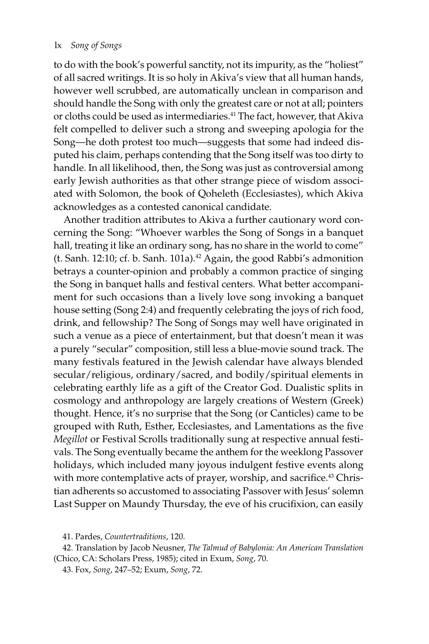to do with the book's powerful sanctity, not its impurity, as the "holiest" of all sacred writings. It is so holy in Akiva's view that all human hands, however well scrubbed, are automatically unclean in comparison and should handle the Song with only the greatest care or not at all; pointers or cloths could be used as intermediaries.<sup>41</sup> The fact, however, that Akiva felt compelled to deliver such a strong and sweeping apologia for the Song—he doth protest too much—suggests that some had indeed disputed his claim, perhaps contending that the Song itself was too dirty to handle. In all likelihood, then, the Song was just as controversial among early Jewish authorities as that other strange piece of wisdom associated with Solomon, the book of Qoheleth (Ecclesiastes), which Akiva acknowledges as a contested canonical candidate.

Another tradition attributes to Akiva a further cautionary word concerning the Song: "Whoever warbles the Song of Songs in a banquet hall, treating it like an ordinary song, has no share in the world to come" (t. Sanh. 12:10; cf. b. Sanh. 101a).<sup>42</sup> Again, the good Rabbi's admonition betrays a counter-opinion and probably a common practice of singing the Song in banquet halls and festival centers. What better accompaniment for such occasions than a lively love song invoking a banquet house setting (Song 2:4) and frequently celebrating the joys of rich food, drink, and fellowship? The Song of Songs may well have originated in such a venue as a piece of entertainment, but that doesn't mean it was a purely "secular" composition, still less a blue-movie sound track. The many festivals featured in the Jewish calendar have always blended secular/religious, ordinary/sacred, and bodily/spiritual elements in celebrating earthly life as a gift of the Creator God. Dualistic splits in cosmology and anthropology are largely creations of Western (Greek) thought. Hence, it's no surprise that the Song (or Canticles) came to be grouped with Ruth, Esther, Ecclesiastes, and Lamentations as the five *Megillot* or Festival Scrolls traditionally sung at respective annual festivals. The Song eventually became the anthem for the weeklong Passover holidays, which included many joyous indulgent festive events along with more contemplative acts of prayer, worship, and sacrifice.<sup>43</sup> Christian adherents so accustomed to associating Passover with Jesus' solemn Last Supper on Maundy Thursday, the eve of his crucifixion, can easily

<sup>41.</sup> Pardes, *Countertraditions*, 120.

<sup>42.</sup> Translation by Jacob Neusner, *The Talmud of Babylonia: An American Translation* (Chico, CA: Scholars Press, 1985); cited in Exum, *Song*, 70.

<sup>43.</sup> Fox, *Song*, 247–52; Exum, *Song*, 72.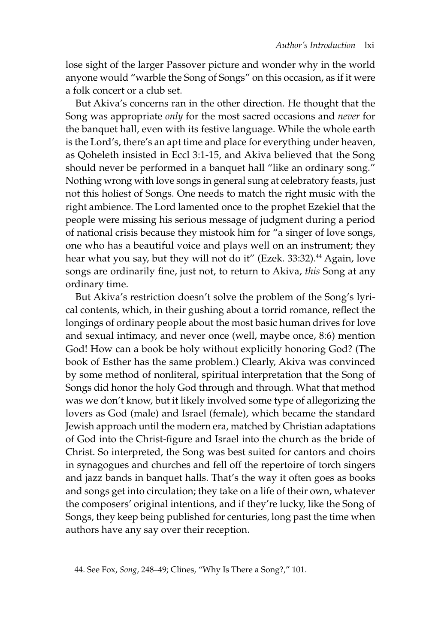lose sight of the larger Passover picture and wonder why in the world anyone would "warble the Song of Songs" on this occasion, as if it were a folk concert or a club set.

But Akiva's concerns ran in the other direction. He thought that the Song was appropriate *only* for the most sacred occasions and *never* for the banquet hall, even with its festive language. While the whole earth is the Lord's, there's an apt time and place for everything under heaven, as Qoheleth insisted in Eccl 3:1-15, and Akiva believed that the Song should never be performed in a banquet hall "like an ordinary song." Nothing wrong with love songs in general sung at celebratory feasts, just not this holiest of Songs. One needs to match the right music with the right ambience. The Lord lamented once to the prophet Ezekiel that the people were missing his serious message of judgment during a period of national crisis because they mistook him for "a singer of love songs, one who has a beautiful voice and plays well on an instrument; they hear what you say, but they will not do it" (Ezek. 33:32).<sup>44</sup> Again, love songs are ordinarily fine, just not, to return to Akiva, *this* Song at any ordinary time.

But Akiva's restriction doesn't solve the problem of the Song's lyrical contents, which, in their gushing about a torrid romance, reflect the longings of ordinary people about the most basic human drives for love and sexual intimacy, and never once (well, maybe once, 8:6) mention God! How can a book be holy without explicitly honoring God? (The book of Esther has the same problem.) Clearly, Akiva was convinced by some method of nonliteral, spiritual interpretation that the Song of Songs did honor the holy God through and through. What that method was we don't know, but it likely involved some type of allegorizing the lovers as God (male) and Israel (female), which became the standard Jewish approach until the modern era, matched by Christian adaptations of God into the Christ-figure and Israel into the church as the bride of Christ. So interpreted, the Song was best suited for cantors and choirs in synagogues and churches and fell off the repertoire of torch singers and jazz bands in banquet halls. That's the way it often goes as books and songs get into circulation; they take on a life of their own, whatever the composers' original intentions, and if they're lucky, like the Song of Songs, they keep being published for centuries, long past the time when authors have any say over their reception.

<sup>44.</sup> See Fox, *Song*, 248–49; Clines, "Why Is There a Song?," 101.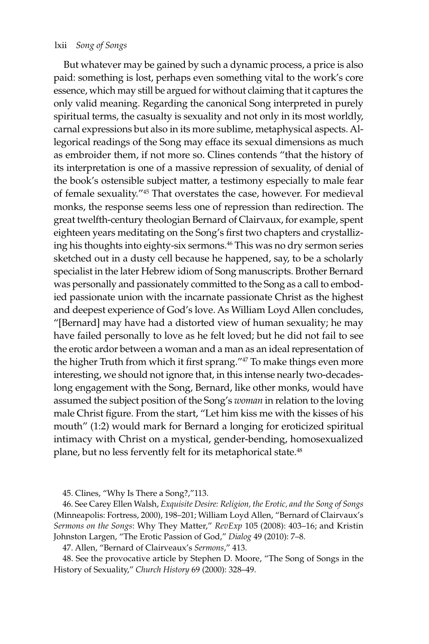#### lxii *Song of Songs*

But whatever may be gained by such a dynamic process, a price is also paid: something is lost, perhaps even something vital to the work's core essence, which may still be argued for without claiming that it captures the only valid meaning. Regarding the canonical Song interpreted in purely spiritual terms, the casualty is sexuality and not only in its most worldly, carnal expressions but also in its more sublime, metaphysical aspects. Allegorical readings of the Song may efface its sexual dimensions as much as embroider them, if not more so. Clines contends "that the history of its interpretation is one of a massive repression of sexuality, of denial of the book's ostensible subject matter, a testimony especially to male fear of female sexuality."45 That overstates the case, however. For medieval monks, the response seems less one of repression than redirection. The great twelfth-century theologian Bernard of Clairvaux, for example, spent eighteen years meditating on the Song's first two chapters and crystallizing his thoughts into eighty-six sermons.46 This was no dry sermon series sketched out in a dusty cell because he happened, say, to be a scholarly specialist in the later Hebrew idiom of Song manuscripts. Brother Bernard was personally and passionately committed to the Song as a call to embodied passionate union with the incarnate passionate Christ as the highest and deepest experience of God's love. As William Loyd Allen concludes, "[Bernard] may have had a distorted view of human sexuality; he may have failed personally to love as he felt loved; but he did not fail to see the erotic ardor between a woman and a man as an ideal representation of the higher Truth from which it first sprang."47 To make things even more interesting, we should not ignore that, in this intense nearly two-decadeslong engagement with the Song, Bernard, like other monks, would have assumed the subject position of the Song's *woman* in relation to the loving male Christ figure. From the start, "Let him kiss me with the kisses of his mouth" (1:2) would mark for Bernard a longing for eroticized spiritual intimacy with Christ on a mystical, gender-bending, homosexualized plane, but no less fervently felt for its metaphorical state.<sup>48</sup>

45. Clines, "Why Is There a Song?,"113.

46. See Carey Ellen Walsh, *Exquisite Desire: Religion, the Erotic, and the Song of Songs* (Minneapolis: Fortress, 2000), 198–201; William Loyd Allen, "Bernard of Clairvaux's *Sermons on the Songs*: Why They Matter," *RevExp* 105 (2008): 403–16; and Kristin Johnston Largen, "The Erotic Passion of God," *Dialog* 49 (2010): 7–8.

47. Allen, "Bernard of Clairveaux's *Sermons*," 413.

48. See the provocative article by Stephen D. Moore, "The Song of Songs in the History of Sexuality," *Church History* 69 (2000): 328–49.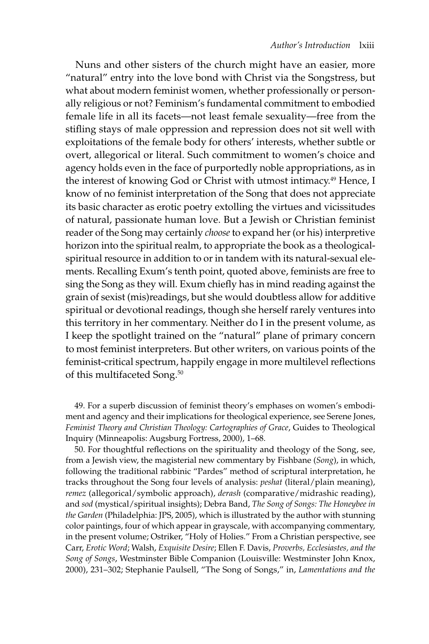Nuns and other sisters of the church might have an easier, more "natural" entry into the love bond with Christ via the Songstress, but what about modern feminist women, whether professionally or personally religious or not? Feminism's fundamental commitment to embodied female life in all its facets—not least female sexuality—free from the stifling stays of male oppression and repression does not sit well with exploitations of the female body for others' interests, whether subtle or overt, allegorical or literal. Such commitment to women's choice and agency holds even in the face of purportedly noble appropriations, as in the interest of knowing God or Christ with utmost intimacy.<sup>49</sup> Hence, I know of no feminist interpretation of the Song that does not appreciate its basic character as erotic poetry extolling the virtues and vicissitudes of natural, passionate human love. But a Jewish or Christian feminist reader of the Song may certainly *choose* to expand her (or his) interpretive horizon into the spiritual realm, to appropriate the book as a theologicalspiritual resource in addition to or in tandem with its natural-sexual elements. Recalling Exum's tenth point, quoted above, feminists are free to sing the Song as they will. Exum chiefly has in mind reading against the grain of sexist (mis)readings, but she would doubtless allow for additive spiritual or devotional readings, though she herself rarely ventures into this territory in her commentary. Neither do I in the present volume, as I keep the spotlight trained on the "natural" plane of primary concern to most feminist interpreters. But other writers, on various points of the feminist-critical spectrum, happily engage in more multilevel reflections of this multifaceted Song.<sup>50</sup>

49. For a superb discussion of feminist theory's emphases on women's embodiment and agency and their implications for theological experience, see Serene Jones, *Feminist Theory and Christian Theology: Cartographies of Grace*, Guides to Theological Inquiry (Minneapolis: Augsburg Fortress, 2000), 1–68.

50. For thoughtful reflections on the spirituality and theology of the Song, see, from a Jewish view, the magisterial new commentary by Fishbane (*Song*), in which, following the traditional rabbinic "Pardes" method of scriptural interpretation, he tracks throughout the Song four levels of analysis: *peshat* (literal/plain meaning), *remez* (allegorical/symbolic approach), *derash* (comparative/midrashic reading), and *sod* (mystical/spiritual insights); Debra Band, *The Song of Songs: The Honeybee in the Garden* (Philadelphia: JPS, 2005), which is illustrated by the author with stunning color paintings, four of which appear in grayscale, with accompanying commentary, in the present volume; Ostriker, "Holy of Holies." From a Christian perspective, see Carr, *Erotic Word*; Walsh, *Exquisite Desire*; Ellen F. Davis, *Proverbs, Ecclesiastes, and the Song of Songs*, Westminster Bible Companion (Louisville: Westminster John Knox, 2000), 231–302; Stephanie Paulsell, "The Song of Songs," in, *Lamentations and the*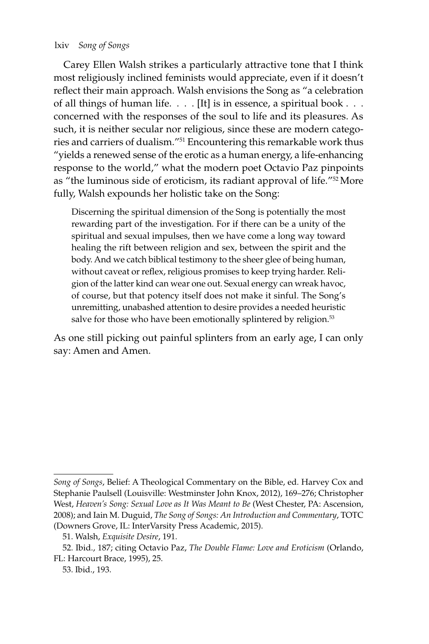#### lxiv *Song of Songs*

Carey Ellen Walsh strikes a particularly attractive tone that I think most religiously inclined feminists would appreciate, even if it doesn't reflect their main approach. Walsh envisions the Song as "a celebration of all things of human life. . . . [It] is in essence, a spiritual book . . . concerned with the responses of the soul to life and its pleasures. As such, it is neither secular nor religious, since these are modern categories and carriers of dualism."51 Encountering this remarkable work thus "yields a renewed sense of the erotic as a human energy, a life-enhancing response to the world," what the modern poet Octavio Paz pinpoints as "the luminous side of eroticism, its radiant approval of life."52 More fully, Walsh expounds her holistic take on the Song:

Discerning the spiritual dimension of the Song is potentially the most rewarding part of the investigation. For if there can be a unity of the spiritual and sexual impulses, then we have come a long way toward healing the rift between religion and sex, between the spirit and the body. And we catch biblical testimony to the sheer glee of being human, without caveat or reflex, religious promises to keep trying harder. Religion of the latter kind can wear one out. Sexual energy can wreak havoc, of course, but that potency itself does not make it sinful. The Song's unremitting, unabashed attention to desire provides a needed heuristic salve for those who have been emotionally splintered by religion.<sup>53</sup>

As one still picking out painful splinters from an early age, I can only say: Amen and Amen.

*Song of Songs*, Belief: A Theological Commentary on the Bible, ed. Harvey Cox and Stephanie Paulsell (Louisville: Westminster John Knox, 2012), 169–276; Christopher West, *Heaven's Song: Sexual Love as It Was Meant to Be* (West Chester, PA: Ascension, 2008); and Iain M. Duguid, *The Song of Songs: An Introduction and Commentary*, TOTC (Downers Grove, IL: InterVarsity Press Academic, 2015).

<sup>51.</sup> Walsh, *Exquisite Desire*, 191.

<sup>52.</sup> Ibid., 187; citing Octavio Paz, *The Double Flame: Love and Eroticism* (Orlando, FL: Harcourt Brace, 1995), 25.

<sup>53.</sup> Ibid., 193.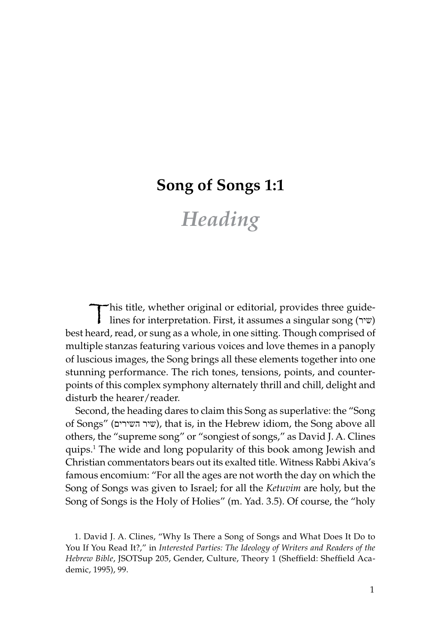# **Song of Songs 1:1**

# *Heading*

This title, whether original or editorial, provides three guide-lines for interpretation. First, it assumes a singular song (שיר ( best heard, read, or sung as a whole, in one sitting. Though comprised of multiple stanzas featuring various voices and love themes in a panoply of luscious images, the Song brings all these elements together into one stunning performance. The rich tones, tensions, points, and counterpoints of this complex symphony alternately thrill and chill, delight and disturb the hearer/reader.

Second, the heading dares to claim this Song as superlative: the "Song of Songs" (השירים שיר(, that is, in the Hebrew idiom, the Song above all others, the "supreme song" or "songiest of songs," as David J. A. Clines quips.1 The wide and long popularity of this book among Jewish and Christian commentators bears out its exalted title. Witness Rabbi Akiva's famous encomium: "For all the ages are not worth the day on which the Song of Songs was given to Israel; for all the *Ketuvim* are holy, but the Song of Songs is the Holy of Holies" (m. Yad. 3.5). Of course, the "holy

1. David J. A. Clines, "Why Is There a Song of Songs and What Does It Do to You If You Read It?," in *Interested Parties: The Ideology of Writers and Readers of the Hebrew Bible*, JSOTSup 205, Gender, Culture, Theory 1 (Sheffield: Sheffield Academic, 1995), 99.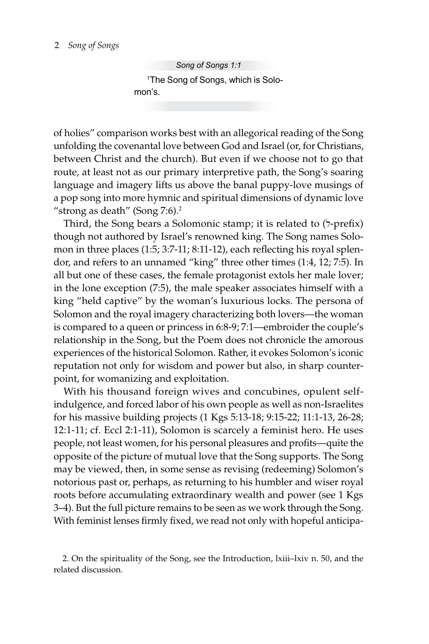*Song of Songs 1:1* 1 The Song of Songs, which is Solomon's.

of holies" comparison works best with an allegorical reading of the Song unfolding the covenantal love between God and Israel (or, for Christians, between Christ and the church). But even if we choose not to go that route, at least not as our primary interpretive path, the Song's soaring language and imagery lifts us above the banal puppy-love musings of a pop song into more hymnic and spiritual dimensions of dynamic love "strong as death" (Song  $7:6$ ).<sup>2</sup>

Third, the Song bears a Solomonic stamp; it is related to  $($ b-prefix) though not authored by Israel's renowned king. The Song names Solomon in three places (1:5; 3:7-11; 8:11-12), each reflecting his royal splendor, and refers to an unnamed "king" three other times (1:4, 12; 7:5). In all but one of these cases, the female protagonist extols her male lover; in the lone exception (7:5), the male speaker associates himself with a king "held captive" by the woman's luxurious locks. The persona of Solomon and the royal imagery characterizing both lovers—the woman is compared to a queen or princess in 6:8-9; 7:1—embroider the couple's relationship in the Song, but the Poem does not chronicle the amorous experiences of the historical Solomon. Rather, it evokes Solomon's iconic reputation not only for wisdom and power but also, in sharp counterpoint, for womanizing and exploitation.

With his thousand foreign wives and concubines, opulent selfindulgence, and forced labor of his own people as well as non-Israelites for his massive building projects (1 Kgs 5:13-18; 9:15-22; 11:1-13, 26-28; 12:1-11; cf. Eccl 2:1-11), Solomon is scarcely a feminist hero. He uses people, not least women, for his personal pleasures and profits—quite the opposite of the picture of mutual love that the Song supports. The Song may be viewed, then, in some sense as revising (redeeming) Solomon's notorious past or, perhaps, as returning to his humbler and wiser royal roots before accumulating extraordinary wealth and power (see 1 Kgs 3–4). But the full picture remains to be seen as we work through the Song. With feminist lenses firmly fixed, we read not only with hopeful anticipa-

2. On the spirituality of the Song, see the Introduction, lxiii–lxiv n. 50, and the related discussion.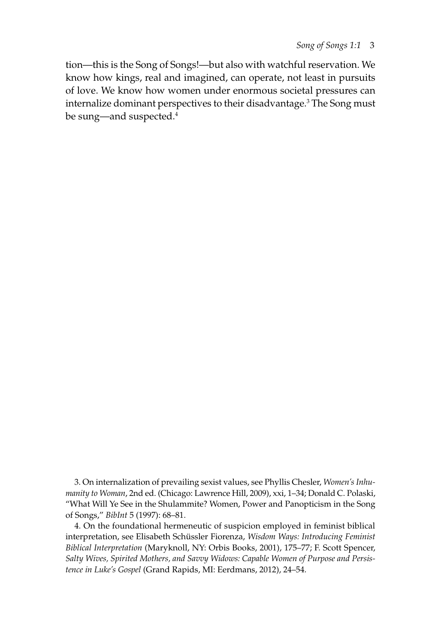tion—this is the Song of Songs!—but also with watchful reservation. We know how kings, real and imagined, can operate, not least in pursuits of love. We know how women under enormous societal pressures can internalize dominant perspectives to their disadvantage.3 The Song must be sung—and suspected.<sup>4</sup>

3. On internalization of prevailing sexist values, see Phyllis Chesler, *Women's Inhumanity to Woman*, 2nd ed. (Chicago: Lawrence Hill, 2009), xxi, 1–34; Donald C. Polaski, "What Will Ye See in the Shulammite? Women, Power and Panopticism in the Song of Songs," *BibInt* 5 (1997): 68–81.

4. On the foundational hermeneutic of suspicion employed in feminist biblical interpretation, see Elisabeth Schüssler Fiorenza, *Wisdom Ways: Introducing Feminist Biblical Interpretation* (Maryknoll, NY: Orbis Books, 2001), 175–77; F. Scott Spencer, *Salty Wives, Spirited Mothers, and Savvy Widows: Capable Women of Purpose and Persistence in Luke's Gospel* (Grand Rapids, MI: Eerdmans, 2012), 24–54.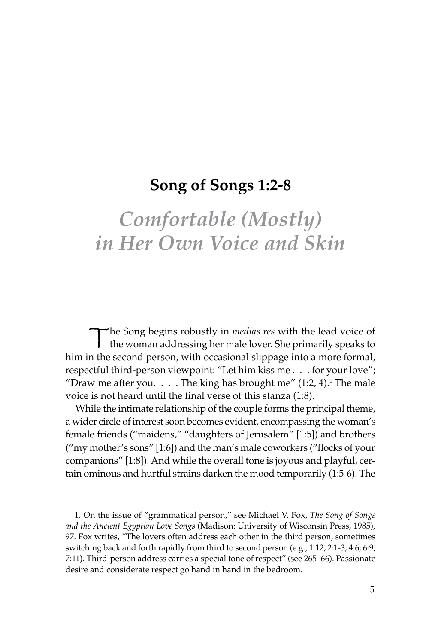# **Song of Songs 1:2-8**

# *Comfortable (Mostly) in Her Own Voice and Skin*

The Song begins robustly in *medias res* with the lead voice of the woman addressing her male lover. She primarily speaks to n the second person, with corosional clinical site a more formal him in the second person, with occasional slippage into a more formal, respectful third-person viewpoint: "Let him kiss me . . . for your love"; "Draw me after you.  $\ldots$  . The king has brought me"  $(1:2, 4)$ . The male voice is not heard until the final verse of this stanza (1:8).

While the intimate relationship of the couple forms the principal theme, a wider circle of interest soon becomes evident, encompassing the woman's female friends ("maidens," "daughters of Jerusalem" [1:5]) and brothers ("my mother's sons" [1:6]) and the man's male coworkers ("flocks of your companions" [1:8]). And while the overall tone is joyous and playful, certain ominous and hurtful strains darken the mood temporarily (1:5-6). The

1. On the issue of "grammatical person," see Michael V. Fox, *The Song of Songs and the Ancient Egyptian Love Songs* (Madison: University of Wisconsin Press, 1985), 97. Fox writes, "The lovers often address each other in the third person, sometimes switching back and forth rapidly from third to second person (e.g., 1:12; 2:1-3; 4:6; 6:9; 7:11). Third-person address carries a special tone of respect" (see 265–66). Passionate desire and considerate respect go hand in hand in the bedroom.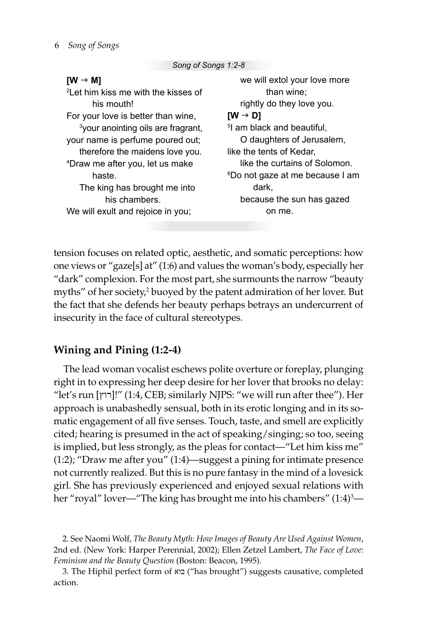| $IW \rightarrow MI$                             | we will extol your love more                |
|-------------------------------------------------|---------------------------------------------|
| <sup>2</sup> Let him kiss me with the kisses of | than wine:                                  |
| his mouth!                                      | rightly do they love you.                   |
| For your love is better than wine,              | $[W \rightarrow D]$                         |
| <sup>3</sup> your anointing oils are fragrant,  | <sup>5</sup> am black and beautiful,        |
| your name is perfume poured out;                | O daughters of Jerusalem,                   |
| therefore the maidens love you.                 | like the tents of Kedar,                    |
| <sup>4</sup> Draw me after you, let us make     | like the curtains of Solomon.               |
| haste.                                          | <sup>6</sup> Do not gaze at me because I am |
| The king has brought me into                    | dark.                                       |
| his chambers.                                   | because the sun has gazed                   |
| We will exult and rejoice in you;               | on me.                                      |

*Song of Songs 1:2-8*

tension focuses on related optic, aesthetic, and somatic perceptions: how one views or "gaze[s] at" (1:6) and values the woman's body, especially her "dark" complexion. For the most part, she surmounts the narrow "beauty myths" of her society,<sup>2</sup> buoyed by the patent admiration of her lover. But the fact that she defends her beauty perhaps betrays an undercurrent of insecurity in the face of cultural stereotypes.

## **Wining and Pining (1:2-4)**

The lead woman vocalist eschews polite overture or foreplay, plunging right in to expressing her deep desire for her lover that brooks no delay: "let's run [רוץ) "![1:4, CEB; similarly NJPS: "we will run after thee"). Her approach is unabashedly sensual, both in its erotic longing and in its somatic engagement of all five senses. Touch, taste, and smell are explicitly cited; hearing is presumed in the act of speaking/singing; so too, seeing is implied, but less strongly, as the pleas for contact—"Let him kiss me" (1:2); "Draw me after you" (1:4)—suggest a pining for intimate presence not currently realized. But this is no pure fantasy in the mind of a lovesick girl. She has previously experienced and enjoyed sexual relations with her "royal" lover—"The king has brought me into his chambers" (1:4)<sup>3</sup>—

2. See Naomi Wolf, *The Beauty Myth: How Images of Beauty Are Used Against Women*, 2nd ed. (New York: Harper Perennial, 2002); Ellen Zetzel Lambert, *The Face of Love: Feminism and the Beauty Question* (Boston: Beacon, 1995).

3. The Hiphil perfect form of בוא") has brought") suggests causative, completed action.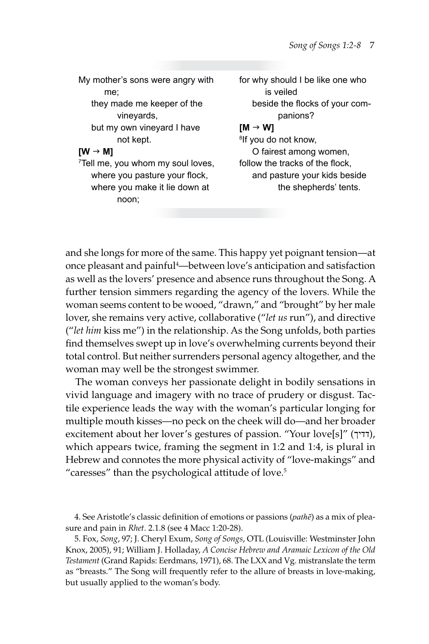My mother's sons were angry with me;

they made me keeper of the vineyards,

but my own vineyard I have not kept.

#### $\mathsf{I} \mathsf{W} \rightarrow \mathsf{M}$

7 Tell me, you whom my soul loves, where you pasture your flock, where you make it lie down at noon;

```
for why should I be like one who 
   is veiled
beside the flocks of your com-
       panions?
```
## $[M \rightarrow W]$

8 If you do not know, O fairest among women, follow the tracks of the flock, and pasture your kids beside the shepherds' tents.

and she longs for more of the same. This happy yet poignant tension—at once pleasant and painful4 —between love's anticipation and satisfaction as well as the lovers' presence and absence runs throughout the Song. A further tension simmers regarding the agency of the lovers. While the woman seems content to be wooed, "drawn," and "brought" by her male lover, she remains very active, collaborative ("*let us* run"), and directive ("*let him* kiss me") in the relationship. As the Song unfolds, both parties find themselves swept up in love's overwhelming currents beyond their total control. But neither surrenders personal agency altogether, and the woman may well be the strongest swimmer.

The woman conveys her passionate delight in bodily sensations in vivid language and imagery with no trace of prudery or disgust. Tactile experience leads the way with the woman's particular longing for multiple mouth kisses—no peck on the cheek will do—and her broader excitement about her lover's gestures of passion. "Your love[s]" (דדיך), which appears twice, framing the segment in 1:2 and 1:4, is plural in Hebrew and connotes the more physical activity of "love-makings" and "caresses" than the psychological attitude of love.5

4. See Aristotle's classic definition of emotions or passions (*pathē*) as a mix of pleasure and pain in *Rhet*. 2.1.8 (see 4 Macc 1:20-28).

5. Fox, *Song*, 97; J. Cheryl Exum, *Song of Songs*, OTL (Louisville: Westminster John Knox, 2005), 91; William J. Holladay, *A Concise Hebrew and Aramaic Lexicon of the Old Testament* (Grand Rapids: Eerdmans, 1971), 68. The LXX and Vg. mistranslate the term as "breasts." The Song will frequently refer to the allure of breasts in love-making, but usually applied to the woman's body.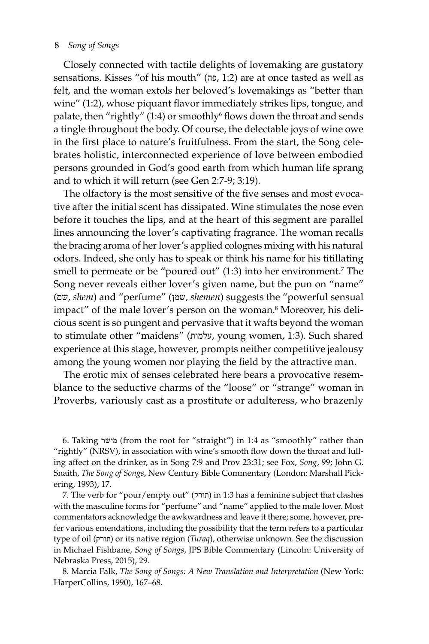#### 8 *Song of Songs*

Closely connected with tactile delights of lovemaking are gustatory sensations. Kisses "of his mouth" (פה, 1:2 (are at once tasted as well as felt, and the woman extols her beloved's lovemakings as "better than wine" (1:2), whose piquant flavor immediately strikes lips, tongue, and palate, then "rightly" (1:4) or smoothly<sup>6</sup> flows down the throat and sends a tingle throughout the body. Of course, the delectable joys of wine owe in the first place to nature's fruitfulness. From the start, the Song celebrates holistic, interconnected experience of love between embodied persons grounded in God's good earth from which human life sprang and to which it will return (see Gen 2:7-9; 3:19).

The olfactory is the most sensitive of the five senses and most evocative after the initial scent has dissipated. Wine stimulates the nose even before it touches the lips, and at the heart of this segment are parallel lines announcing the lover's captivating fragrance. The woman recalls the bracing aroma of her lover's applied colognes mixing with his natural odors. Indeed, she only has to speak or think his name for his titillating smell to permeate or be "poured out" (1:3) into her environment.<sup>7</sup> The Song never reveals either lover's given name, but the pun on "name" (שם, *shem*) and "perfume" (שמן, *shemen*) suggests the "powerful sensual impact" of the male lover's person on the woman.<sup>8</sup> Moreover, his delicious scent is so pungent and pervasive that it wafts beyond the woman to stimulate other "maidens" (עלמות, young women, 1:3). Such shared experience at this stage, however, prompts neither competitive jealousy among the young women nor playing the field by the attractive man.

The erotic mix of senses celebrated here bears a provocative resemblance to the seductive charms of the "loose" or "strange" woman in Proverbs, variously cast as a prostitute or adulteress, who brazenly

6. Taking מישר) from the root for "straight") in 1:4 as "smoothly" rather than "rightly" (NRSV), in association with wine's smooth flow down the throat and lulling affect on the drinker, as in Song 7:9 and Prov 23:31; see Fox, *Song*, 99; John G. Snaith, *The Song of Songs*, New Century Bible Commentary (London: Marshall Pickering, 1993), 17.

7. The verb for "pour/empty out" (תורק) in 1:3 has a feminine subject that clashes with the masculine forms for "perfume" and "name" applied to the male lover. Most commentators acknowledge the awkwardness and leave it there; some, however, prefer various emendations, including the possibility that the term refers to a particular type of oil (תורק (or its native region (*Turaq*), otherwise unknown. See the discussion in Michael Fishbane, *Song of Songs*, JPS Bible Commentary (Lincoln: University of Nebraska Press, 2015), 29.

8. Marcia Falk, *The Song of Songs: A New Translation and Interpretation* (New York: HarperCollins, 1990), 167–68.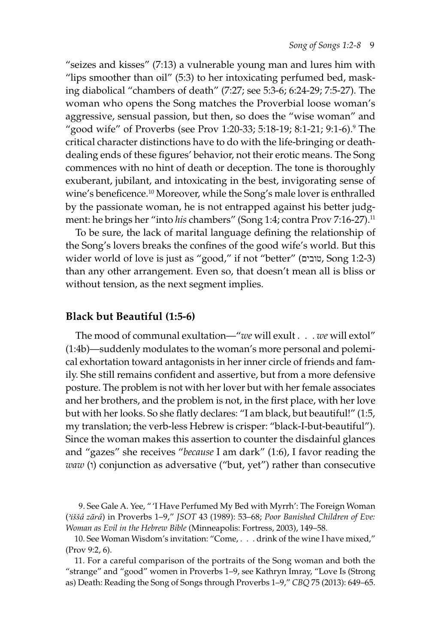"seizes and kisses" (7:13) a vulnerable young man and lures him with "lips smoother than oil" (5:3) to her intoxicating perfumed bed, masking diabolical "chambers of death" (7:27; see 5:3-6; 6:24-29; 7:5-27). The woman who opens the Song matches the Proverbial loose woman's aggressive, sensual passion, but then, so does the "wise woman" and "good wife" of Proverbs (see Prov 1:20-33; 5:18-19; 8:1-21; 9:1-6).9 The critical character distinctions have to do with the life-bringing or deathdealing ends of these figures' behavior, not their erotic means. The Song commences with no hint of death or deception. The tone is thoroughly exuberant, jubilant, and intoxicating in the best, invigorating sense of wine's beneficence.10 Moreover, while the Song's male lover is enthralled by the passionate woman, he is not entrapped against his better judgment: he brings her "into *his* chambers" (Song 1:4; contra Prov 7:16-27).<sup>11</sup>

To be sure, the lack of marital language defining the relationship of the Song's lovers breaks the confines of the good wife's world. But this wider world of love is just as "good," if not "better" (טובים, Song 1:2-3) than any other arrangement. Even so, that doesn't mean all is bliss or without tension, as the next segment implies.

## **Black but Beautiful (1:5-6)**

The mood of communal exultation—"*we* will exult . . . *we* will extol" (1:4b)—suddenly modulates to the woman's more personal and polemical exhortation toward antagonists in her inner circle of friends and family. She still remains confident and assertive, but from a more defensive posture. The problem is not with her lover but with her female associates and her brothers, and the problem is not, in the first place, with her love but with her looks. So she flatly declares: "I am black, but beautiful!" (1:5, my translation; the verb-less Hebrew is crisper: "black-I-but-beautiful"). Since the woman makes this assertion to counter the disdainful glances and "gazes" she receives "*because* I am dark" (1:6), I favor reading the *waw* (1) conjunction as adversative ("but, yet") rather than consecutive

9. See Gale A. Yee, "'I Have Perfumed My Bed with Myrrh': The Foreign Woman (*<iššâ zārâ*) in Proverbs 1–9," *JSOT* 43 (1989): 53–68; *Poor Banished Children of Eve: Woman as Evil in the Hebrew Bible* (Minneapolis: Fortress, 2003), 149–58.

10. See Woman Wisdom's invitation: "Come, . . . drink of the wine I have mixed," (Prov 9:2, 6).

11. For a careful comparison of the portraits of the Song woman and both the "strange" and "good" women in Proverbs 1–9, see Kathryn Imray, "Love Is (Strong as) Death: Reading the Song of Songs through Proverbs 1–9," *CBQ* 75 (2013): 649–65.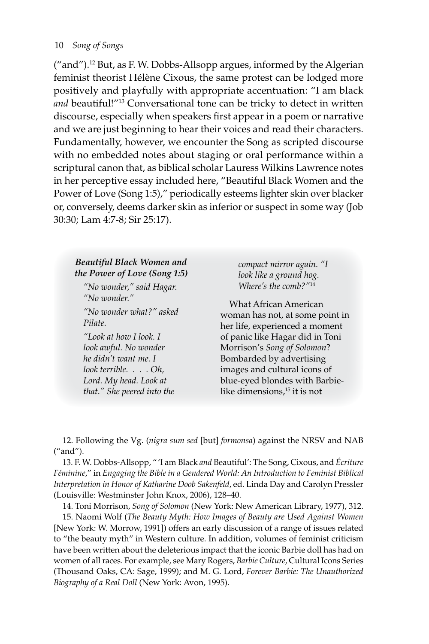("and").12 But, as F. W. Dobbs-Allsopp argues, informed by the Algerian feminist theorist Hélène Cixous, the same protest can be lodged more positively and playfully with appropriate accentuation: "I am black *and* beautiful!"13 Conversational tone can be tricky to detect in written discourse, especially when speakers first appear in a poem or narrative and we are just beginning to hear their voices and read their characters. Fundamentally, however, we encounter the Song as scripted discourse with no embedded notes about staging or oral performance within a scriptural canon that, as biblical scholar Lauress Wilkins Lawrence notes in her perceptive essay included here, "Beautiful Black Women and the Power of Love (Song 1:5)," periodically esteems lighter skin over blacker or, conversely, deems darker skin as inferior or suspect in some way (Job 30:30; Lam 4:7-8; Sir 25:17).

## *Beautiful Black Women and the Power of Love (Song 1:5)*

*"No wonder," said Hagar. "No wonder."*

*"No wonder what?" asked Pilate.*

*"Look at how I look. I look awful. No wonder he didn't want me. I look terrible. . . . Oh, Lord. My head. Look at that." She peered into the*  *compact mirror again. "I look like a ground hog. Where's the comb?"*<sup>14</sup>

What African American woman has not, at some point in her life, experienced a moment of panic like Hagar did in Toni Morrison's *Song of Solomon*? Bombarded by advertising images and cultural icons of blue-eyed blondes with Barbielike dimensions,<sup>15</sup> it is not

12. Following the Vg. (*nigra sum sed* [but] *formonsa*) against the NRSV and NAB ("and").

13. F. W. Dobbs-Allsopp, "'I am Black *and* Beautiful': The Song, Cixous, and *Écriture Féminine*," in *Engaging the Bible in a Gendered World: An Introduction to Feminist Biblical Interpretation in Honor of Katharine Doob Sakenfeld*, ed. Linda Day and Carolyn Pressler (Louisville: Westminster John Knox, 2006), 128–40.

14. Toni Morrison, *Song of Solomon* (New York: New American Library, 1977), 312.

15. Naomi Wolf (*The Beauty Myth: How Images of Beauty are Used Against Women* [New York: W. Morrow, 1991]) offers an early discussion of a range of issues related to "the beauty myth" in Western culture. In addition, volumes of feminist criticism have been written about the deleterious impact that the iconic Barbie doll has had on women of all races. For example, see Mary Rogers, *Barbie Culture*, Cultural Icons Series (Thousand Oaks, CA: Sage, 1999); and M. G. Lord, *Forever Barbie: The Unauthorized Biography of a Real Doll* (New York: Avon, 1995).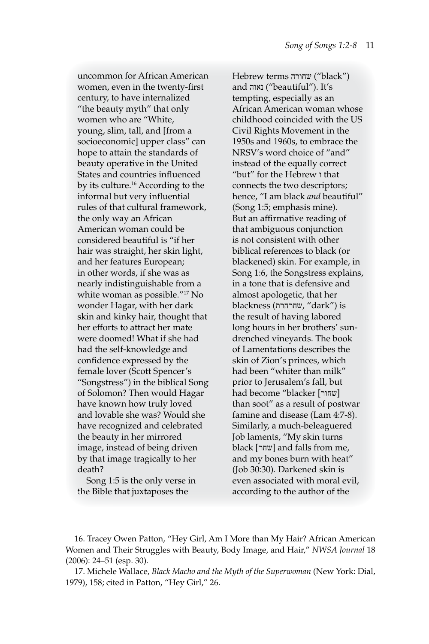uncommon for African American women, even in the twenty-first century, to have internalized "the beauty myth" that only women who are "White, young, slim, tall, and [from a socioeconomic] upper class" can hope to attain the standards of beauty operative in the United States and countries influenced by its culture.<sup>16</sup> According to the informal but very influential rules of that cultural framework, the only way an African American woman could be considered beautiful is "if her hair was straight, her skin light, and her features European; in other words, if she was as nearly indistinguishable from a white woman as possible."17 No wonder Hagar, with her dark skin and kinky hair, thought that her efforts to attract her mate were doomed! What if she had had the self-knowledge and confidence expressed by the female lover (Scott Spencer's "Songstress") in the biblical Song of Solomon? Then would Hagar have known how truly loved and lovable she was? Would she have recognized and celebrated the beauty in her mirrored image, instead of being driven by that image tragically to her death?

Song 1:5 is the only verse in the Bible that juxtaposes the

Hebrew terms שחורה" ("black") and נאוה) ("beautiful"). It's tempting, especially as an African American woman whose childhood coincided with the US Civil Rights Movement in the 1950s and 1960s, to embrace the NRSV's word choice of "and" instead of the equally correct "but" for the Hebrew ו that connects the two descriptors; hence, "I am black *and* beautiful" (Song 1:5; emphasis mine). But an affirmative reading of that ambiguous conjunction is not consistent with other biblical references to black (or blackened) skin. For example, in Song 1:6, the Songstress explains, in a tone that is defensive and almost apologetic, that her blackness (שחרחרת," dark") is the result of having labored long hours in her brothers' sundrenched vineyards. The book of Lamentations describes the skin of Zion's princes, which had been "whiter than milk" prior to Jerusalem's fall, but had become "blacker [שחור [ than soot" as a result of postwar famine and disease (Lam 4:7-8). Similarly, a much-beleaguered Job laments, "My skin turns black [שחר] and falls from me, and my bones burn with heat" (Job 30:30). Darkened skin is even associated with moral evil, according to the author of the

16. Tracey Owen Patton, "Hey Girl, Am I More than My Hair? African American Women and Their Struggles with Beauty, Body Image, and Hair," *NWSA Journal* 18 (2006): 24–51 (esp. 30).

17. Michele Wallace, *Black Macho and the Myth of the Superwoman* (New York: Dial, 1979), 158; cited in Patton, "Hey Girl," 26.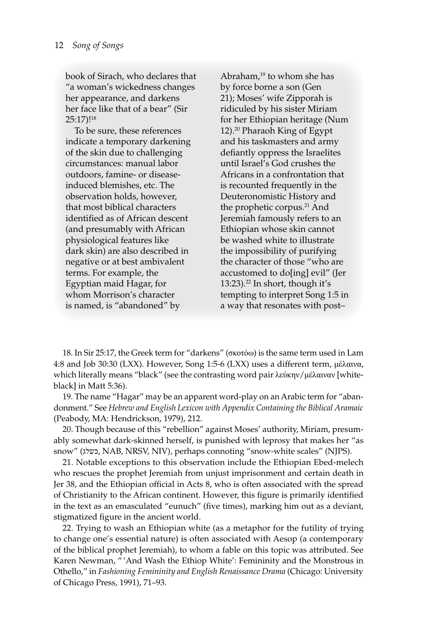book of Sirach, who declares that "a woman's wickedness changes her appearance, and darkens her face like that of a bear" (Sir 25:17)!18

To be sure, these references indicate a temporary darkening of the skin due to challenging circumstances: manual labor outdoors, famine- or diseaseinduced blemishes, etc. The observation holds, however, that most biblical characters identified as of African descent (and presumably with African physiological features like dark skin) are also described in negative or at best ambivalent terms. For example, the Egyptian maid Hagar, for whom Morrison's character is named, is "abandoned" by

Abraham,19 to whom she has by force borne a son (Gen 21); Moses' wife Zipporah is ridiculed by his sister Miriam for her Ethiopian heritage (Num 12).20 Pharaoh King of Egypt and his taskmasters and army defiantly oppress the Israelites until Israel's God crushes the Africans in a confrontation that is recounted frequently in the Deuteronomistic History and the prophetic corpus.<sup>21</sup> And Jeremiah famously refers to an Ethiopian whose skin cannot be washed white to illustrate the impossibility of purifying the character of those "who are accustomed to do[ing] evil" (Jer 13:23).<sup>22</sup> In short, though it's tempting to interpret Song 1:5 in a way that resonates with post–

18. In Sir 25:17, the Greek term for "darkens" (σκοτόω) is the same term used in Lam 4:8 and Job 30:30 (LXX). However, Song 1:5-6 (LXX) uses a different term, μέλαινα, which literally means "black" (see the contrasting word pair λεύκην/μέλαιναν [whiteblack] in Matt 5:36).

19. The name "Hagar" may be an apparent word-play on an Arabic term for "abandonment." See *Hebrew and English Lexicon with Appendix Containing the Biblical Aramaic* (Peabody, MA: Hendrickson, 1979), 212.

20. Though because of this "rebellion" against Moses' authority, Miriam, presumably somewhat dark-skinned herself, is punished with leprosy that makes her "as snow" (כשלג, NAB, NRSV, NIV), perhaps connoting "snow-white scales" (NJPS).

21. Notable exceptions to this observation include the Ethiopian Ebed-melech who rescues the prophet Jeremiah from unjust imprisonment and certain death in Jer 38, and the Ethiopian official in Acts 8, who is often associated with the spread of Christianity to the African continent. However, this figure is primarily identified in the text as an emasculated "eunuch" (five times), marking him out as a deviant, stigmatized figure in the ancient world.

22. Trying to wash an Ethiopian white (as a metaphor for the futility of trying to change one's essential nature) is often associated with Aesop (a contemporary of the biblical prophet Jeremiah), to whom a fable on this topic was attributed. See Karen Newman, " 'And Wash the Ethiop White': Femininity and the Monstrous in Othello," in *Fashioning Femininity and English Renaissance Drama* (Chicago: University of Chicago Press, 1991), 71–93.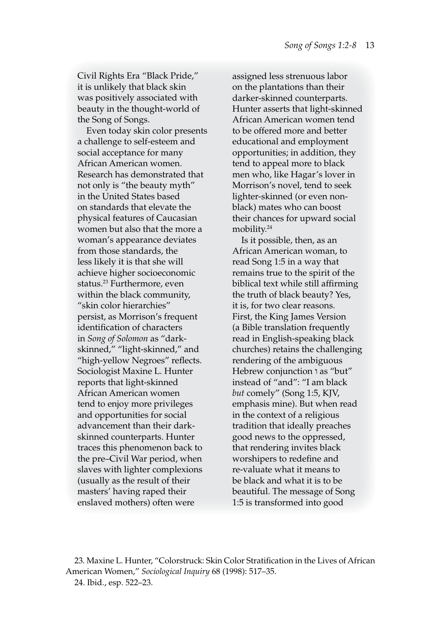Civil Rights Era "Black Pride," it is unlikely that black skin was positively associated with beauty in the thought-world of the Song of Songs.

Even today skin color presents a challenge to self-esteem and social acceptance for many African American women. Research has demonstrated that not only is "the beauty myth" in the United States based on standards that elevate the physical features of Caucasian women but also that the more a woman's appearance deviates from those standards, the less likely it is that she will achieve higher socioeconomic status.<sup>23</sup> Furthermore, even within the black community, "skin color hierarchies" persist, as Morrison's frequent identification of characters in *Song of Solomon* as "darkskinned," "light-skinned," and "high-yellow Negroes" reflects. Sociologist Maxine L. Hunter reports that light-skinned African American women tend to enjoy more privileges and opportunities for social advancement than their darkskinned counterparts. Hunter traces this phenomenon back to the pre–Civil War period, when slaves with lighter complexions (usually as the result of their masters' having raped their enslaved mothers) often were

assigned less strenuous labor on the plantations than their darker-skinned counterparts. Hunter asserts that light-skinned African American women tend to be offered more and better educational and employment opportunities; in addition, they tend to appeal more to black men who, like Hagar's lover in Morrison's novel, tend to seek lighter-skinned (or even nonblack) mates who can boost their chances for upward social mobility.<sup>24</sup>

Is it possible, then, as an African American woman, to read Song 1:5 in a way that remains true to the spirit of the biblical text while still affirming the truth of black beauty? Yes, it is, for two clear reasons. First, the King James Version (a Bible translation frequently read in English-speaking black churches) retains the challenging rendering of the ambiguous Hebrew conjunction i as "but" instead of "and": "I am black *but* comely" (Song 1:5, KJV, emphasis mine). But when read in the context of a religious tradition that ideally preaches good news to the oppressed, that rendering invites black worshipers to redefine and re-valuate what it means to be black and what it is to be beautiful. The message of Song 1:5 is transformed into good

<sup>23.</sup> Maxine L. Hunter, "Colorstruck: Skin Color Stratification in the Lives of African American Women," *Sociological Inquiry* 68 (1998): 517–35. 24. Ibid., esp. 522–23.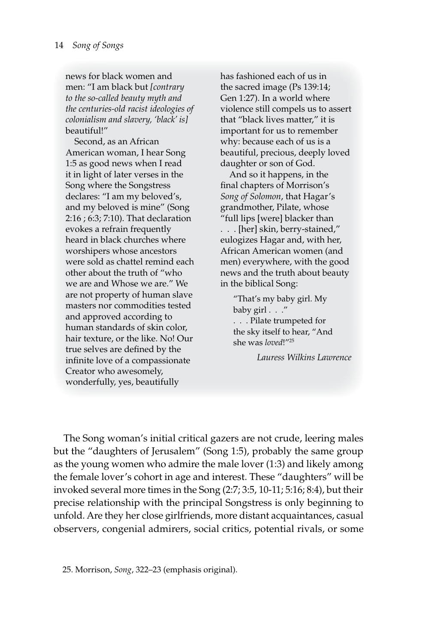news for black women and men: "I am black but *[contrary to the so-called beauty myth and the centuries-old racist ideologies of colonialism and slavery, 'black' is]* beautiful!"

Second, as an African American woman, I hear Song 1:5 as good news when I read it in light of later verses in the Song where the Songstress declares: "I am my beloved's, and my beloved is mine" (Song 2:16 ; 6:3; 7:10). That declaration evokes a refrain frequently heard in black churches where worshipers whose ancestors were sold as chattel remind each other about the truth of "who we are and Whose we are." We are not property of human slave masters nor commodities tested and approved according to human standards of skin color, hair texture, or the like. No! Our true selves are defined by the infinite love of a compassionate Creator who awesomely, wonderfully, yes, beautifully

has fashioned each of us in the sacred image (Ps 139:14; Gen 1:27). In a world where violence still compels us to assert that "black lives matter," it is important for us to remember why: because each of us is a beautiful, precious, deeply loved daughter or son of God.

And so it happens, in the final chapters of Morrison's *Song of Solomon*, that Hagar's grandmother, Pilate, whose "full lips [were] blacker than . . . [her] skin, berry-stained," eulogizes Hagar and, with her, African American women (and men) everywhere, with the good news and the truth about beauty in the biblical Song:

"That's my baby girl. My baby girl . . ." . . . Pilate trumpeted for the sky itself to hear, "And she was *loved*!"25

*Lauress Wilkins Lawrence*

The Song woman's initial critical gazers are not crude, leering males but the "daughters of Jerusalem" (Song 1:5), probably the same group as the young women who admire the male lover (1:3) and likely among the female lover's cohort in age and interest. These "daughters" will be invoked several more times in the Song (2:7; 3:5, 10-11; 5:16; 8:4), but their precise relationship with the principal Songstress is only beginning to unfold. Are they her close girlfriends, more distant acquaintances, casual observers, congenial admirers, social critics, potential rivals, or some

25. Morrison, *Song*, 322–23 (emphasis original).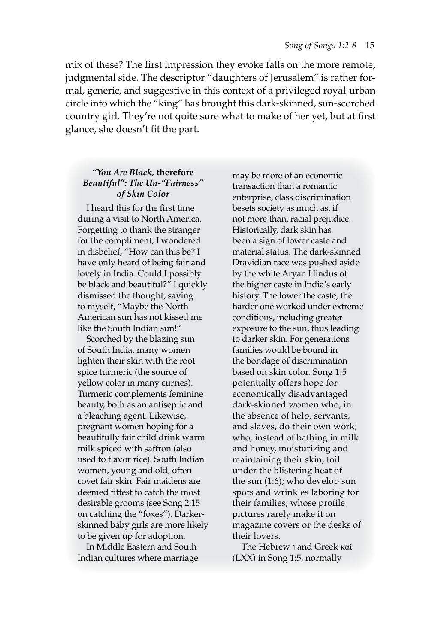mix of these? The first impression they evoke falls on the more remote, judgmental side. The descriptor "daughters of Jerusalem" is rather formal, generic, and suggestive in this context of a privileged royal-urban circle into which the "king" has brought this dark-skinned, sun-scorched country girl. They're not quite sure what to make of her yet, but at first glance, she doesn't fit the part.

#### *"You Are Black,* **therefore** *Beautiful": The Un-"Fairness" of Skin Color*

I heard this for the first time during a visit to North America. Forgetting to thank the stranger for the compliment, I wondered in disbelief, "How can this be? I have only heard of being fair and lovely in India. Could I possibly be black and beautiful?" I quickly dismissed the thought, saying to myself, "Maybe the North American sun has not kissed me like the South Indian sun!"

Scorched by the blazing sun of South India, many women lighten their skin with the root spice turmeric (the source of yellow color in many curries). Turmeric complements feminine beauty, both as an antiseptic and a bleaching agent. Likewise, pregnant women hoping for a beautifully fair child drink warm milk spiced with saffron (also used to flavor rice). South Indian women, young and old, often covet fair skin. Fair maidens are deemed fittest to catch the most desirable grooms (see Song 2:15 on catching the "foxes"). Darkerskinned baby girls are more likely to be given up for adoption.

In Middle Eastern and South Indian cultures where marriage

may be more of an economic transaction than a romantic enterprise, class discrimination besets society as much as, if not more than, racial prejudice. Historically, dark skin has been a sign of lower caste and material status. The dark-skinned Dravidian race was pushed aside by the white Aryan Hindus of the higher caste in India's early history. The lower the caste, the harder one worked under extreme conditions, including greater exposure to the sun, thus leading to darker skin. For generations families would be bound in the bondage of discrimination based on skin color. Song 1:5 potentially offers hope for economically disadvantaged dark-skinned women who, in the absence of help, servants, and slaves, do their own work; who, instead of bathing in milk and honey, moisturizing and maintaining their skin, toil under the blistering heat of the sun (1:6); who develop sun spots and wrinkles laboring for their families; whose profile pictures rarely make it on magazine covers or the desks of their lovers.

The Hebrew ו and Greek καί (LXX) in Song 1:5, normally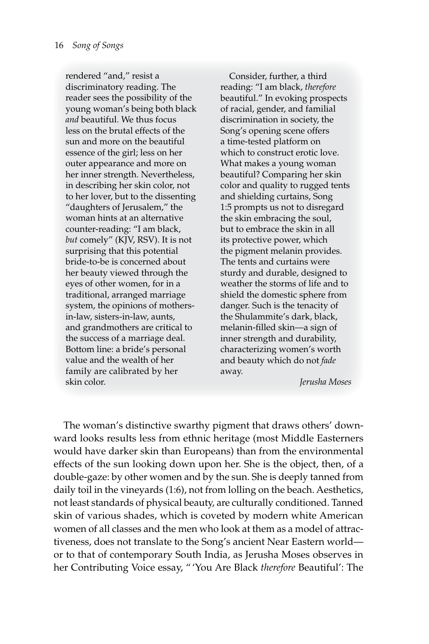rendered "and," resist a discriminatory reading. The reader sees the possibility of the young woman's being both black *and* beautiful. We thus focus less on the brutal effects of the sun and more on the beautiful essence of the girl; less on her outer appearance and more on her inner strength. Nevertheless, in describing her skin color, not to her lover, but to the dissenting "daughters of Jerusalem," the woman hints at an alternative counter-reading: "I am black, *but* comely" (KJV, RSV). It is not surprising that this potential bride-to-be is concerned about her beauty viewed through the eyes of other women, for in a traditional, arranged marriage system, the opinions of mothersin-law, sisters-in-law, aunts, and grandmothers are critical to the success of a marriage deal. Bottom line: a bride's personal value and the wealth of her family are calibrated by her skin color.

Consider, further, a third reading: "I am black, *therefore* beautiful." In evoking prospects of racial, gender, and familial discrimination in society, the Song's opening scene offers a time-tested platform on which to construct erotic love. What makes a young woman beautiful? Comparing her skin color and quality to rugged tents and shielding curtains, Song 1:5 prompts us not to disregard the skin embracing the soul, but to embrace the skin in all its protective power, which the pigment melanin provides. The tents and curtains were sturdy and durable, designed to weather the storms of life and to shield the domestic sphere from danger. Such is the tenacity of the Shulammite's dark, black, melanin-filled skin—a sign of inner strength and durability, characterizing women's worth and beauty which do not *fade* away.

*Jerusha Moses*

The woman's distinctive swarthy pigment that draws others' downward looks results less from ethnic heritage (most Middle Easterners would have darker skin than Europeans) than from the environmental effects of the sun looking down upon her. She is the object, then, of a double-gaze: by other women and by the sun. She is deeply tanned from daily toil in the vineyards (1:6), not from lolling on the beach. Aesthetics, not least standards of physical beauty, are culturally conditioned. Tanned skin of various shades, which is coveted by modern white American women of all classes and the men who look at them as a model of attractiveness, does not translate to the Song's ancient Near Eastern world or to that of contemporary South India, as Jerusha Moses observes in her Contributing Voice essay, " 'You Are Black *therefore* Beautiful': The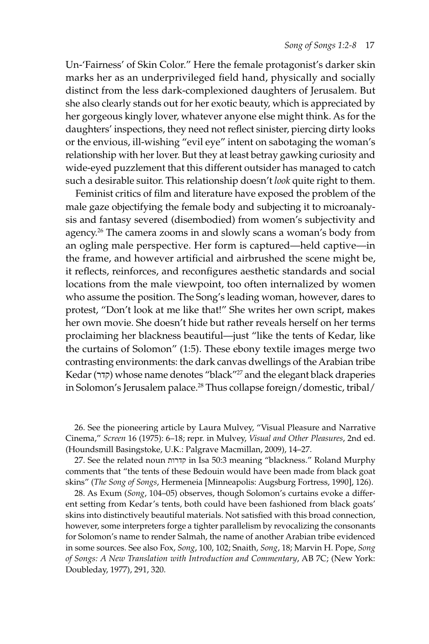Un-'Fairness' of Skin Color." Here the female protagonist's darker skin marks her as an underprivileged field hand, physically and socially distinct from the less dark-complexioned daughters of Jerusalem. But she also clearly stands out for her exotic beauty, which is appreciated by her gorgeous kingly lover, whatever anyone else might think. As for the daughters' inspections, they need not reflect sinister, piercing dirty looks or the envious, ill-wishing "evil eye" intent on sabotaging the woman's relationship with her lover. But they at least betray gawking curiosity and wide-eyed puzzlement that this different outsider has managed to catch such a desirable suitor. This relationship doesn't *look* quite right to them.

Feminist critics of film and literature have exposed the problem of the male gaze objectifying the female body and subjecting it to microanalysis and fantasy severed (disembodied) from women's subjectivity and agency.<sup>26</sup> The camera zooms in and slowly scans a woman's body from an ogling male perspective. Her form is captured—held captive—in the frame, and however artificial and airbrushed the scene might be, it reflects, reinforces, and reconfigures aesthetic standards and social locations from the male viewpoint, too often internalized by women who assume the position. The Song's leading woman, however, dares to protest, "Don't look at me like that!" She writes her own script, makes her own movie. She doesn't hide but rather reveals herself on her terms proclaiming her blackness beautiful—just "like the tents of Kedar, like the curtains of Solomon" (1:5). These ebony textile images merge two contrasting environments: the dark canvas dwellings of the Arabian tribe Kedar (קדר) whose name denotes "black"<sup>27</sup> and the elegant black draperies in Solomon's Jerusalem palace.<sup>28</sup> Thus collapse foreign/domestic, tribal/

26. See the pioneering article by Laura Mulvey, "Visual Pleasure and Narrative Cinema," *Screen* 16 (1975): 6–18; repr. in Mulvey, *Visual and Other Pleasures*, 2nd ed. (Houndsmill Basingstoke, U.K.: Palgrave Macmillan, 2009), 14–27.

27. See the related noun קדרות in Isa 50:3 meaning "blackness." Roland Murphy comments that "the tents of these Bedouin would have been made from black goat skins" (*The Song of Songs*, Hermeneia [Minneapolis: Augsburg Fortress, 1990], 126).

28. As Exum (*Song*, 104–05) observes, though Solomon's curtains evoke a different setting from Kedar's tents, both could have been fashioned from black goats' skins into distinctively beautiful materials. Not satisfied with this broad connection, however, some interpreters forge a tighter parallelism by revocalizing the consonants for Solomon's name to render Salmah, the name of another Arabian tribe evidenced in some sources. See also Fox, *Song*, 100, 102; Snaith, *Song*, 18; Marvin H. Pope, *Song of Songs: A New Translation with Introduction and Commentary*, AB 7C; (New York: Doubleday, 1977), 291, 320.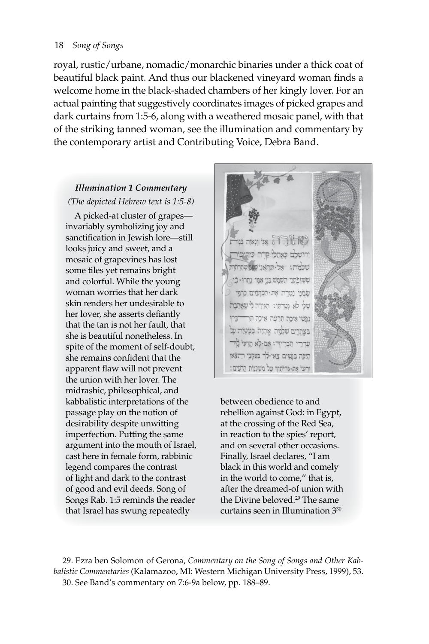royal, rustic/urbane, nomadic/monarchic binaries under a thick coat of beautiful black paint. And thus our blackened vineyard woman finds a welcome home in the black-shaded chambers of her kingly lover. For an actual painting that suggestively coordinates images of picked grapes and dark curtains from 1:5-6, along with a weathered mosaic panel, with that of the striking tanned woman, see the illumination and commentary by the contemporary artist and Contributing Voice, Debra Band.

*Illumination 1 Commentary (The depicted Hebrew text is 1:5-8)*

A picked-at cluster of grapes invariably symbolizing joy and sanctification in Jewish lore—still looks juicy and sweet, and a mosaic of grapevines has lost some tiles yet remains bright and colorful. While the young woman worries that her dark skin renders her undesirable to her lover, she asserts defiantly that the tan is not her fault, that she is beautiful nonetheless. In spite of the moment of self-doubt, she remains confident that the apparent flaw will not prevent the union with her lover. The midrashic, philosophical, and kabbalistic interpretations of the passage play on the notion of desirability despite unwitting imperfection. Putting the same argument into the mouth of Israel, cast here in female form, rabbinic legend compares the contrast of light and dark to the contrast of good and evil deeds. Song of Songs Rab. 1:5 reminds the reader that Israel has swung repeatedly



between obedience to and rebellion against God: in Egypt, at the crossing of the Red Sea, in reaction to the spies' report, and on several other occasions. Finally, Israel declares, "I am black in this world and comely in the world to come," that is, after the dreamed-of union with the Divine beloved.<sup>29</sup> The same curtains seen in Illumination 330

29. Ezra ben Solomon of Gerona, *Commentary on the Song of Songs and Other Kabbalistic Commentaries* (Kalamazoo, MI: Western Michigan University Press, 1999), 53. 30. See Band's commentary on 7:6-9a below, pp. 188–89.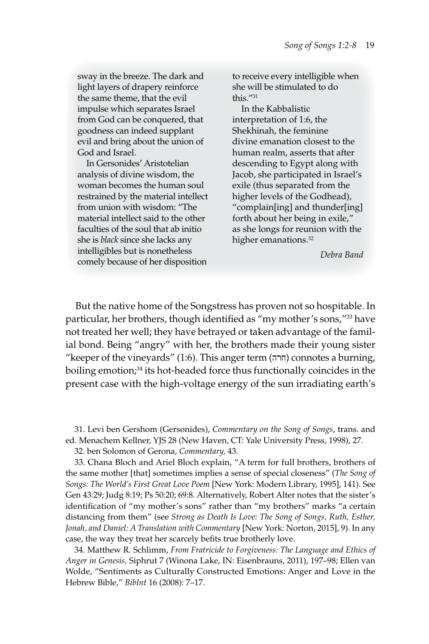sway in the breeze. The dark and light layers of drapery reinforce the same theme, that the evil impulse which separates Israel from God can be conquered, that goodness can indeed supplant evil and bring about the union of God and Israel.

In Gersonides' Aristotelian analysis of divine wisdom, the woman becomes the human soul restrained by the material intellect from union with wisdom: "The material intellect said to the other faculties of the soul that ab initio she is *black* since she lacks any intelligibles but is nonetheless comely because of her disposition

to receive every intelligible when she will be stimulated to do this. $''31$ 

In the Kabbalistic interpretation of 1:6, the Shekhinah, the feminine divine emanation closest to the human realm, asserts that after descending to Egypt along with Jacob, she participated in Israel's exile (thus separated from the higher levels of the Godhead), "complain[ing] and thunder[ing] forth about her being in exile," as she longs for reunion with the higher emanations.<sup>32</sup>

*Debra Band*

But the native home of the Songstress has proven not so hospitable. In particular, her brothers, though identified as "my mother's sons,"33 have not treated her well; they have betrayed or taken advantage of the familial bond. Being "angry" with her, the brothers made their young sister "keeper of the vineyards" (1:6). This anger term  $(n \tau)$  connotes a burning, boiling emotion;<sup>34</sup> its hot-headed force thus functionally coincides in the present case with the high-voltage energy of the sun irradiating earth's

31. Levi ben Gershom (Gersonides), *Commentary on the Song of Songs*, trans. and ed. Menachem Kellner, YJS 28 (New Haven, CT: Yale University Press, 1998), 27.

32. ben Solomon of Gerona, *Commentary,* 43.

33. Chana Bloch and Ariel Bloch explain, "A term for full brothers, brothers of the same mother [that] sometimes implies a sense of special closeness" (*The Song of Songs: The World's First Great Love Poem* [New York: Modern Library, 1995], 141). See Gen 43:29; Judg 8:19; Ps 50:20; 69:8. Alternatively, Robert Alter notes that the sister's identification of "my mother's sons" rather than "my brothers" marks "a certain distancing from them" (see *Strong as Death Is Love: The Song of Songs, Ruth, Esther, Jonah, and Daniel: A Translation with Commentary* [New York: Norton, 2015], 9). In any case, the way they treat her scarcely befits true brotherly love.

34. Matthew R. Schlimm, *From Fratricide to Forgiveness: The Language and Ethics of Anger in Genesis,* Siphrut 7 (Winona Lake, IN: Eisenbrauns, 2011), 197–98; Ellen van Wolde, "Sentiments as Culturally Constructed Emotions: Anger and Love in the Hebrew Bible," *BibInt* 16 (2008): 7–17.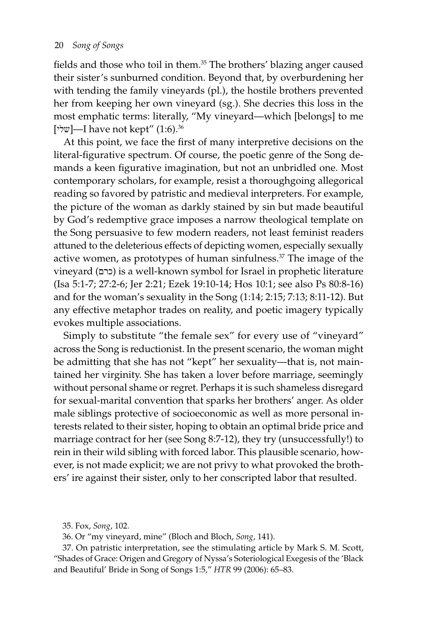### 20 *Song of Songs*

fields and those who toil in them.<sup>35</sup> The brothers' blazing anger caused their sister's sunburned condition. Beyond that, by overburdening her with tending the family vineyards (pl.), the hostile brothers prevented her from keeping her own vineyard (sg.). She decries this loss in the most emphatic terms: literally, "My vineyard—which [belongs] to me [שלי]—I have not kept" (1:6).<sup>36</sup>

At this point, we face the first of many interpretive decisions on the literal-figurative spectrum. Of course, the poetic genre of the Song demands a keen figurative imagination, but not an unbridled one. Most contemporary scholars, for example, resist a thoroughgoing allegorical reading so favored by patristic and medieval interpreters. For example, the picture of the woman as darkly stained by sin but made beautiful by God's redemptive grace imposes a narrow theological template on the Song persuasive to few modern readers, not least feminist readers attuned to the deleterious effects of depicting women, especially sexually active women, as prototypes of human sinfulness.<sup>37</sup> The image of the vineyard (כרם) is a well-known symbol for Israel in prophetic literature (Isa 5:1-7; 27:2-6; Jer 2:21; Ezek 19:10-14; Hos 10:1; see also Ps 80:8-16) and for the woman's sexuality in the Song (1:14; 2:15; 7:13; 8:11-12). But any effective metaphor trades on reality, and poetic imagery typically evokes multiple associations.

Simply to substitute "the female sex" for every use of "vineyard" across the Song is reductionist. In the present scenario, the woman might be admitting that she has not "kept" her sexuality—that is, not maintained her virginity. She has taken a lover before marriage, seemingly without personal shame or regret. Perhaps it is such shameless disregard for sexual-marital convention that sparks her brothers' anger. As older male siblings protective of socioeconomic as well as more personal interests related to their sister, hoping to obtain an optimal bride price and marriage contract for her (see Song 8:7-12), they try (unsuccessfully!) to rein in their wild sibling with forced labor. This plausible scenario, however, is not made explicit; we are not privy to what provoked the brothers' ire against their sister, only to her conscripted labor that resulted.

37. On patristic interpretation, see the stimulating article by Mark S. M. Scott, "Shades of Grace: Origen and Gregory of Nyssa's Soteriological Exegesis of the 'Black and Beautiful' Bride in Song of Songs 1:5," *HTR* 99 (2006): 65–83.

<sup>35.</sup> Fox, *Song*, 102.

<sup>36.</sup> Or "my vineyard, mine" (Bloch and Bloch, *Song*, 141).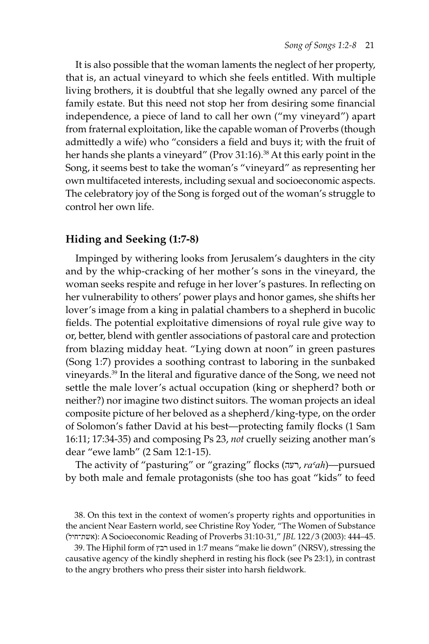It is also possible that the woman laments the neglect of her property, that is, an actual vineyard to which she feels entitled. With multiple living brothers, it is doubtful that she legally owned any parcel of the family estate. But this need not stop her from desiring some financial independence, a piece of land to call her own ("my vineyard") apart from fraternal exploitation, like the capable woman of Proverbs (though admittedly a wife) who "considers a field and buys it; with the fruit of her hands she plants a vineyard" (Prov 31:16).<sup>38</sup> At this early point in the Song, it seems best to take the woman's "vineyard" as representing her own multifaceted interests, including sexual and socioeconomic aspects. The celebratory joy of the Song is forged out of the woman's struggle to control her own life.

# **Hiding and Seeking (1:7-8)**

Impinged by withering looks from Jerusalem's daughters in the city and by the whip-cracking of her mother's sons in the vineyard, the woman seeks respite and refuge in her lover's pastures. In reflecting on her vulnerability to others' power plays and honor games, she shifts her lover's image from a king in palatial chambers to a shepherd in bucolic fields. The potential exploitative dimensions of royal rule give way to or, better, blend with gentler associations of pastoral care and protection from blazing midday heat. "Lying down at noon" in green pastures (Song 1:7) provides a soothing contrast to laboring in the sunbaked vineyards.39 In the literal and figurative dance of the Song, we need not settle the male lover's actual occupation (king or shepherd? both or neither?) nor imagine two distinct suitors. The woman projects an ideal composite picture of her beloved as a shepherd/king-type, on the order of Solomon's father David at his best—protecting family flocks (1 Sam 16:11; 17:34-35) and composing Ps 23, *not* cruelly seizing another man's dear "ewe lamb" (2 Sam 12:1-15).

The activity of "pasturing" or "grazing" flocks (רעה, *ra>ah*)—pursued by both male and female protagonists (she too has goat "kids" to feed

38. On this text in the context of women's property rights and opportunities in the ancient Near Eastern world, see Christine Roy Yoder, "The Women of Substance (אשת־חיל(: A Socioeconomic Reading of Proverbs 31:10-31," *JBL* 122/3 (2003): 444–45.

39. The Hiphil form of רבץ used in 1:7 means "make lie down" (NRSV), stressing the causative agency of the kindly shepherd in resting his flock (see Ps 23:1), in contrast to the angry brothers who press their sister into harsh fieldwork.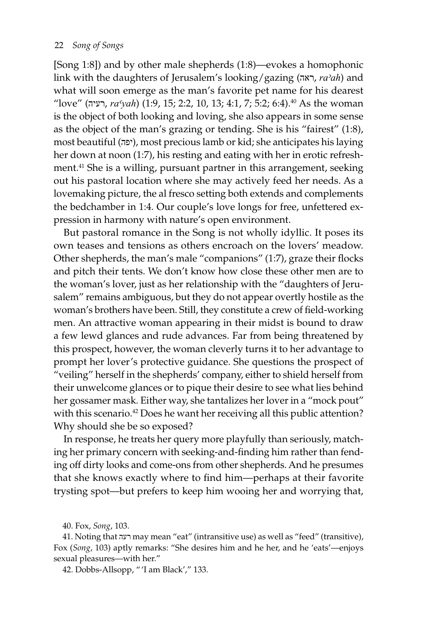[Song 1:8]) and by other male shepherds (1:8)—evokes a homophonic link with the daughters of Jerusalem's looking/gazing (ראה, *ra<ah*) and what will soon emerge as the man's favorite pet name for his dearest "love" (רעיה, *ra>yah*) (1:9, 15; 2:2, 10, 13; 4:1, 7; 5:2; 6:4).40 As the woman is the object of both looking and loving, she also appears in some sense as the object of the man's grazing or tending. She is his "fairest" (1:8), most beautiful (יפה), most precious lamb or kid; she anticipates his laying her down at noon (1:7), his resting and eating with her in erotic refreshment.41 She is a willing, pursuant partner in this arrangement, seeking out his pastoral location where she may actively feed her needs. As a lovemaking picture, the al fresco setting both extends and complements the bedchamber in 1:4. Our couple's love longs for free, unfettered expression in harmony with nature's open environment.

But pastoral romance in the Song is not wholly idyllic. It poses its own teases and tensions as others encroach on the lovers' meadow. Other shepherds, the man's male "companions" (1:7), graze their flocks and pitch their tents. We don't know how close these other men are to the woman's lover, just as her relationship with the "daughters of Jerusalem" remains ambiguous, but they do not appear overtly hostile as the woman's brothers have been. Still, they constitute a crew of field-working men. An attractive woman appearing in their midst is bound to draw a few lewd glances and rude advances. Far from being threatened by this prospect, however, the woman cleverly turns it to her advantage to prompt her lover's protective guidance. She questions the prospect of "veiling" herself in the shepherds' company, either to shield herself from their unwelcome glances or to pique their desire to see what lies behind her gossamer mask. Either way, she tantalizes her lover in a "mock pout" with this scenario.<sup>42</sup> Does he want her receiving all this public attention? Why should she be so exposed?

In response, he treats her query more playfully than seriously, matching her primary concern with seeking-and-finding him rather than fending off dirty looks and come-ons from other shepherds. And he presumes that she knows exactly where to find him—perhaps at their favorite trysting spot—but prefers to keep him wooing her and worrying that,

41. Noting that רעה may mean "eat" (intransitive use) as well as "feed" (transitive), Fox (*Song*, 103) aptly remarks: "She desires him and he her, and he 'eats'—enjoys sexual pleasures—with her."

42. Dobbs-Allsopp, " 'I am Black'," 133.

<sup>40.</sup> Fox, *Song*, 103.